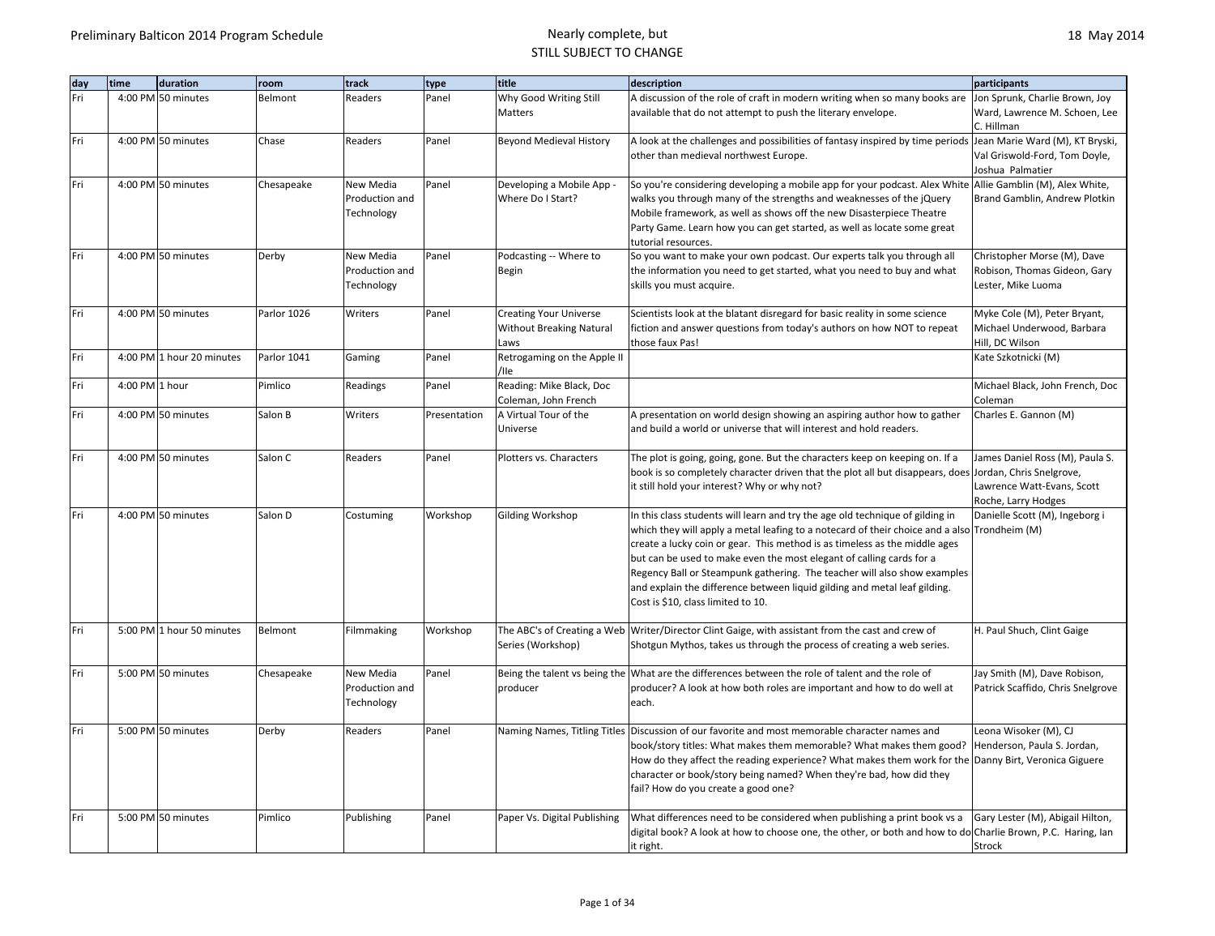| dav | time           | duration                  | room        | track                                     | type         | title                                            | description                                                                                                                                                                                                                                                                                                                                                                                                                                                                                                                        | participants                                                                         |
|-----|----------------|---------------------------|-------------|-------------------------------------------|--------------|--------------------------------------------------|------------------------------------------------------------------------------------------------------------------------------------------------------------------------------------------------------------------------------------------------------------------------------------------------------------------------------------------------------------------------------------------------------------------------------------------------------------------------------------------------------------------------------------|--------------------------------------------------------------------------------------|
| Fri |                | 4:00 PM 50 minutes        | Belmont     | Readers                                   | Panel        | Why Good Writing Still                           | A discussion of the role of craft in modern writing when so many books are                                                                                                                                                                                                                                                                                                                                                                                                                                                         | Jon Sprunk, Charlie Brown, Joy                                                       |
|     |                |                           |             |                                           |              | Matters                                          | available that do not attempt to push the literary envelope.                                                                                                                                                                                                                                                                                                                                                                                                                                                                       | Ward, Lawrence M. Schoen, Lee<br>C. Hillman                                          |
| Fri |                | 4:00 PM 50 minutes        | Chase       | Readers                                   | Panel        | <b>Beyond Medieval History</b>                   | A look at the challenges and possibilities of fantasy inspired by time periods Jean Marie Ward (M), KT Bryski,<br>other than medieval northwest Europe.                                                                                                                                                                                                                                                                                                                                                                            | Val Griswold-Ford, Tom Doyle,<br>Joshua Palmatier                                    |
| Fri |                | 4:00 PM 50 minutes        | Chesapeake  | New Media<br>Production and               | Panel        | Developing a Mobile App -<br>Where Do I Start?   | So you're considering developing a mobile app for your podcast. Alex White Allie Gamblin (M), Alex White,<br>walks you through many of the strengths and weaknesses of the jQuery                                                                                                                                                                                                                                                                                                                                                  | Brand Gamblin, Andrew Plotkin                                                        |
|     |                |                           |             | Technology                                |              |                                                  | Mobile framework, as well as shows off the new Disasterpiece Theatre<br>Party Game. Learn how you can get started, as well as locate some great                                                                                                                                                                                                                                                                                                                                                                                    |                                                                                      |
|     |                |                           |             |                                           |              |                                                  | tutorial resources.                                                                                                                                                                                                                                                                                                                                                                                                                                                                                                                |                                                                                      |
| Fri |                | 4:00 PM 50 minutes        | Derby       | New Media<br>Production and<br>Technology | Panel        | Podcasting -- Where to<br>Begin                  | So you want to make your own podcast. Our experts talk you through all<br>the information you need to get started, what you need to buy and what<br>skills you must acquire.                                                                                                                                                                                                                                                                                                                                                       | Christopher Morse (M), Dave<br>Robison, Thomas Gideon, Gary<br>Lester, Mike Luoma    |
| Fri |                | 4:00 PM 50 minutes        | Parlor 1026 | Writers                                   | Panel        | <b>Creating Your Universe</b>                    | Scientists look at the blatant disregard for basic reality in some science                                                                                                                                                                                                                                                                                                                                                                                                                                                         | Myke Cole (M), Peter Bryant,                                                         |
|     |                |                           |             |                                           |              | <b>Without Breaking Natural</b>                  | fiction and answer questions from today's authors on how NOT to repeat                                                                                                                                                                                                                                                                                                                                                                                                                                                             | Michael Underwood, Barbara                                                           |
| Fri |                | 4:00 PM 1 hour 20 minutes | Parlor 1041 | Gaming                                    | Panel        | Laws<br>Retrogaming on the Apple II              | those faux Pas!                                                                                                                                                                                                                                                                                                                                                                                                                                                                                                                    | Hill, DC Wilson<br>Kate Szkotnicki (M)                                               |
|     |                |                           |             |                                           |              | /lle                                             |                                                                                                                                                                                                                                                                                                                                                                                                                                                                                                                                    |                                                                                      |
| Fri | 4:00 PM 1 hour |                           | Pimlico     | Readings                                  | Panel        | Reading: Mike Black, Doc<br>Coleman, John French |                                                                                                                                                                                                                                                                                                                                                                                                                                                                                                                                    | Michael Black, John French, Doc<br>Coleman                                           |
| Fri |                | 4:00 PM 50 minutes        | Salon B     | Writers                                   | Presentation | A Virtual Tour of the<br>Universe                | A presentation on world design showing an aspiring author how to gather<br>and build a world or universe that will interest and hold readers.                                                                                                                                                                                                                                                                                                                                                                                      | Charles E. Gannon (M)                                                                |
| Fri |                | 4:00 PM 50 minutes        | Salon C     | Readers                                   | Panel        | Plotters vs. Characters                          | The plot is going, going, gone. But the characters keep on keeping on. If a<br>book is so completely character driven that the plot all but disappears, does Jordan, Chris Snelgrove,<br>it still hold your interest? Why or why not?                                                                                                                                                                                                                                                                                              | James Daniel Ross (M), Paula S.<br>Lawrence Watt-Evans, Scott<br>Roche, Larry Hodges |
| Fri |                | 4:00 PM 50 minutes        | Salon D     | Costuming                                 | Workshop     | Gilding Workshop                                 | In this class students will learn and try the age old technique of gilding in<br>which they will apply a metal leafing to a notecard of their choice and a also Trondheim (M)<br>create a lucky coin or gear. This method is as timeless as the middle ages<br>but can be used to make even the most elegant of calling cards for a<br>Regency Ball or Steampunk gathering. The teacher will also show examples<br>and explain the difference between liquid gilding and metal leaf gilding.<br>Cost is \$10, class limited to 10. | Danielle Scott (M), Ingeborg i                                                       |
| Fri |                | 5:00 PM 1 hour 50 minutes | Belmont     | Filmmaking                                | Workshop     | The ABC's of Creating a Web<br>Series (Workshop) | Writer/Director Clint Gaige, with assistant from the cast and crew of<br>Shotgun Mythos, takes us through the process of creating a web series.                                                                                                                                                                                                                                                                                                                                                                                    | H. Paul Shuch, Clint Gaige                                                           |
| Fri |                | 5:00 PM 50 minutes        | Chesapeake  | New Media<br>Production and<br>Technology | Panel        | producer                                         | Being the talent vs being the What are the differences between the role of talent and the role of<br>producer? A look at how both roles are important and how to do well at<br>each.                                                                                                                                                                                                                                                                                                                                               | Jay Smith (M), Dave Robison,<br>Patrick Scaffido, Chris Snelgrove                    |
| Fri |                | 5:00 PM 50 minutes        | Derby       | Readers                                   | Panel        | Naming Names, Titling Titles                     | Discussion of our favorite and most memorable character names and<br>book/story titles: What makes them memorable? What makes them good?  Henderson, Paula S. Jordan,<br>How do they affect the reading experience? What makes them work for the Danny Birt, Veronica Giguere<br>character or book/story being named? When they're bad, how did they<br>fail? How do you create a good one?                                                                                                                                        | Leona Wisoker (M), CJ                                                                |
| Fri |                | 5:00 PM 50 minutes        | Pimlico     | Publishing                                | Panel        | Paper Vs. Digital Publishing                     | What differences need to be considered when publishing a print book vs a<br>digital book? A look at how to choose one, the other, or both and how to do Charlie Brown, P.C. Haring, lan<br>it right.                                                                                                                                                                                                                                                                                                                               | Gary Lester (M), Abigail Hilton,<br>Strock                                           |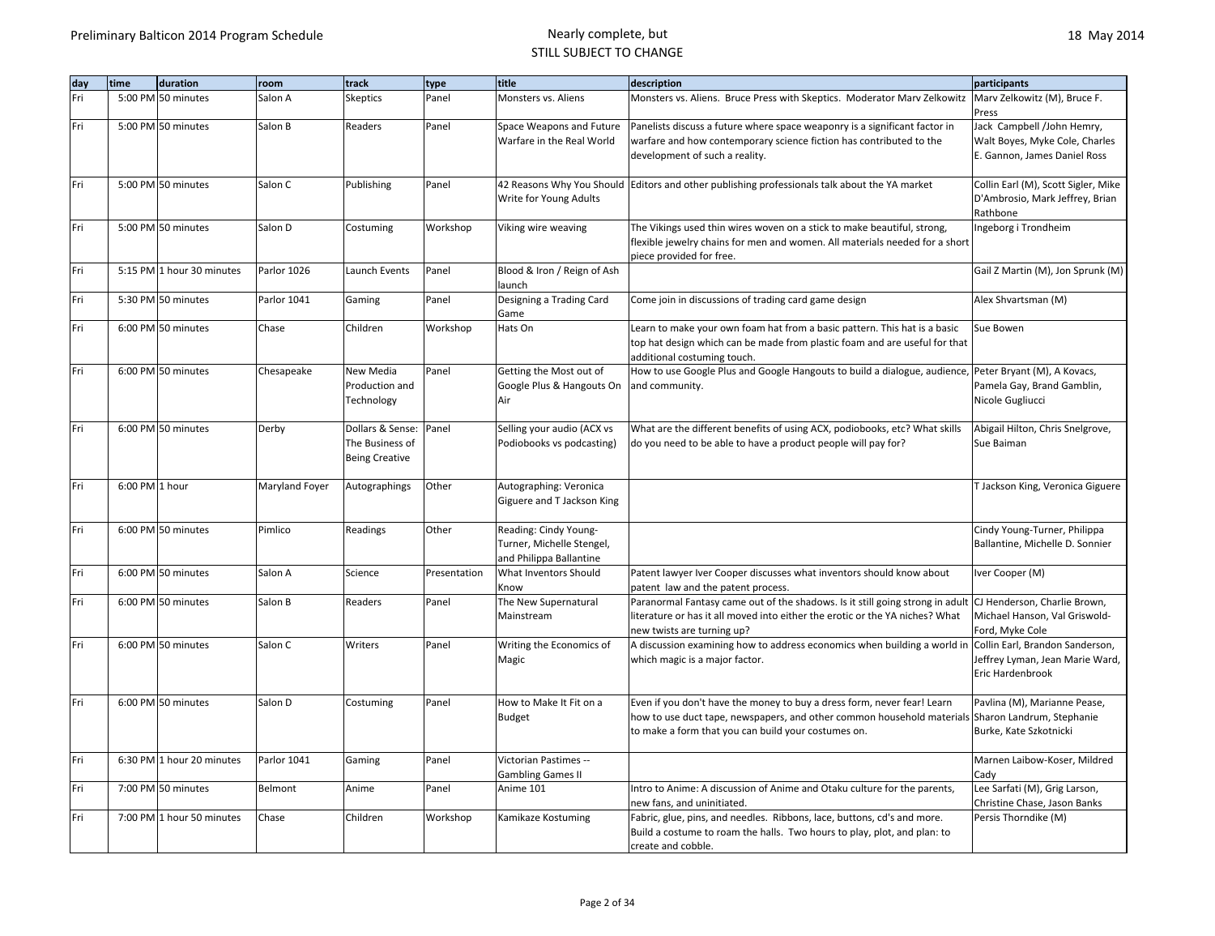| day | time           | duration                  | room           | track                                                        | type         | title                                                                         | description                                                                                                                                                                                                                        | participants                                                                                 |
|-----|----------------|---------------------------|----------------|--------------------------------------------------------------|--------------|-------------------------------------------------------------------------------|------------------------------------------------------------------------------------------------------------------------------------------------------------------------------------------------------------------------------------|----------------------------------------------------------------------------------------------|
| Fri |                | 5:00 PM 50 minutes        | Salon A        | <b>Skeptics</b>                                              | Panel        | Monsters vs. Aliens                                                           | Monsters vs. Aliens. Bruce Press with Skeptics. Moderator Marv Zelkowitz                                                                                                                                                           | Marv Zelkowitz (M), Bruce F.<br>Press                                                        |
| Fri |                | 5:00 PM 50 minutes        | Salon B        | Readers                                                      | Panel        | Space Weapons and Future<br>Warfare in the Real World                         | Panelists discuss a future where space weaponry is a significant factor in<br>warfare and how contemporary science fiction has contributed to the<br>development of such a reality.                                                | Jack Campbell /John Hemry,<br>Walt Boyes, Myke Cole, Charles<br>E. Gannon, James Daniel Ross |
| Fri |                | 5:00 PM 50 minutes        | Salon C        | Publishing                                                   | Panel        | Write for Young Adults                                                        | 42 Reasons Why You Should Editors and other publishing professionals talk about the YA market                                                                                                                                      | Collin Earl (M), Scott Sigler, Mike<br>D'Ambrosio, Mark Jeffrey, Brian<br>Rathbone           |
| Fri |                | 5:00 PM 50 minutes        | Salon D        | Costuming                                                    | Workshop     | Viking wire weaving                                                           | The Vikings used thin wires woven on a stick to make beautiful, strong,<br>flexible jewelry chains for men and women. All materials needed for a short<br>piece provided for free.                                                 | Ingeborg i Trondheim                                                                         |
| Fri |                | 5:15 PM 1 hour 30 minutes | Parlor 1026    | Launch Events                                                | Panel        | Blood & Iron / Reign of Ash<br>launch                                         |                                                                                                                                                                                                                                    | Gail Z Martin (M), Jon Sprunk (M)                                                            |
| Fri |                | 5:30 PM 50 minutes        | Parlor 1041    | Gaming                                                       | Panel        | Designing a Trading Card<br>Game                                              | Come join in discussions of trading card game design                                                                                                                                                                               | Alex Shvartsman (M)                                                                          |
| Fri |                | 6:00 PM 50 minutes        | Chase          | Children                                                     | Workshop     | Hats On                                                                       | Learn to make your own foam hat from a basic pattern. This hat is a basic<br>top hat design which can be made from plastic foam and are useful for that<br>additional costuming touch.                                             | Sue Bowen                                                                                    |
| Fri |                | 6:00 PM 50 minutes        | Chesapeake     | New Media<br>Production and<br>Technology                    | Panel        | Getting the Most out of<br>Google Plus & Hangouts On<br>Air                   | How to use Google Plus and Google Hangouts to build a dialogue, audience,<br>and community.                                                                                                                                        | Peter Bryant (M), A Kovacs,<br>Pamela Gay, Brand Gamblin,<br>Nicole Gugliucci                |
| Fri |                | 6:00 PM 50 minutes        | Derby          | Dollars & Sense:<br>The Business of<br><b>Being Creative</b> | Panel        | Selling your audio (ACX vs<br>Podiobooks vs podcasting)                       | What are the different benefits of using ACX, podiobooks, etc? What skills<br>do you need to be able to have a product people will pay for?                                                                                        | Abigail Hilton, Chris Snelgrove,<br>Sue Baiman                                               |
| Fri | 6:00 PM 1 hour |                           | Maryland Foyer | Autographings                                                | Other        | Autographing: Veronica<br>Giguere and T Jackson King                          |                                                                                                                                                                                                                                    | T Jackson King, Veronica Giguere                                                             |
| Fri |                | 6:00 PM 50 minutes        | Pimlico        | Readings                                                     | Other        | Reading: Cindy Young-<br>Turner, Michelle Stengel,<br>and Philippa Ballantine |                                                                                                                                                                                                                                    | Cindy Young-Turner, Philippa<br>Ballantine, Michelle D. Sonnier                              |
| Fri |                | 6:00 PM 50 minutes        | Salon A        | Science                                                      | Presentation | What Inventors Should<br>Know                                                 | Patent lawyer Iver Cooper discusses what inventors should know about<br>patent law and the patent process.                                                                                                                         | Iver Cooper (M)                                                                              |
| Fri |                | 6:00 PM 50 minutes        | Salon B        | Readers                                                      | Panel        | The New Supernatural<br>Mainstream                                            | Paranormal Fantasy came out of the shadows. Is it still going strong in adult  CJ Henderson, Charlie Brown,<br>literature or has it all moved into either the erotic or the YA niches? What<br>new twists are turning up?          | Michael Hanson, Val Griswold-<br>Ford, Myke Cole                                             |
| Fri |                | 6:00 PM 50 minutes        | Salon C        | Writers                                                      | Panel        | Writing the Economics of<br>Magic                                             | A discussion examining how to address economics when building a world in<br>which magic is a major factor.                                                                                                                         | Collin Earl, Brandon Sanderson,<br>Jeffrey Lyman, Jean Marie Ward,<br>Eric Hardenbrook       |
| Fri |                | 6:00 PM 50 minutes        | Salon D        | Costuming                                                    | Panel        | How to Make It Fit on a<br>Budget                                             | Even if you don't have the money to buy a dress form, never fear! Learn<br>how to use duct tape, newspapers, and other common household materials Sharon Landrum, Stephanie<br>to make a form that you can build your costumes on. | Pavlina (M), Marianne Pease,<br>Burke, Kate Szkotnicki                                       |
| Fri |                | 6:30 PM 1 hour 20 minutes | Parlor 1041    | Gaming                                                       | Panel        | Victorian Pastimes --<br><b>Gambling Games II</b>                             |                                                                                                                                                                                                                                    | Marnen Laibow-Koser, Mildred<br>Cady                                                         |
| Fri |                | 7:00 PM 50 minutes        | Belmont        | Anime                                                        | Panel        | Anime 101                                                                     | Intro to Anime: A discussion of Anime and Otaku culture for the parents,<br>new fans, and uninitiated.                                                                                                                             | Lee Sarfati (M), Grig Larson,<br>Christine Chase, Jason Banks                                |
| Fri |                | 7:00 PM 1 hour 50 minutes | Chase          | Children                                                     | Workshop     | Kamikaze Kostuming                                                            | Fabric, glue, pins, and needles. Ribbons, lace, buttons, cd's and more.<br>Build a costume to roam the halls. Two hours to play, plot, and plan: to<br>create and cobble.                                                          | Persis Thorndike (M)                                                                         |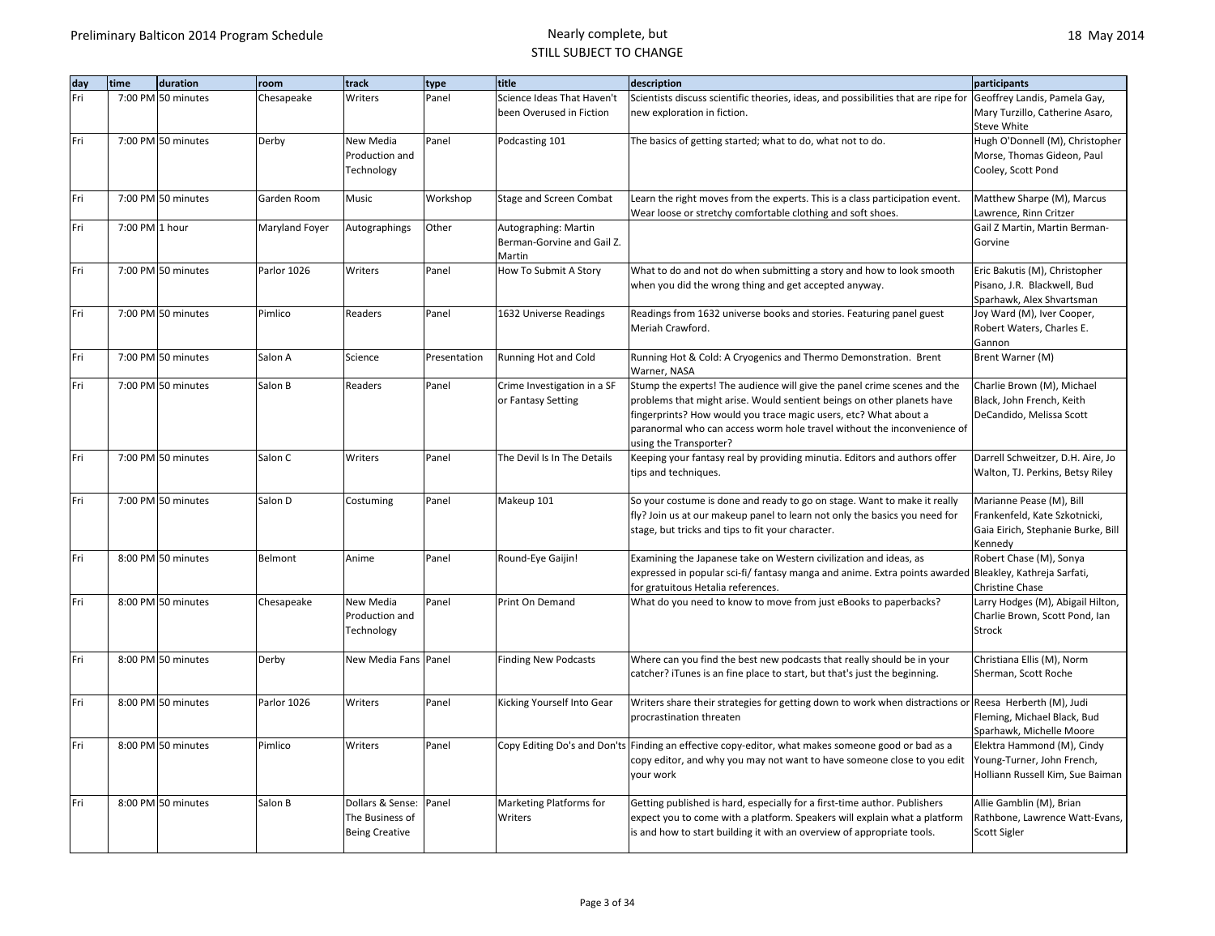| dav | time           | duration           | room           | track                                                        | type         | title                                                        | description                                                                                                                                                                                                                                                                                       | participants                                                                                               |
|-----|----------------|--------------------|----------------|--------------------------------------------------------------|--------------|--------------------------------------------------------------|---------------------------------------------------------------------------------------------------------------------------------------------------------------------------------------------------------------------------------------------------------------------------------------------------|------------------------------------------------------------------------------------------------------------|
| Fri |                | 7:00 PM 50 minutes | Chesapeake     | Writers                                                      | Panel        | Science Ideas That Haven't                                   | Scientists discuss scientific theories, ideas, and possibilities that are ripe for                                                                                                                                                                                                                | Geoffrey Landis, Pamela Gay,                                                                               |
|     |                |                    |                |                                                              |              | been Overused in Fiction                                     | new exploration in fiction.                                                                                                                                                                                                                                                                       | Mary Turzillo, Catherine Asaro,<br>Steve White                                                             |
| Fri |                | 7:00 PM 50 minutes | Derby          | New Media<br>Production and<br>Technology                    | Panel        | Podcasting 101                                               | The basics of getting started; what to do, what not to do.                                                                                                                                                                                                                                        | Hugh O'Donnell (M), Christopher<br>Morse, Thomas Gideon, Paul<br>Cooley, Scott Pond                        |
| Fri |                | 7:00 PM 50 minutes | Garden Room    | Music                                                        | Workshop     | Stage and Screen Combat                                      | Learn the right moves from the experts. This is a class participation event.<br>Wear loose or stretchy comfortable clothing and soft shoes.                                                                                                                                                       | Matthew Sharpe (M), Marcus<br>Lawrence, Rinn Critzer                                                       |
| Fri | 7:00 PM 1 hour |                    | Maryland Foyer | Autographings                                                | Other        | Autographing: Martin<br>Berman-Gorvine and Gail Z.<br>Martin |                                                                                                                                                                                                                                                                                                   | Gail Z Martin, Martin Berman-<br>Gorvine                                                                   |
| Fri |                | 7:00 PM 50 minutes | Parlor 1026    | Writers                                                      | Panel        | How To Submit A Story                                        | What to do and not do when submitting a story and how to look smooth<br>when you did the wrong thing and get accepted anyway.                                                                                                                                                                     | Eric Bakutis (M), Christopher<br>Pisano, J.R. Blackwell, Bud<br>Sparhawk, Alex Shvartsman                  |
| Fri |                | 7:00 PM 50 minutes | Pimlico        | Readers                                                      | Panel        | 1632 Universe Readings                                       | Readings from 1632 universe books and stories. Featuring panel guest<br>Meriah Crawford.                                                                                                                                                                                                          | Joy Ward (M), Iver Cooper,<br>Robert Waters, Charles E.<br>Gannon                                          |
| Fri |                | 7:00 PM 50 minutes | Salon A        | Science                                                      | Presentation | Running Hot and Cold                                         | Running Hot & Cold: A Cryogenics and Thermo Demonstration. Brent<br>Warner, NASA                                                                                                                                                                                                                  | Brent Warner (M)                                                                                           |
| Fri |                | 7:00 PM 50 minutes | Salon B        | Readers                                                      | Panel        | Crime Investigation in a SF<br>or Fantasy Setting            | Stump the experts! The audience will give the panel crime scenes and the<br>problems that might arise. Would sentient beings on other planets have<br>fingerprints? How would you trace magic users, etc? What about a<br>paranormal who can access worm hole travel without the inconvenience of | Charlie Brown (M), Michael<br>Black, John French, Keith<br>DeCandido, Melissa Scott                        |
|     |                |                    |                |                                                              |              |                                                              | using the Transporter?                                                                                                                                                                                                                                                                            |                                                                                                            |
| Fri |                | 7:00 PM 50 minutes | Salon C        | Writers                                                      | Panel        | The Devil Is In The Details                                  | Keeping your fantasy real by providing minutia. Editors and authors offer<br>tips and techniques.                                                                                                                                                                                                 | Darrell Schweitzer, D.H. Aire, Jo<br>Walton, TJ. Perkins, Betsy Riley                                      |
| Fri |                | 7:00 PM 50 minutes | Salon D        | Costuming                                                    | Panel        | Makeup 101                                                   | So your costume is done and ready to go on stage. Want to make it really<br>fly? Join us at our makeup panel to learn not only the basics you need for<br>stage, but tricks and tips to fit your character.                                                                                       | Marianne Pease (M), Bill<br>Frankenfeld, Kate Szkotnicki,<br>Gaia Eirich, Stephanie Burke, Bill<br>Kennedy |
| Fri |                | 8:00 PM 50 minutes | Belmont        | Anime                                                        | Panel        | Round-Eye Gaijin!                                            | Examining the Japanese take on Western civilization and ideas, as<br>expressed in popular sci-fi/ fantasy manga and anime. Extra points awarded Bleakley, Kathreja Sarfati,<br>for gratuitous Hetalia references.                                                                                 | Robert Chase (M), Sonya<br>Christine Chase                                                                 |
| Fri |                | 8:00 PM 50 minutes | Chesapeake     | New Media<br>Production and<br>Technology                    | Panel        | Print On Demand                                              | What do you need to know to move from just eBooks to paperbacks?                                                                                                                                                                                                                                  | Larry Hodges (M), Abigail Hilton,<br>Charlie Brown, Scott Pond, Ian<br>Strock                              |
| Fri |                | 8:00 PM 50 minutes | Derby          | New Media Fans Panel                                         |              | <b>Finding New Podcasts</b>                                  | Where can you find the best new podcasts that really should be in your<br>catcher? iTunes is an fine place to start, but that's just the beginning.                                                                                                                                               | Christiana Ellis (M), Norm<br>Sherman, Scott Roche                                                         |
| Fri |                | 8:00 PM 50 minutes | Parlor 1026    | Writers                                                      | Panel        | Kicking Yourself Into Gear                                   | Writers share their strategies for getting down to work when distractions or<br>procrastination threaten                                                                                                                                                                                          | Reesa Herberth (M), Judi<br>Fleming, Michael Black, Bud<br>Sparhawk, Michelle Moore                        |
| Fri |                | 8:00 PM 50 minutes | Pimlico        | Writers                                                      | Panel        |                                                              | Copy Editing Do's and Don'ts Finding an effective copy-editor, what makes someone good or bad as a<br>copy editor, and why you may not want to have someone close to you edit<br>your work                                                                                                        | Elektra Hammond (M), Cindy<br>Young-Turner, John French,<br>Holliann Russell Kim, Sue Baiman               |
| Fri |                | 8:00 PM 50 minutes | Salon B        | Dollars & Sense:<br>The Business of<br><b>Being Creative</b> | Panel        | Marketing Platforms for<br>Writers                           | Getting published is hard, especially for a first-time author. Publishers<br>expect you to come with a platform. Speakers will explain what a platform<br>is and how to start building it with an overview of appropriate tools.                                                                  | Allie Gamblin (M), Brian<br>Rathbone, Lawrence Watt-Evans,<br>Scott Sigler                                 |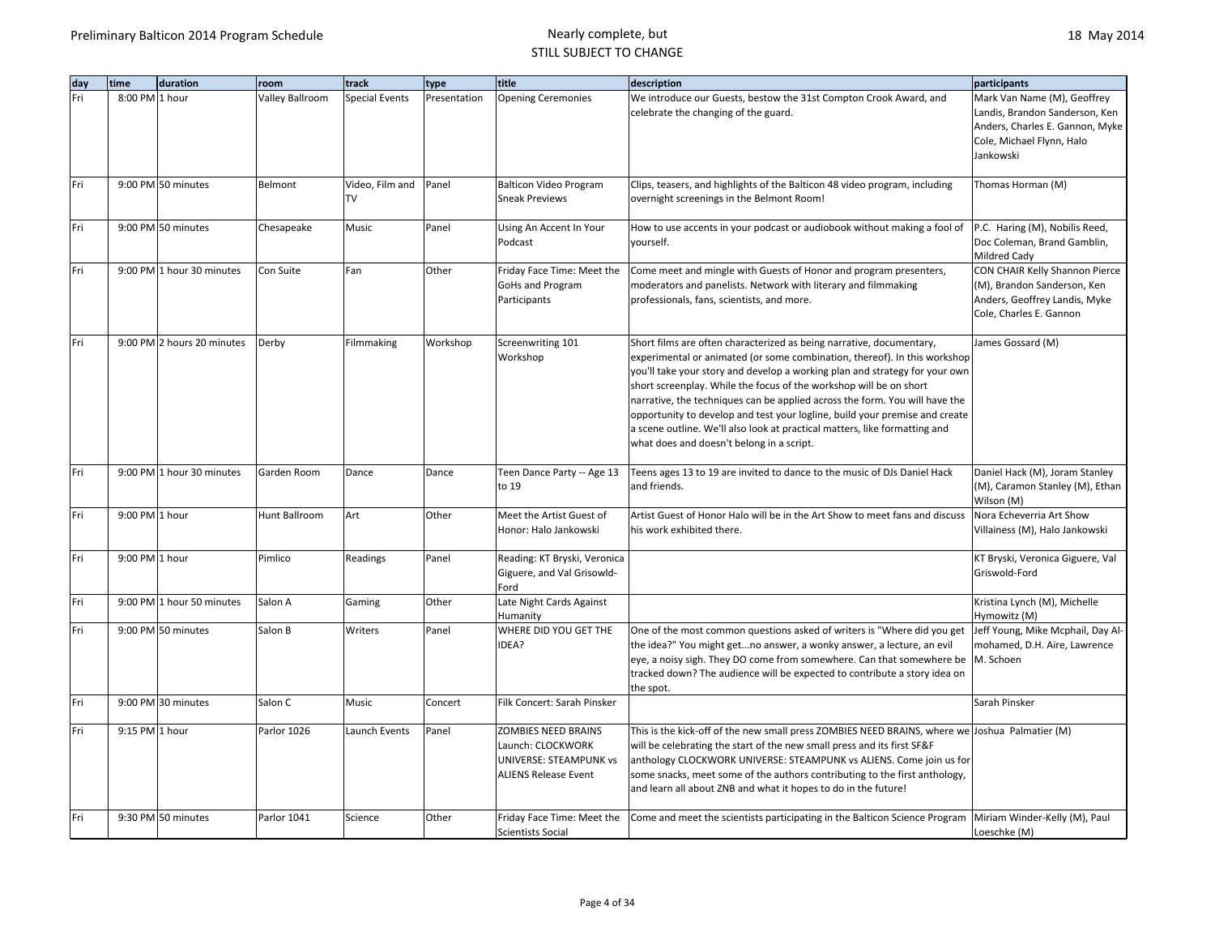| day | duration<br>time           | room            | track                       | type         | title                                                                                                    | description                                                                                                                                                                                                                                                                                                                                                                                                                                                                                                                                                                                     | participants                                                                                                                               |
|-----|----------------------------|-----------------|-----------------------------|--------------|----------------------------------------------------------------------------------------------------------|-------------------------------------------------------------------------------------------------------------------------------------------------------------------------------------------------------------------------------------------------------------------------------------------------------------------------------------------------------------------------------------------------------------------------------------------------------------------------------------------------------------------------------------------------------------------------------------------------|--------------------------------------------------------------------------------------------------------------------------------------------|
| Fri | 8:00 PM 1 hour             | Valley Ballroom | <b>Special Events</b>       | Presentation | <b>Opening Ceremonies</b>                                                                                | We introduce our Guests, bestow the 31st Compton Crook Award, and<br>celebrate the changing of the guard.                                                                                                                                                                                                                                                                                                                                                                                                                                                                                       | Mark Van Name (M), Geoffrey<br>Landis, Brandon Sanderson, Ken<br>Anders, Charles E. Gannon, Myke<br>Cole, Michael Flynn, Halo<br>Jankowski |
| Fri | 9:00 PM 50 minutes         | Belmont         | Video, Film and Panel<br>TV |              | <b>Balticon Video Program</b><br><b>Sneak Previews</b>                                                   | Clips, teasers, and highlights of the Balticon 48 video program, including<br>overnight screenings in the Belmont Room!                                                                                                                                                                                                                                                                                                                                                                                                                                                                         | Thomas Horman (M)                                                                                                                          |
| Fri | 9:00 PM 50 minutes         | Chesapeake      | Music                       | Panel        | Using An Accent In Your<br>Podcast                                                                       | How to use accents in your podcast or audiobook without making a fool of<br>vourself.                                                                                                                                                                                                                                                                                                                                                                                                                                                                                                           | P.C. Haring (M), Nobilis Reed,<br>Doc Coleman, Brand Gamblin,<br>Mildred Cady                                                              |
| Fri | 9:00 PM 1 hour 30 minutes  | Con Suite       | Fan                         | Other        | Friday Face Time: Meet the<br><b>GoHs and Program</b><br>Participants                                    | Come meet and mingle with Guests of Honor and program presenters,<br>moderators and panelists. Network with literary and filmmaking<br>professionals, fans, scientists, and more.                                                                                                                                                                                                                                                                                                                                                                                                               | CON CHAIR Kelly Shannon Pierce<br>(M), Brandon Sanderson, Ken<br>Anders, Geoffrey Landis, Myke<br>Cole, Charles E. Gannon                  |
| Fri | 9:00 PM 2 hours 20 minutes | Derby           | Filmmaking                  | Workshop     | Screenwriting 101<br>Workshop                                                                            | Short films are often characterized as being narrative, documentary,<br>experimental or animated (or some combination, thereof). In this workshop<br>you'll take your story and develop a working plan and strategy for your own<br>short screenplay. While the focus of the workshop will be on short<br>narrative, the techniques can be applied across the form. You will have the<br>opportunity to develop and test your logline, build your premise and create<br>a scene outline. We'll also look at practical matters, like formatting and<br>what does and doesn't belong in a script. | James Gossard (M)                                                                                                                          |
| Fri | 9:00 PM 1 hour 30 minutes  | Garden Room     | Dance                       | Dance        | Teen Dance Party -- Age 13<br>to 19                                                                      | Teens ages 13 to 19 are invited to dance to the music of DJs Daniel Hack<br>and friends.                                                                                                                                                                                                                                                                                                                                                                                                                                                                                                        | Daniel Hack (M), Joram Stanley<br>(M), Caramon Stanley (M), Ethan<br>Wilson (M)                                                            |
| Fri | 9:00 PM 1 hour             | Hunt Ballroom   | Art                         | Other        | Meet the Artist Guest of<br>Honor: Halo Jankowski                                                        | Artist Guest of Honor Halo will be in the Art Show to meet fans and discuss<br>his work exhibited there.                                                                                                                                                                                                                                                                                                                                                                                                                                                                                        | Nora Echeverria Art Show<br>Villainess (M), Halo Jankowski                                                                                 |
| Fri | 9:00 PM 1 hour             | Pimlico         | Readings                    | Panel        | Reading: KT Bryski, Veronica<br>Giguere, and Val Grisowld-<br>Ford                                       |                                                                                                                                                                                                                                                                                                                                                                                                                                                                                                                                                                                                 | KT Bryski, Veronica Giguere, Val<br>Griswold-Ford                                                                                          |
| Fri | 9:00 PM 1 hour 50 minutes  | Salon A         | Gaming                      | Other        | Late Night Cards Against<br>Humanity                                                                     |                                                                                                                                                                                                                                                                                                                                                                                                                                                                                                                                                                                                 | Kristina Lynch (M), Michelle<br>Hymowitz (M)                                                                                               |
| Fri | 9:00 PM 50 minutes         | Salon B         | Writers                     | Panel        | WHERE DID YOU GET THE<br>IDEA?                                                                           | One of the most common questions asked of writers is "Where did you get<br>the idea?" You might getno answer, a wonky answer, a lecture, an evil<br>eye, a noisy sigh. They DO come from somewhere. Can that somewhere be<br>tracked down? The audience will be expected to contribute a story idea on<br>the spot.                                                                                                                                                                                                                                                                             | Jeff Young, Mike Mcphail, Day Al-<br>mohamed, D.H. Aire, Lawrence<br>M. Schoen                                                             |
| Fri | 9:00 PM 30 minutes         | Salon C         | Music                       | Concert      | Filk Concert: Sarah Pinsker                                                                              |                                                                                                                                                                                                                                                                                                                                                                                                                                                                                                                                                                                                 | Sarah Pinsker                                                                                                                              |
| Fri | 9:15 PM 1 hour             | Parlor 1026     | Launch Events               | Panel        | <b>ZOMBIES NEED BRAINS</b><br>Launch: CLOCKWORK<br>UNIVERSE: STEAMPUNK vs<br><b>ALIENS Release Event</b> | This is the kick-off of the new small press ZOMBIES NEED BRAINS, where we Joshua Palmatier (M)<br>will be celebrating the start of the new small press and its first SF&F<br>anthology CLOCKWORK UNIVERSE: STEAMPUNK vs ALIENS. Come join us for<br>some snacks, meet some of the authors contributing to the first anthology,<br>and learn all about ZNB and what it hopes to do in the future!                                                                                                                                                                                                |                                                                                                                                            |
| Fri | 9:30 PM 50 minutes         | Parlor 1041     | Science                     | Other        | Friday Face Time: Meet the<br><b>Scientists Social</b>                                                   | Come and meet the scientists participating in the Balticon Science Program                                                                                                                                                                                                                                                                                                                                                                                                                                                                                                                      | Miriam Winder-Kelly (M), Paul<br>Loeschke (M)                                                                                              |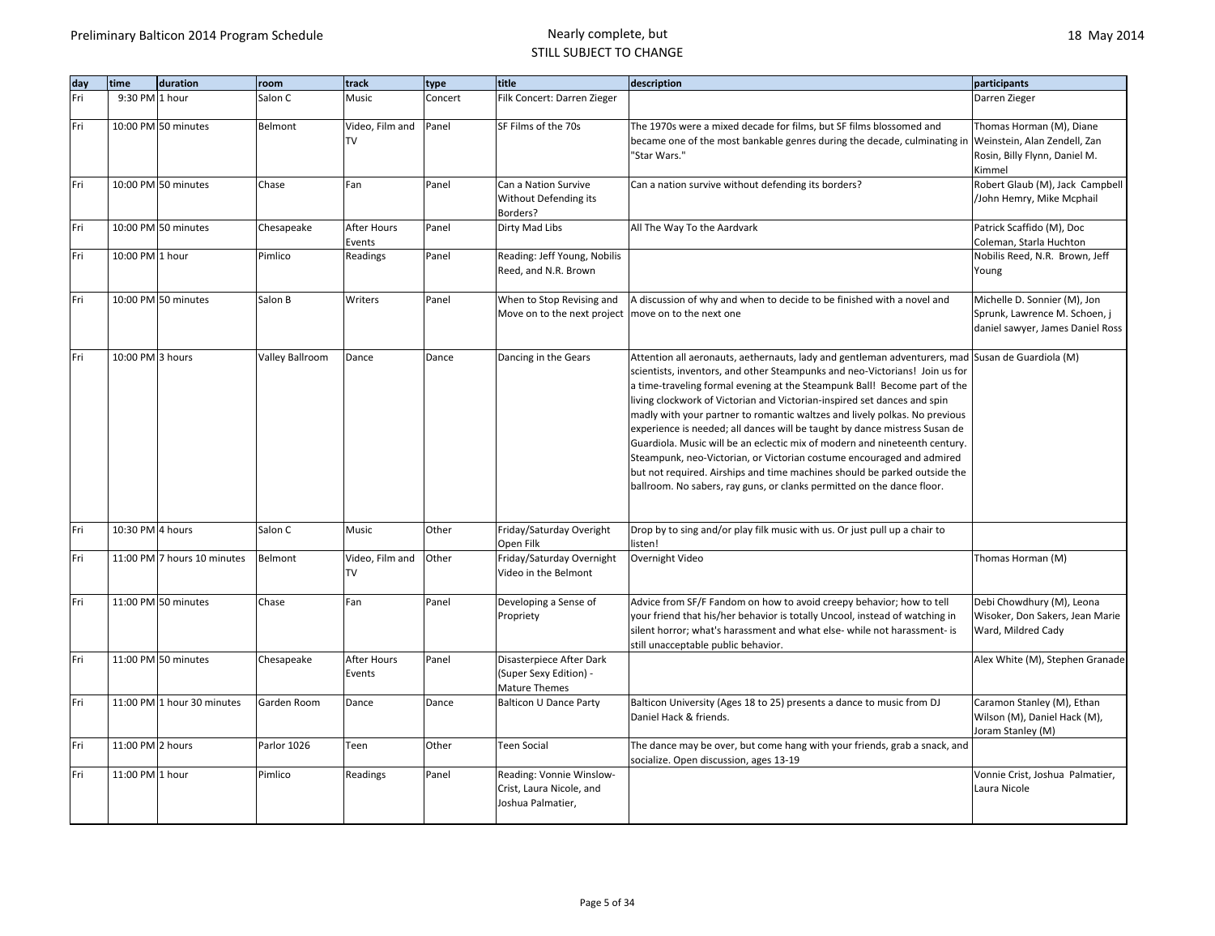| day | time             | duration                    | room                   | track                        | type    | title                                                                              | description                                                                                                                                                                                                                                                                                                                                                                                                                                                                                                                                                                                                                                                                                                                                                                                                        | participants                                                                                        |
|-----|------------------|-----------------------------|------------------------|------------------------------|---------|------------------------------------------------------------------------------------|--------------------------------------------------------------------------------------------------------------------------------------------------------------------------------------------------------------------------------------------------------------------------------------------------------------------------------------------------------------------------------------------------------------------------------------------------------------------------------------------------------------------------------------------------------------------------------------------------------------------------------------------------------------------------------------------------------------------------------------------------------------------------------------------------------------------|-----------------------------------------------------------------------------------------------------|
| Fri | 9:30 PM 1 hour   |                             | Salon C                | Music                        | Concert | Filk Concert: Darren Zieger                                                        |                                                                                                                                                                                                                                                                                                                                                                                                                                                                                                                                                                                                                                                                                                                                                                                                                    | Darren Zieger                                                                                       |
| Fri |                  | 10:00 PM 50 minutes         | Belmont                | Video, Film and<br><b>TV</b> | Panel   | SF Films of the 70s                                                                | The 1970s were a mixed decade for films, but SF films blossomed and<br>became one of the most bankable genres during the decade, culminating in<br>'Star Wars."                                                                                                                                                                                                                                                                                                                                                                                                                                                                                                                                                                                                                                                    | Thomas Horman (M), Diane<br>Weinstein, Alan Zendell, Zan<br>Rosin, Billy Flynn, Daniel M.<br>Kimmel |
| Fri |                  | 10:00 PM 50 minutes         | Chase                  | Fan                          | Panel   | Can a Nation Survive<br>Without Defending its<br>Borders?                          | Can a nation survive without defending its borders?                                                                                                                                                                                                                                                                                                                                                                                                                                                                                                                                                                                                                                                                                                                                                                | Robert Glaub (M), Jack Campbell<br>/John Hemry, Mike Mcphail                                        |
| Fri |                  | 10:00 PM 50 minutes         | Chesapeake             | After Hours<br>Events        | Panel   | Dirty Mad Libs                                                                     | All The Way To the Aardvark                                                                                                                                                                                                                                                                                                                                                                                                                                                                                                                                                                                                                                                                                                                                                                                        | Patrick Scaffido (M), Doc<br>Coleman, Starla Huchton                                                |
| Fri | 10:00 PM 1 hour  |                             | Pimlico                | Readings                     | Panel   | Reading: Jeff Young, Nobilis<br>Reed, and N.R. Brown                               |                                                                                                                                                                                                                                                                                                                                                                                                                                                                                                                                                                                                                                                                                                                                                                                                                    | Nobilis Reed, N.R. Brown, Jeff<br>Young                                                             |
| Fri |                  | 10:00 PM 50 minutes         | Salon B                | Writers                      | Panel   | When to Stop Revising and<br>Move on to the next project   move on to the next one | A discussion of why and when to decide to be finished with a novel and                                                                                                                                                                                                                                                                                                                                                                                                                                                                                                                                                                                                                                                                                                                                             | Michelle D. Sonnier (M), Jon<br>Sprunk, Lawrence M. Schoen, j<br>daniel sawyer, James Daniel Ross   |
| Fri | 10:00 PM 3 hours |                             | <b>Valley Ballroom</b> | Dance                        | Dance   | Dancing in the Gears                                                               | Attention all aeronauts, aethernauts, lady and gentleman adventurers, mad Susan de Guardiola (M)<br>scientists, inventors, and other Steampunks and neo-Victorians! Join us for<br>a time-traveling formal evening at the Steampunk Ball! Become part of the<br>living clockwork of Victorian and Victorian-inspired set dances and spin<br>madly with your partner to romantic waltzes and lively polkas. No previous<br>experience is needed; all dances will be taught by dance mistress Susan de<br>Guardiola. Music will be an eclectic mix of modern and nineteenth century.<br>Steampunk, neo-Victorian, or Victorian costume encouraged and admired<br>but not required. Airships and time machines should be parked outside the<br>ballroom. No sabers, ray guns, or clanks permitted on the dance floor. |                                                                                                     |
| Fri | 10:30 PM 4 hours |                             | Salon C                | Music                        | Other   | Friday/Saturday Overight<br>Open Filk                                              | Drop by to sing and/or play filk music with us. Or just pull up a chair to<br>listen!                                                                                                                                                                                                                                                                                                                                                                                                                                                                                                                                                                                                                                                                                                                              |                                                                                                     |
| Fri |                  | 11:00 PM 7 hours 10 minutes | Belmont                | Video, Film and<br><b>TV</b> | Other   | Friday/Saturday Overnight<br>Video in the Belmont                                  | Overnight Video                                                                                                                                                                                                                                                                                                                                                                                                                                                                                                                                                                                                                                                                                                                                                                                                    | Thomas Horman (M)                                                                                   |
| Fri |                  | 11:00 PM 50 minutes         | Chase                  | Fan                          | Panel   | Developing a Sense of<br>Propriety                                                 | Advice from SF/F Fandom on how to avoid creepy behavior; how to tell<br>your friend that his/her behavior is totally Uncool, instead of watching in<br>silent horror; what's harassment and what else- while not harassment- is<br>still unacceptable public behavior.                                                                                                                                                                                                                                                                                                                                                                                                                                                                                                                                             | Debi Chowdhury (M), Leona<br>Wisoker, Don Sakers, Jean Marie<br>Ward, Mildred Cady                  |
| Fri |                  | 11:00 PM 50 minutes         | Chesapeake             | After Hours<br>Events        | Panel   | Disasterpiece After Dark<br>(Super Sexy Edition) -<br><b>Mature Themes</b>         |                                                                                                                                                                                                                                                                                                                                                                                                                                                                                                                                                                                                                                                                                                                                                                                                                    | Alex White (M), Stephen Granade                                                                     |
| Fri |                  | 11:00 PM 1 hour 30 minutes  | Garden Room            | Dance                        | Dance   | <b>Balticon U Dance Party</b>                                                      | Balticon University (Ages 18 to 25) presents a dance to music from DJ<br>Daniel Hack & friends.                                                                                                                                                                                                                                                                                                                                                                                                                                                                                                                                                                                                                                                                                                                    | Caramon Stanley (M), Ethan<br>Wilson (M), Daniel Hack (M),<br>Joram Stanley (M)                     |
| Fri | 11:00 PM 2 hours |                             | Parlor 1026            | Teen                         | Other   | <b>Teen Social</b>                                                                 | The dance may be over, but come hang with your friends, grab a snack, and<br>socialize. Open discussion, ages 13-19                                                                                                                                                                                                                                                                                                                                                                                                                                                                                                                                                                                                                                                                                                |                                                                                                     |
| Fri | 11:00 PM 1 hour  |                             | Pimlico                | Readings                     | Panel   | Reading: Vonnie Winslow-<br>Crist, Laura Nicole, and<br>Joshua Palmatier,          |                                                                                                                                                                                                                                                                                                                                                                                                                                                                                                                                                                                                                                                                                                                                                                                                                    | Vonnie Crist, Joshua Palmatier,<br>Laura Nicole                                                     |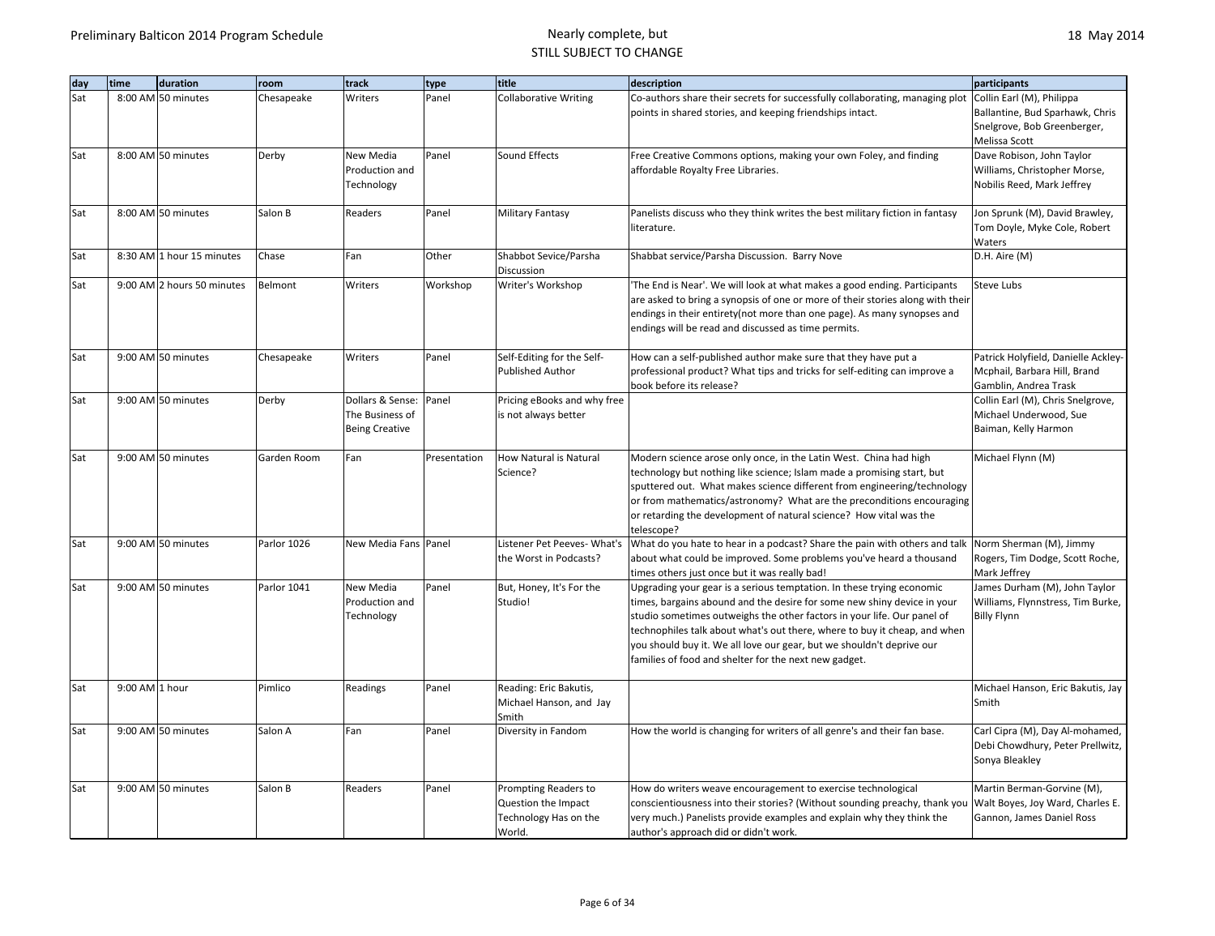| day | time           | duration                   | room        | track                 | type         | title                            | description                                                                    | participants                        |
|-----|----------------|----------------------------|-------------|-----------------------|--------------|----------------------------------|--------------------------------------------------------------------------------|-------------------------------------|
| Sat |                | 8:00 AM 50 minutes         | Chesapeake  | Writers               | Panel        | <b>Collaborative Writing</b>     | Co-authors share their secrets for successfully collaborating, managing plot   | Collin Earl (M), Philippa           |
|     |                |                            |             |                       |              |                                  | points in shared stories, and keeping friendships intact.                      | Ballantine, Bud Sparhawk, Chris     |
|     |                |                            |             |                       |              |                                  |                                                                                | Snelgrove, Bob Greenberger,         |
|     |                |                            |             |                       |              |                                  |                                                                                | Melissa Scott                       |
| Sat |                | 8:00 AM 50 minutes         | Derby       | New Media             | Panel        | Sound Effects                    | Free Creative Commons options, making your own Foley, and finding              | Dave Robison, John Taylor           |
|     |                |                            |             | Production and        |              |                                  | affordable Royalty Free Libraries.                                             | Williams, Christopher Morse,        |
|     |                |                            |             | Technology            |              |                                  |                                                                                | Nobilis Reed, Mark Jeffrey          |
|     |                |                            |             |                       |              |                                  |                                                                                |                                     |
| Sat |                | 8:00 AM 50 minutes         | Salon B     | Readers               | Panel        | <b>Military Fantasy</b>          | Panelists discuss who they think writes the best military fiction in fantasy   | Jon Sprunk (M), David Brawley,      |
|     |                |                            |             |                       |              |                                  | literature.                                                                    | Tom Doyle, Myke Cole, Robert        |
|     |                |                            |             |                       |              |                                  |                                                                                | Waters                              |
| Sat |                | 8:30 AM 1 hour 15 minutes  | Chase       | Fan                   | Other        | Shabbot Sevice/Parsha            | Shabbat service/Parsha Discussion. Barry Nove                                  | D.H. Aire (M)                       |
|     |                |                            |             |                       |              | Discussion                       |                                                                                |                                     |
| Sat |                | 9:00 AM 2 hours 50 minutes | Belmont     | Writers               | Workshop     | Writer's Workshop                | 'The End is Near'. We will look at what makes a good ending. Participants      | Steve Lubs                          |
|     |                |                            |             |                       |              |                                  | are asked to bring a synopsis of one or more of their stories along with their |                                     |
|     |                |                            |             |                       |              |                                  | endings in their entirety(not more than one page). As many synopses and        |                                     |
|     |                |                            |             |                       |              |                                  | endings will be read and discussed as time permits.                            |                                     |
|     |                |                            |             |                       |              |                                  |                                                                                |                                     |
| Sat |                | 9:00 AM 50 minutes         | Chesapeake  | Writers               | Panel        | Self-Editing for the Self-       | How can a self-published author make sure that they have put a                 | Patrick Holyfield, Danielle Ackley- |
|     |                |                            |             |                       |              | <b>Published Author</b>          | professional product? What tips and tricks for self-editing can improve a      | Mcphail, Barbara Hill, Brand        |
|     |                |                            |             |                       |              |                                  | book before its release?                                                       | Gamblin, Andrea Trask               |
| Sat |                | 9:00 AM 50 minutes         | Derby       | Dollars & Sense:      | Panel        | Pricing eBooks and why free      |                                                                                | Collin Earl (M), Chris Snelgrove,   |
|     |                |                            |             | The Business of       |              | is not always better             |                                                                                | Michael Underwood, Sue              |
|     |                |                            |             | <b>Being Creative</b> |              |                                  |                                                                                | Baiman, Kelly Harmon                |
| Sat |                | 9:00 AM 50 minutes         | Garden Room | Fan                   | Presentation | <b>How Natural is Natural</b>    | Modern science arose only once, in the Latin West. China had high              | Michael Flynn (M)                   |
|     |                |                            |             |                       |              | Science?                         | technology but nothing like science; Islam made a promising start, but         |                                     |
|     |                |                            |             |                       |              |                                  | sputtered out. What makes science different from engineering/technology        |                                     |
|     |                |                            |             |                       |              |                                  | or from mathematics/astronomy? What are the preconditions encouraging          |                                     |
|     |                |                            |             |                       |              |                                  | or retarding the development of natural science? How vital was the             |                                     |
|     |                |                            |             |                       |              |                                  | telescope?                                                                     |                                     |
| Sat |                | 9:00 AM 50 minutes         | Parlor 1026 | New Media Fans Panel  |              | Listener Pet Peeves-What's       | What do you hate to hear in a podcast? Share the pain with others and talk     | Norm Sherman (M), Jimmy             |
|     |                |                            |             |                       |              | the Worst in Podcasts?           | about what could be improved. Some problems you've heard a thousand            | Rogers, Tim Dodge, Scott Roche,     |
|     |                |                            |             |                       |              |                                  | times others just once but it was really bad!                                  | Mark Jeffrey                        |
| Sat |                | 9:00 AM 50 minutes         | Parlor 1041 | New Media             | Panel        | But, Honey, It's For the         | Upgrading your gear is a serious temptation. In these trying economic          | James Durham (M), John Taylor       |
|     |                |                            |             | Production and        |              | Studio!                          | times, bargains abound and the desire for some new shiny device in your        | Williams, Flynnstress, Tim Burke,   |
|     |                |                            |             | Technology            |              |                                  | studio sometimes outweighs the other factors in your life. Our panel of        | <b>Billy Flynn</b>                  |
|     |                |                            |             |                       |              |                                  | technophiles talk about what's out there, where to buy it cheap, and when      |                                     |
|     |                |                            |             |                       |              |                                  | you should buy it. We all love our gear, but we shouldn't deprive our          |                                     |
|     |                |                            |             |                       |              |                                  | families of food and shelter for the next new gadget.                          |                                     |
|     |                |                            |             |                       |              |                                  |                                                                                |                                     |
| Sat | 9:00 AM 1 hour |                            | Pimlico     | Readings              | Panel        | Reading: Eric Bakutis,           |                                                                                | Michael Hanson, Eric Bakutis, Jay   |
|     |                |                            |             |                       |              | Michael Hanson, and Jay<br>Smith |                                                                                | Smith                               |
| Sat |                | 9:00 AM 50 minutes         | Salon A     | Fan                   | Panel        | Diversity in Fandom              | How the world is changing for writers of all genre's and their fan base.       | Carl Cipra (M), Day Al-mohamed,     |
|     |                |                            |             |                       |              |                                  |                                                                                | Debi Chowdhury, Peter Prellwitz,    |
|     |                |                            |             |                       |              |                                  |                                                                                | Sonya Bleakley                      |
|     |                |                            |             |                       |              |                                  |                                                                                |                                     |
| Sat |                | 9:00 AM 50 minutes         | Salon B     | Readers               | Panel        | Prompting Readers to             | How do writers weave encouragement to exercise technological                   | Martin Berman-Gorvine (M),          |
|     |                |                            |             |                       |              | Question the Impact              | conscientiousness into their stories? (Without sounding preachy, thank you     | Walt Boyes, Joy Ward, Charles E.    |
|     |                |                            |             |                       |              | Technology Has on the            | very much.) Panelists provide examples and explain why they think the          | Gannon, James Daniel Ross           |
|     |                |                            |             |                       |              | World.                           | author's approach did or didn't work.                                          |                                     |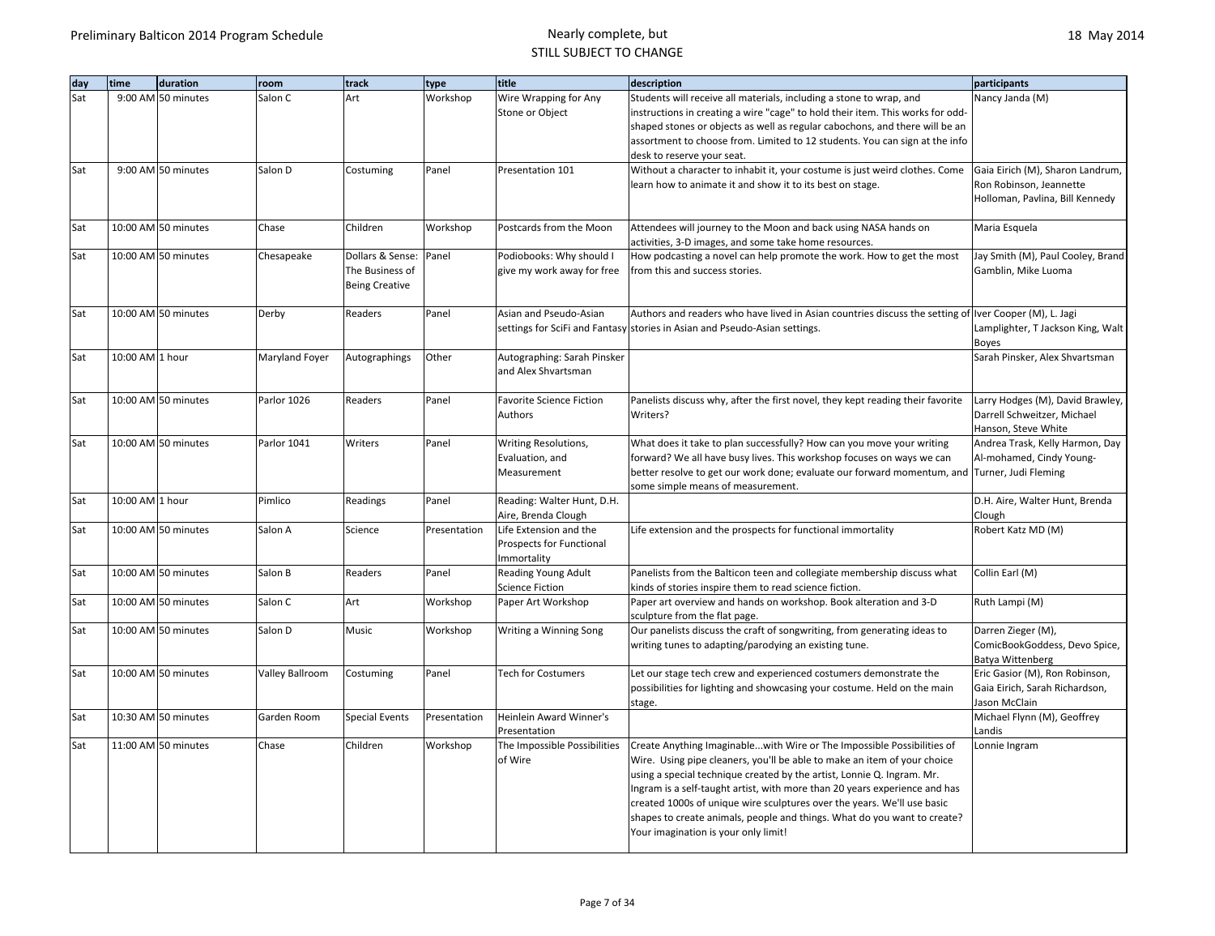| day | time            | duration            | room            | track                                    | type         | title                                     | description                                                                                                                                                   | participants                                                     |
|-----|-----------------|---------------------|-----------------|------------------------------------------|--------------|-------------------------------------------|---------------------------------------------------------------------------------------------------------------------------------------------------------------|------------------------------------------------------------------|
| Sat |                 | 9:00 AM 50 minutes  | Salon C         | Art                                      | Workshop     | Wire Wrapping for Any                     | Students will receive all materials, including a stone to wrap, and                                                                                           | Nancy Janda (M)                                                  |
|     |                 |                     |                 |                                          |              | Stone or Object                           | instructions in creating a wire "cage" to hold their item. This works for odd-<br>shaped stones or objects as well as regular cabochons, and there will be an |                                                                  |
|     |                 |                     |                 |                                          |              |                                           | assortment to choose from. Limited to 12 students. You can sign at the info                                                                                   |                                                                  |
|     |                 |                     |                 |                                          |              |                                           | desk to reserve your seat.                                                                                                                                    |                                                                  |
| Sat |                 | 9:00 AM 50 minutes  | Salon D         | Costuming                                | Panel        | Presentation 101                          | Without a character to inhabit it, your costume is just weird clothes. Come                                                                                   | Gaia Eirich (M), Sharon Landrum,                                 |
|     |                 |                     |                 |                                          |              |                                           | learn how to animate it and show it to its best on stage.                                                                                                     | Ron Robinson, Jeannette                                          |
|     |                 |                     |                 |                                          |              |                                           |                                                                                                                                                               | Holloman, Pavlina, Bill Kennedy                                  |
| Sat |                 | 10:00 AM 50 minutes | Chase           | Children                                 | Workshop     | Postcards from the Moon                   | Attendees will journey to the Moon and back using NASA hands on                                                                                               | Maria Esquela                                                    |
|     |                 |                     |                 |                                          |              |                                           | activities, 3-D images, and some take home resources.                                                                                                         |                                                                  |
| Sat |                 | 10:00 AM 50 minutes | Chesapeake      | Dollars & Sense:                         | Panel        | Podiobooks: Why should I                  | How podcasting a novel can help promote the work. How to get the most                                                                                         | Jay Smith (M), Paul Cooley, Brand                                |
|     |                 |                     |                 | The Business of<br><b>Being Creative</b> |              | give my work away for free                | from this and success stories.                                                                                                                                | Gamblin, Mike Luoma                                              |
|     |                 |                     |                 |                                          |              |                                           |                                                                                                                                                               |                                                                  |
| Sat |                 | 10:00 AM 50 minutes | Derby           | Readers                                  | Panel        | Asian and Pseudo-Asian                    | Authors and readers who have lived in Asian countries discuss the setting of Iver Cooper (M), L. Jagi                                                         |                                                                  |
|     |                 |                     |                 |                                          |              |                                           | settings for SciFi and Fantasy stories in Asian and Pseudo-Asian settings.                                                                                    | Lamplighter, T Jackson King, Walt                                |
|     |                 |                     |                 |                                          |              |                                           |                                                                                                                                                               | Boyes                                                            |
| Sat | 10:00 AM 1 hour |                     | Maryland Foyer  | Autographings                            | Other        | Autographing: Sarah Pinsker               |                                                                                                                                                               | Sarah Pinsker, Alex Shvartsman                                   |
|     |                 |                     |                 |                                          |              | and Alex Shvartsman                       |                                                                                                                                                               |                                                                  |
| Sat |                 | 10:00 AM 50 minutes | Parlor 1026     | Readers                                  | Panel        | <b>Favorite Science Fiction</b>           | Panelists discuss why, after the first novel, they kept reading their favorite                                                                                | Larry Hodges (M), David Brawley,                                 |
|     |                 |                     |                 |                                          |              | Authors                                   | Writers?                                                                                                                                                      | Darrell Schweitzer, Michael                                      |
|     |                 |                     |                 |                                          |              |                                           |                                                                                                                                                               | Hanson, Steve White                                              |
| Sat |                 | 10:00 AM 50 minutes | Parlor 1041     | Writers                                  | Panel        | Writing Resolutions,                      | What does it take to plan successfully? How can you move your writing                                                                                         | Andrea Trask, Kelly Harmon, Day                                  |
|     |                 |                     |                 |                                          |              | Evaluation, and                           | forward? We all have busy lives. This workshop focuses on ways we can                                                                                         | Al-mohamed, Cindy Young-                                         |
|     |                 |                     |                 |                                          |              | Measurement                               | better resolve to get our work done; evaluate our forward momentum, and Turner, Judi Fleming<br>some simple means of measurement.                             |                                                                  |
| Sat | 10:00 AM 1 hour |                     | Pimlico         | Readings                                 | Panel        | Reading: Walter Hunt, D.H.                |                                                                                                                                                               | D.H. Aire, Walter Hunt, Brenda                                   |
|     |                 |                     |                 |                                          |              | Aire, Brenda Clough                       |                                                                                                                                                               | Clough                                                           |
| Sat |                 | 10:00 AM 50 minutes | Salon A         | Science                                  | Presentation | Life Extension and the                    | Life extension and the prospects for functional immortality                                                                                                   | Robert Katz MD (M)                                               |
|     |                 |                     |                 |                                          |              | Prospects for Functional                  |                                                                                                                                                               |                                                                  |
| Sat |                 | 10:00 AM 50 minutes | Salon B         | Readers                                  | Panel        | Immortality<br><b>Reading Young Adult</b> | Panelists from the Balticon teen and collegiate membership discuss what                                                                                       | Collin Earl (M)                                                  |
|     |                 |                     |                 |                                          |              | <b>Science Fiction</b>                    | kinds of stories inspire them to read science fiction.                                                                                                        |                                                                  |
| Sat |                 | 10:00 AM 50 minutes | Salon C         | Art                                      | Workshop     | Paper Art Workshop                        | Paper art overview and hands on workshop. Book alteration and 3-D                                                                                             | Ruth Lampi (M)                                                   |
|     |                 |                     |                 |                                          |              |                                           | sculpture from the flat page.                                                                                                                                 |                                                                  |
| Sat |                 | 10:00 AM 50 minutes | Salon D         | Music                                    | Workshop     | Writing a Winning Song                    | Our panelists discuss the craft of songwriting, from generating ideas to                                                                                      | Darren Zieger (M),                                               |
|     |                 |                     |                 |                                          |              |                                           | writing tunes to adapting/parodying an existing tune.                                                                                                         | ComicBookGoddess, Devo Spice,                                    |
|     |                 |                     |                 |                                          |              |                                           |                                                                                                                                                               | Batya Wittenberg                                                 |
| Sat |                 | 10:00 AM 50 minutes | Valley Ballroom | Costuming                                | Panel        | <b>Tech for Costumers</b>                 | Let our stage tech crew and experienced costumers demonstrate the                                                                                             | Eric Gasior (M), Ron Robinson,<br>Gaia Eirich, Sarah Richardson, |
|     |                 |                     |                 |                                          |              |                                           | possibilities for lighting and showcasing your costume. Held on the main<br>stage.                                                                            | Jason McClain                                                    |
| Sat |                 | 10:30 AM 50 minutes | Garden Room     | <b>Special Events</b>                    | Presentation | Heinlein Award Winner's                   |                                                                                                                                                               | Michael Flynn (M), Geoffrey                                      |
|     |                 |                     |                 |                                          |              | Presentation                              |                                                                                                                                                               | Landis                                                           |
| Sat |                 | 11:00 AM 50 minutes | Chase           | Children                                 | Workshop     | The Impossible Possibilities              | Create Anything Imaginable with Wire or The Impossible Possibilities of                                                                                       | Lonnie Ingram                                                    |
|     |                 |                     |                 |                                          |              | of Wire                                   | Wire. Using pipe cleaners, you'll be able to make an item of your choice                                                                                      |                                                                  |
|     |                 |                     |                 |                                          |              |                                           | using a special technique created by the artist, Lonnie Q. Ingram. Mr.                                                                                        |                                                                  |
|     |                 |                     |                 |                                          |              |                                           | Ingram is a self-taught artist, with more than 20 years experience and has                                                                                    |                                                                  |
|     |                 |                     |                 |                                          |              |                                           | created 1000s of unique wire sculptures over the years. We'll use basic                                                                                       |                                                                  |
|     |                 |                     |                 |                                          |              |                                           | shapes to create animals, people and things. What do you want to create?                                                                                      |                                                                  |
|     |                 |                     |                 |                                          |              |                                           | Your imagination is your only limit!                                                                                                                          |                                                                  |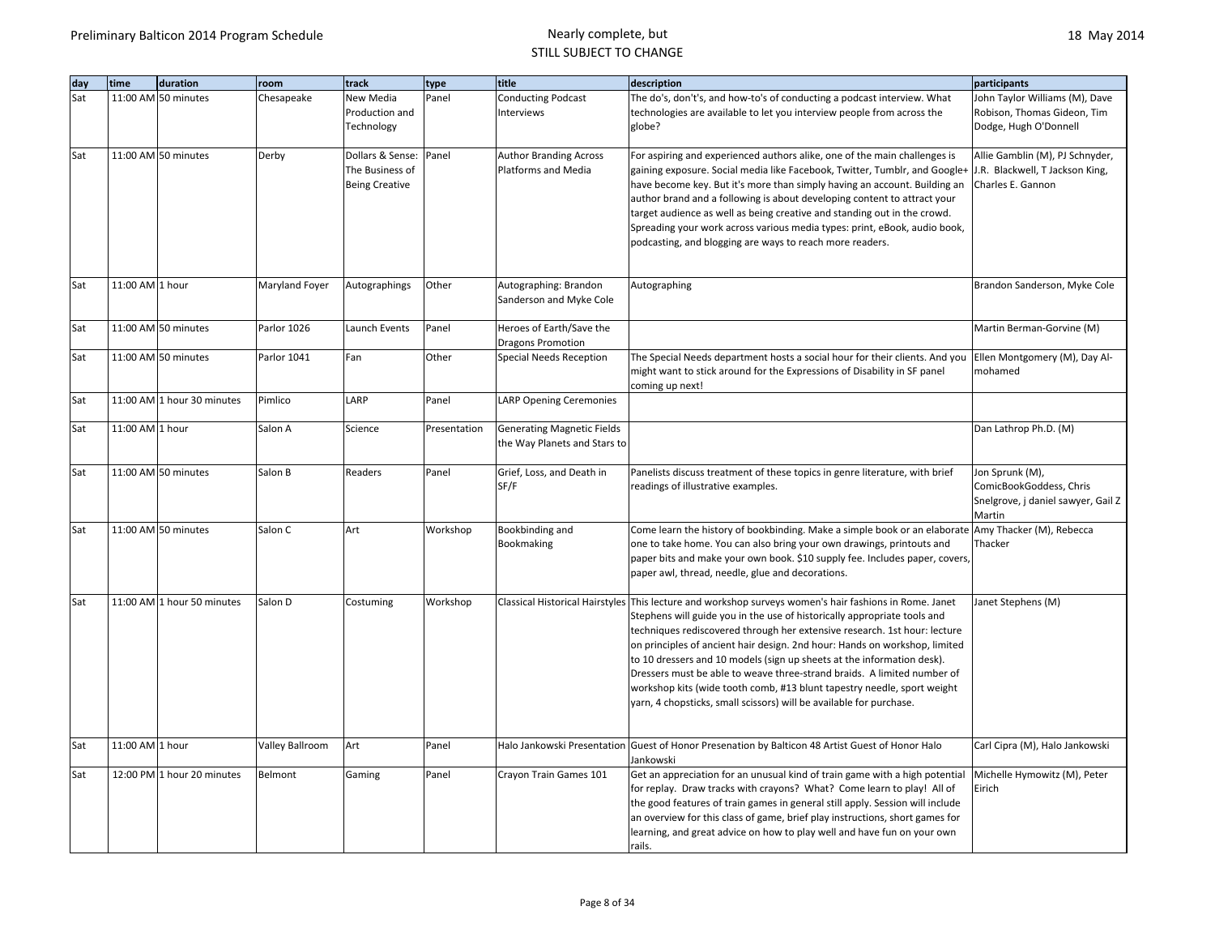| day | time            | duration                   | room            | track                 | type         | title                             | description                                                                                                | participants                       |
|-----|-----------------|----------------------------|-----------------|-----------------------|--------------|-----------------------------------|------------------------------------------------------------------------------------------------------------|------------------------------------|
| Sat |                 | 11:00 AM 50 minutes        | Chesapeake      | New Media             | Panel        | <b>Conducting Podcast</b>         | The do's, don't's, and how-to's of conducting a podcast interview. What                                    | John Taylor Williams (M), Dave     |
|     |                 |                            |                 | Production and        |              | Interviews                        | technologies are available to let you interview people from across the                                     | Robison, Thomas Gideon, Tim        |
|     |                 |                            |                 | Technology            |              |                                   | globe?                                                                                                     | Dodge, Hugh O'Donnell              |
|     |                 |                            |                 |                       |              |                                   |                                                                                                            |                                    |
| Sat |                 | 11:00 AM 50 minutes        | Derby           | Dollars & Sense:      | Panel        | <b>Author Branding Across</b>     | For aspiring and experienced authors alike, one of the main challenges is                                  | Allie Gamblin (M), PJ Schnyder,    |
|     |                 |                            |                 | The Business of       |              | Platforms and Media               | gaining exposure. Social media like Facebook, Twitter, Tumblr, and Google+ J.R. Blackwell, T Jackson King, |                                    |
|     |                 |                            |                 | <b>Being Creative</b> |              |                                   | have become key. But it's more than simply having an account. Building an                                  | Charles E. Gannon                  |
|     |                 |                            |                 |                       |              |                                   | author brand and a following is about developing content to attract your                                   |                                    |
|     |                 |                            |                 |                       |              |                                   | target audience as well as being creative and standing out in the crowd.                                   |                                    |
|     |                 |                            |                 |                       |              |                                   | Spreading your work across various media types: print, eBook, audio book,                                  |                                    |
|     |                 |                            |                 |                       |              |                                   | podcasting, and blogging are ways to reach more readers.                                                   |                                    |
|     |                 |                            |                 |                       |              |                                   |                                                                                                            |                                    |
|     |                 |                            |                 |                       |              |                                   |                                                                                                            |                                    |
| Sat | 11:00 AM 1 hour |                            | Maryland Foyer  | Autographings         | Other        | Autographing: Brandon             | Autographing                                                                                               | Brandon Sanderson, Myke Cole       |
|     |                 |                            |                 |                       |              | Sanderson and Myke Cole           |                                                                                                            |                                    |
|     |                 |                            |                 |                       |              |                                   |                                                                                                            |                                    |
| Sat |                 | 11:00 AM 50 minutes        | Parlor 1026     | Launch Events         | Panel        | Heroes of Earth/Save the          |                                                                                                            | Martin Berman-Gorvine (M)          |
|     |                 |                            |                 |                       |              | <b>Dragons Promotion</b>          |                                                                                                            |                                    |
| Sat |                 | 11:00 AM 50 minutes        | Parlor 1041     | Fan                   | Other        | Special Needs Reception           | The Special Needs department hosts a social hour for their clients. And you                                | Ellen Montgomery (M), Day Al-      |
|     |                 |                            |                 |                       |              |                                   | might want to stick around for the Expressions of Disability in SF panel                                   | mohamed                            |
|     |                 |                            |                 |                       |              |                                   | coming up next!                                                                                            |                                    |
| Sat |                 | 11:00 AM 1 hour 30 minutes | Pimlico         | LARP                  | Panel        | <b>LARP Opening Ceremonies</b>    |                                                                                                            |                                    |
|     |                 |                            |                 |                       |              |                                   |                                                                                                            |                                    |
| Sat | 11:00 AM 1 hour |                            | Salon A         | Science               | Presentation | <b>Generating Magnetic Fields</b> |                                                                                                            | Dan Lathrop Ph.D. (M)              |
|     |                 |                            |                 |                       |              | the Way Planets and Stars to      |                                                                                                            |                                    |
|     |                 |                            |                 |                       |              |                                   |                                                                                                            |                                    |
| Sat |                 | 11:00 AM 50 minutes        | Salon B         | Readers               | Panel        | Grief, Loss, and Death in         | Panelists discuss treatment of these topics in genre literature, with brief                                | Jon Sprunk (M),                    |
|     |                 |                            |                 |                       |              | SF/F                              | readings of illustrative examples.                                                                         | ComicBookGoddess, Chris            |
|     |                 |                            |                 |                       |              |                                   |                                                                                                            | Snelgrove, j daniel sawyer, Gail Z |
|     |                 |                            |                 |                       |              |                                   |                                                                                                            | Martin                             |
| Sat |                 | 11:00 AM 50 minutes        | Salon C         | Art                   | Workshop     | Bookbinding and                   | Come learn the history of bookbinding. Make a simple book or an elaborate Amy Thacker (M), Rebecca         |                                    |
|     |                 |                            |                 |                       |              | Bookmaking                        | one to take home. You can also bring your own drawings, printouts and                                      | Thacker                            |
|     |                 |                            |                 |                       |              |                                   | paper bits and make your own book. \$10 supply fee. Includes paper, covers,                                |                                    |
|     |                 |                            |                 |                       |              |                                   | paper awl, thread, needle, glue and decorations.                                                           |                                    |
| Sat |                 | 11:00 AM 1 hour 50 minutes | Salon D         | Costuming             | Workshop     |                                   | Classical Historical Hairstyles This lecture and workshop surveys women's hair fashions in Rome. Janet     | Janet Stephens (M)                 |
|     |                 |                            |                 |                       |              |                                   | Stephens will guide you in the use of historically appropriate tools and                                   |                                    |
|     |                 |                            |                 |                       |              |                                   | techniques rediscovered through her extensive research. 1st hour: lecture                                  |                                    |
|     |                 |                            |                 |                       |              |                                   | on principles of ancient hair design. 2nd hour: Hands on workshop, limited                                 |                                    |
|     |                 |                            |                 |                       |              |                                   | to 10 dressers and 10 models (sign up sheets at the information desk).                                     |                                    |
|     |                 |                            |                 |                       |              |                                   | Dressers must be able to weave three-strand braids. A limited number of                                    |                                    |
|     |                 |                            |                 |                       |              |                                   |                                                                                                            |                                    |
|     |                 |                            |                 |                       |              |                                   | workshop kits (wide tooth comb, #13 blunt tapestry needle, sport weight                                    |                                    |
|     |                 |                            |                 |                       |              |                                   | yarn, 4 chopsticks, small scissors) will be available for purchase.                                        |                                    |
|     |                 |                            |                 |                       |              |                                   |                                                                                                            |                                    |
| Sat | 11:00 AM 1 hour |                            | Valley Ballroom | Art                   | Panel        |                                   | Halo Jankowski Presentation Guest of Honor Presenation by Balticon 48 Artist Guest of Honor Halo           | Carl Cipra (M), Halo Jankowski     |
|     |                 |                            |                 |                       |              |                                   | Jankowski                                                                                                  |                                    |
| Sat |                 | 12:00 PM 1 hour 20 minutes | Belmont         | Gaming                | Panel        | Crayon Train Games 101            | Get an appreciation for an unusual kind of train game with a high potential                                | Michelle Hymowitz (M), Peter       |
|     |                 |                            |                 |                       |              |                                   | for replay. Draw tracks with crayons? What? Come learn to play! All of                                     | Eirich                             |
|     |                 |                            |                 |                       |              |                                   | the good features of train games in general still apply. Session will include                              |                                    |
|     |                 |                            |                 |                       |              |                                   | an overview for this class of game, brief play instructions, short games for                               |                                    |
|     |                 |                            |                 |                       |              |                                   | learning, and great advice on how to play well and have fun on your own                                    |                                    |
|     |                 |                            |                 |                       |              |                                   | rails.                                                                                                     |                                    |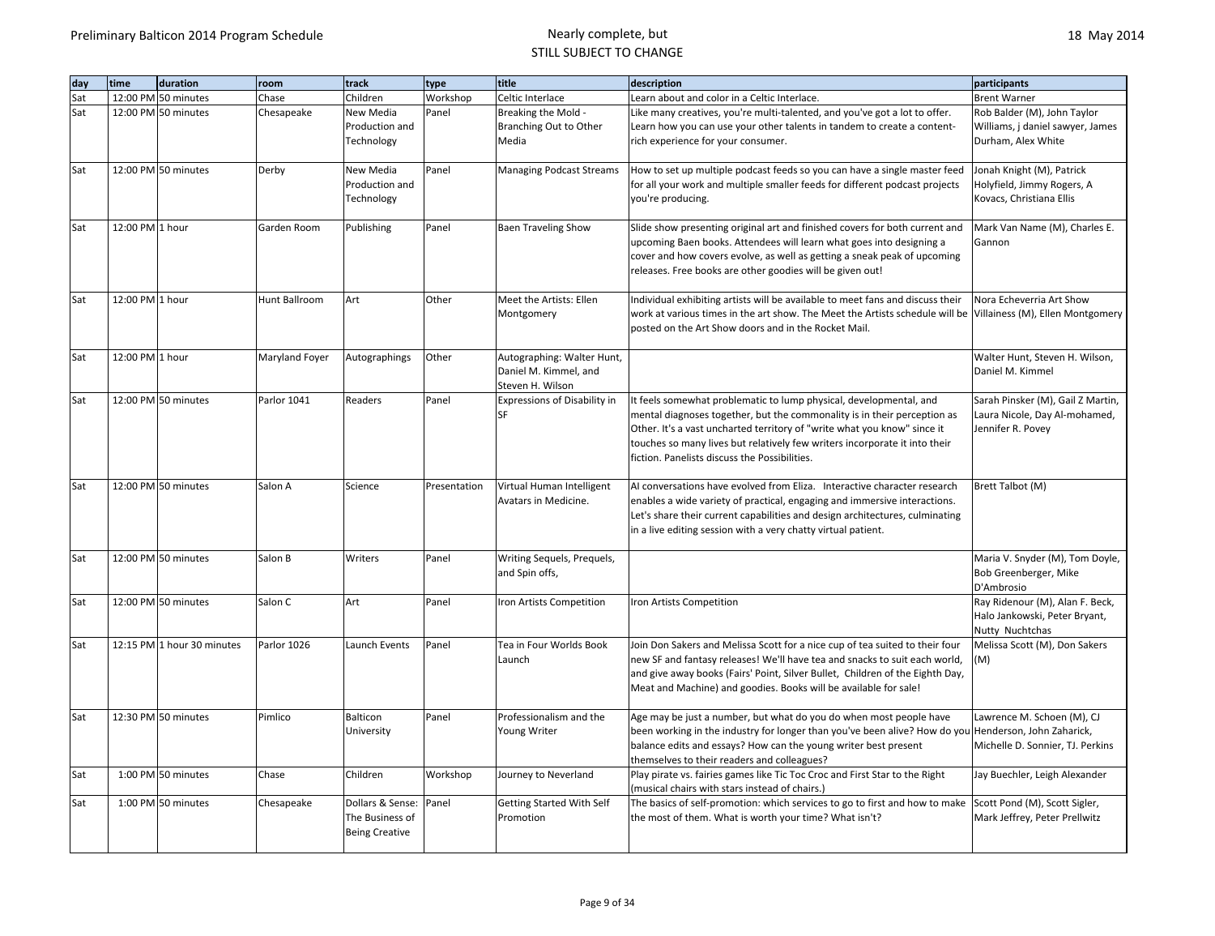| day | time<br>duration           | room           | track                                                        | type         | title                                                                   | description                                                                                                                                                                                                                                                                                                                                               | participants                                                                            |
|-----|----------------------------|----------------|--------------------------------------------------------------|--------------|-------------------------------------------------------------------------|-----------------------------------------------------------------------------------------------------------------------------------------------------------------------------------------------------------------------------------------------------------------------------------------------------------------------------------------------------------|-----------------------------------------------------------------------------------------|
| Sat | 12:00 PM 50 minutes        | Chase          | Children                                                     | Workshop     | Celtic Interlace                                                        | Learn about and color in a Celtic Interlace.                                                                                                                                                                                                                                                                                                              | <b>Brent Warner</b>                                                                     |
| Sat | 12:00 PM 50 minutes        | Chesapeake     | New Media<br>Production and<br>Technology                    | Panel        | Breaking the Mold -<br>Branching Out to Other<br>Media                  | Like many creatives, you're multi-talented, and you've got a lot to offer.<br>Learn how you can use your other talents in tandem to create a content-<br>rich experience for your consumer.                                                                                                                                                               | Rob Balder (M), John Taylor<br>Williams, j daniel sawyer, James<br>Durham, Alex White   |
| Sat | 12:00 PM 50 minutes        | Derby          | New Media<br>Production and<br>Technology                    | Panel        | <b>Managing Podcast Streams</b>                                         | How to set up multiple podcast feeds so you can have a single master feed<br>for all your work and multiple smaller feeds for different podcast projects<br>you're producing.                                                                                                                                                                             | Jonah Knight (M), Patrick<br>Holyfield, Jimmy Rogers, A<br>Kovacs, Christiana Ellis     |
| Sat | 12:00 PM 1 hour            | Garden Room    | Publishing                                                   | Panel        | <b>Baen Traveling Show</b>                                              | Slide show presenting original art and finished covers for both current and<br>upcoming Baen books. Attendees will learn what goes into designing a<br>cover and how covers evolve, as well as getting a sneak peak of upcoming<br>releases. Free books are other goodies will be given out!                                                              | Mark Van Name (M), Charles E.<br>Gannon                                                 |
| Sat | 12:00 PM 1 hour            | Hunt Ballroom  | Art                                                          | Other        | Meet the Artists: Ellen<br>Montgomery                                   | Individual exhibiting artists will be available to meet fans and discuss their<br>work at various times in the art show. The Meet the Artists schedule will be Villainess (M), Ellen Montgomery<br>posted on the Art Show doors and in the Rocket Mail.                                                                                                   | Nora Echeverria Art Show                                                                |
| Sat | 12:00 PM 1 hour            | Maryland Foyer | Autographings                                                | Other        | Autographing: Walter Hunt,<br>Daniel M. Kimmel, and<br>Steven H. Wilson |                                                                                                                                                                                                                                                                                                                                                           | Walter Hunt, Steven H. Wilson,<br>Daniel M. Kimmel                                      |
| Sat | 12:00 PM 50 minutes        | Parlor 1041    | Readers                                                      | Panel        | Expressions of Disability in<br><b>SF</b>                               | It feels somewhat problematic to lump physical, developmental, and<br>mental diagnoses together, but the commonality is in their perception as<br>Other. It's a vast uncharted territory of "write what you know" since it<br>touches so many lives but relatively few writers incorporate it into their<br>fiction. Panelists discuss the Possibilities. | Sarah Pinsker (M), Gail Z Martin,<br>Laura Nicole, Day Al-mohamed,<br>Jennifer R. Povey |
| Sat | 12:00 PM 50 minutes        | Salon A        | Science                                                      | Presentation | Virtual Human Intelligent<br>Avatars in Medicine.                       | Al conversations have evolved from Eliza. Interactive character research<br>enables a wide variety of practical, engaging and immersive interactions.<br>Let's share their current capabilities and design architectures, culminating<br>in a live editing session with a very chatty virtual patient.                                                    | Brett Talbot (M)                                                                        |
| Sat | 12:00 PM 50 minutes        | Salon B        | Writers                                                      | Panel        | Writing Sequels, Prequels,<br>and Spin offs,                            |                                                                                                                                                                                                                                                                                                                                                           | Maria V. Snyder (M), Tom Doyle,<br>Bob Greenberger, Mike<br>D'Ambrosio                  |
| Sat | 12:00 PM 50 minutes        | Salon C        | Art                                                          | Panel        | Iron Artists Competition                                                | Iron Artists Competition                                                                                                                                                                                                                                                                                                                                  | Ray Ridenour (M), Alan F. Beck,<br>Halo Jankowski, Peter Bryant,<br>Nutty Nuchtchas     |
| Sat | 12:15 PM 1 hour 30 minutes | Parlor 1026    | Launch Events                                                | Panel        | Tea in Four Worlds Book<br>Launch                                       | Join Don Sakers and Melissa Scott for a nice cup of tea suited to their four<br>new SF and fantasy releases! We'll have tea and snacks to suit each world,<br>and give away books (Fairs' Point, Silver Bullet, Children of the Eighth Day,<br>Meat and Machine) and goodies. Books will be available for sale!                                           | Melissa Scott (M), Don Sakers<br>(M)                                                    |
| Sat | 12:30 PM 50 minutes        | Pimlico        | Balticon<br>University                                       | Panel        | Professionalism and the<br>Young Writer                                 | Age may be just a number, but what do you do when most people have<br>been working in the industry for longer than you've been alive? How do you Henderson, John Zaharick,<br>balance edits and essays? How can the young writer best present<br>themselves to their readers and colleagues?                                                              | Lawrence M. Schoen (M), CJ<br>Michelle D. Sonnier, TJ. Perkins                          |
| Sat | 1:00 PM 50 minutes         | Chase          | Children                                                     | Workshop     | Journey to Neverland                                                    | Play pirate vs. fairies games like Tic Toc Croc and First Star to the Right<br>(musical chairs with stars instead of chairs.)                                                                                                                                                                                                                             | Jay Buechler, Leigh Alexander                                                           |
| Sat | 1:00 PM 50 minutes         | Chesapeake     | Dollars & Sense:<br>The Business of<br><b>Being Creative</b> | Panel        | <b>Getting Started With Self</b><br>Promotion                           | The basics of self-promotion: which services to go to first and how to make<br>the most of them. What is worth your time? What isn't?                                                                                                                                                                                                                     | Scott Pond (M), Scott Sigler,<br>Mark Jeffrey, Peter Prellwitz                          |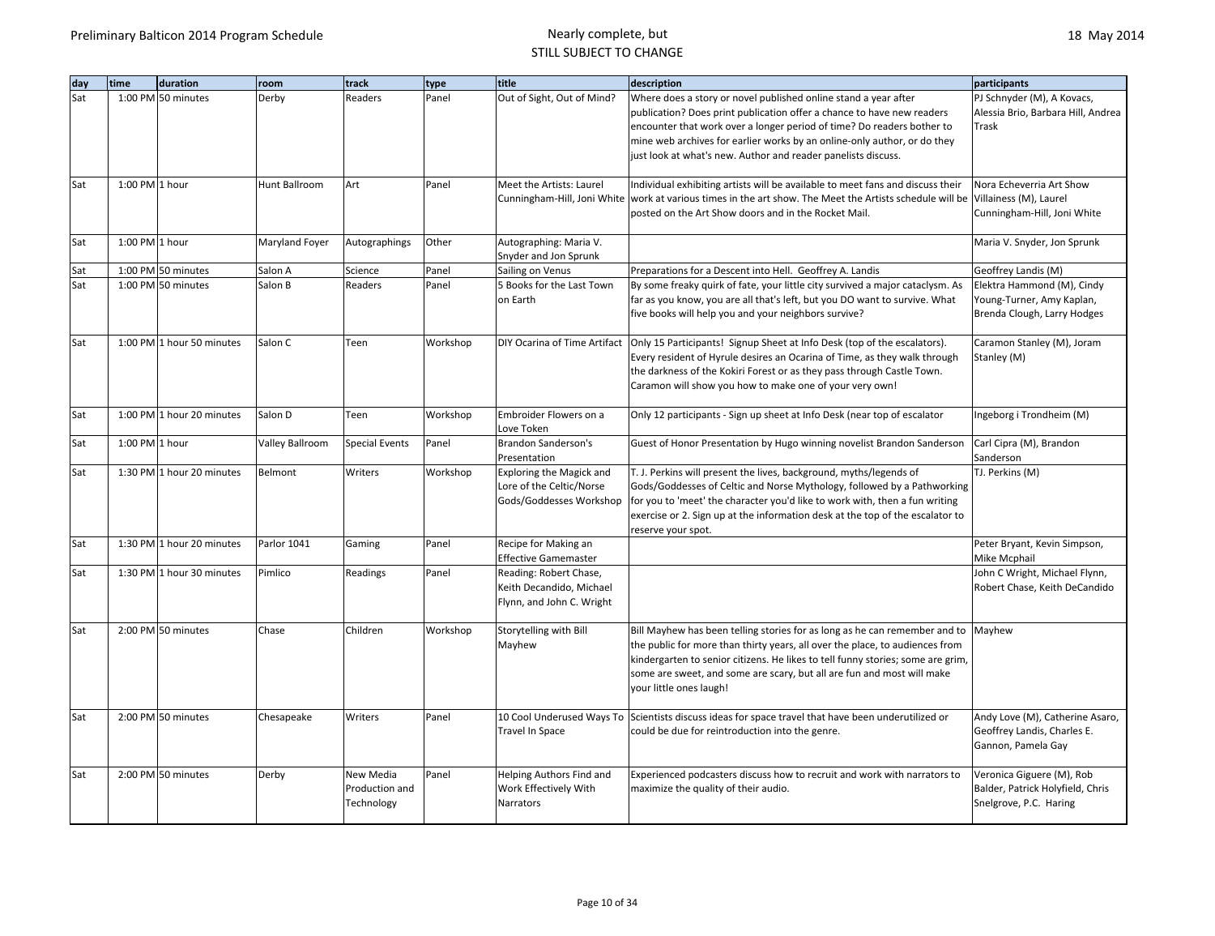| dav | time             | duration                  | room                   | track                                     | type     | title                                                                           | description                                                                                                                                                                                                                                                                                                                                                      | participants                                                                            |
|-----|------------------|---------------------------|------------------------|-------------------------------------------|----------|---------------------------------------------------------------------------------|------------------------------------------------------------------------------------------------------------------------------------------------------------------------------------------------------------------------------------------------------------------------------------------------------------------------------------------------------------------|-----------------------------------------------------------------------------------------|
| Sat |                  | 1:00 PM 50 minutes        | Derby                  | Readers                                   | Panel    | Out of Sight, Out of Mind?                                                      | Where does a story or novel published online stand a year after<br>publication? Does print publication offer a chance to have new readers<br>encounter that work over a longer period of time? Do readers bother to<br>mine web archives for earlier works by an online-only author, or do they<br>just look at what's new. Author and reader panelists discuss. | PJ Schnyder (M), A Kovacs,<br>Alessia Brio, Barbara Hill, Andrea<br>Trask               |
| Sat | 1:00 PM 1 hour   |                           | Hunt Ballroom          | Art                                       | Panel    | Meet the Artists: Laurel                                                        | Individual exhibiting artists will be available to meet fans and discuss their<br>Cunningham-Hill, Joni White work at various times in the art show. The Meet the Artists schedule will be<br>posted on the Art Show doors and in the Rocket Mail.                                                                                                               | Nora Echeverria Art Show<br>Villainess (M), Laurel<br>Cunningham-Hill, Joni White       |
| Sat | $1:00$ PM 1 hour |                           | Maryland Foyer         | Autographings                             | Other    | Autographing: Maria V.<br>Snyder and Jon Sprunk                                 |                                                                                                                                                                                                                                                                                                                                                                  | Maria V. Snyder, Jon Sprunk                                                             |
| Sat |                  | 1:00 PM 50 minutes        | Salon A                | Science                                   | Panel    | Sailing on Venus                                                                | Preparations for a Descent into Hell. Geoffrey A. Landis                                                                                                                                                                                                                                                                                                         | Geoffrey Landis (M)                                                                     |
| Sat |                  | 1:00 PM 50 minutes        | Salon B                | Readers                                   | Panel    | 5 Books for the Last Town<br>on Earth                                           | By some freaky quirk of fate, your little city survived a major cataclysm. As<br>far as you know, you are all that's left, but you DO want to survive. What<br>five books will help you and your neighbors survive?                                                                                                                                              | Elektra Hammond (M), Cindy<br>Young-Turner, Amy Kaplan,<br>Brenda Clough, Larry Hodges  |
| Sat |                  | 1:00 PM 1 hour 50 minutes | Salon C                | Teen                                      | Workshop |                                                                                 | DIY Ocarina of Time Artifact   Only 15 Participants! Signup Sheet at Info Desk (top of the escalators).<br>Every resident of Hyrule desires an Ocarina of Time, as they walk through<br>the darkness of the Kokiri Forest or as they pass through Castle Town.<br>Caramon will show you how to make one of your very own!                                        | Caramon Stanley (M), Joram<br>Stanley (M)                                               |
| Sat |                  | 1:00 PM 1 hour 20 minutes | Salon D                | Teen                                      | Workshop | Embroider Flowers on a<br>Love Token                                            | Only 12 participants - Sign up sheet at Info Desk (near top of escalator                                                                                                                                                                                                                                                                                         | Ingeborg i Trondheim (M)                                                                |
| Sat | 1:00 PM 1 hour   |                           | <b>Valley Ballroom</b> | <b>Special Events</b>                     | Panel    | <b>Brandon Sanderson's</b><br>Presentation                                      | Guest of Honor Presentation by Hugo winning novelist Brandon Sanderson                                                                                                                                                                                                                                                                                           | Carl Cipra (M), Brandon<br>Sanderson                                                    |
| Sat |                  | 1:30 PM 1 hour 20 minutes | Belmont                | Writers                                   | Workshop | Exploring the Magick and<br>Lore of the Celtic/Norse<br>Gods/Goddesses Workshop | T. J. Perkins will present the lives, background, myths/legends of<br>Gods/Goddesses of Celtic and Norse Mythology, followed by a Pathworking<br>for you to 'meet' the character you'd like to work with, then a fun writing<br>exercise or 2. Sign up at the information desk at the top of the escalator to<br>reserve your spot.                              | TJ. Perkins (M)                                                                         |
| Sat |                  | 1:30 PM 1 hour 20 minutes | Parlor 1041            | Gaming                                    | Panel    | Recipe for Making an<br><b>Effective Gamemaster</b>                             |                                                                                                                                                                                                                                                                                                                                                                  | Peter Bryant, Kevin Simpson,<br>Mike Mcphail                                            |
| Sat |                  | 1:30 PM 1 hour 30 minutes | Pimlico                | Readings                                  | Panel    | Reading: Robert Chase,<br>Keith Decandido, Michael<br>Flynn, and John C. Wright |                                                                                                                                                                                                                                                                                                                                                                  | John C Wright, Michael Flynn,<br>Robert Chase, Keith DeCandido                          |
| Sat |                  | 2:00 PM 50 minutes        | Chase                  | Children                                  | Workshop | Storytelling with Bill<br>Mayhew                                                | Bill Mayhew has been telling stories for as long as he can remember and to Mayhew<br>the public for more than thirty years, all over the place, to audiences from<br>kindergarten to senior citizens. He likes to tell funny stories; some are grim,<br>some are sweet, and some are scary, but all are fun and most will make<br>your little ones laugh!        |                                                                                         |
| Sat |                  | 2:00 PM 50 minutes        | Chesapeake             | Writers                                   | Panel    | Travel In Space                                                                 | 10 Cool Underused Ways To Scientists discuss ideas for space travel that have been underutilized or<br>could be due for reintroduction into the genre.                                                                                                                                                                                                           | Andy Love (M), Catherine Asaro,<br>Geoffrey Landis, Charles E.<br>Gannon, Pamela Gay    |
| Sat |                  | 2:00 PM 50 minutes        | Derby                  | New Media<br>Production and<br>Technology | Panel    | Helping Authors Find and<br>Work Effectively With<br>Narrators                  | Experienced podcasters discuss how to recruit and work with narrators to<br>maximize the quality of their audio.                                                                                                                                                                                                                                                 | Veronica Giguere (M), Rob<br>Balder, Patrick Holyfield, Chris<br>Snelgrove, P.C. Haring |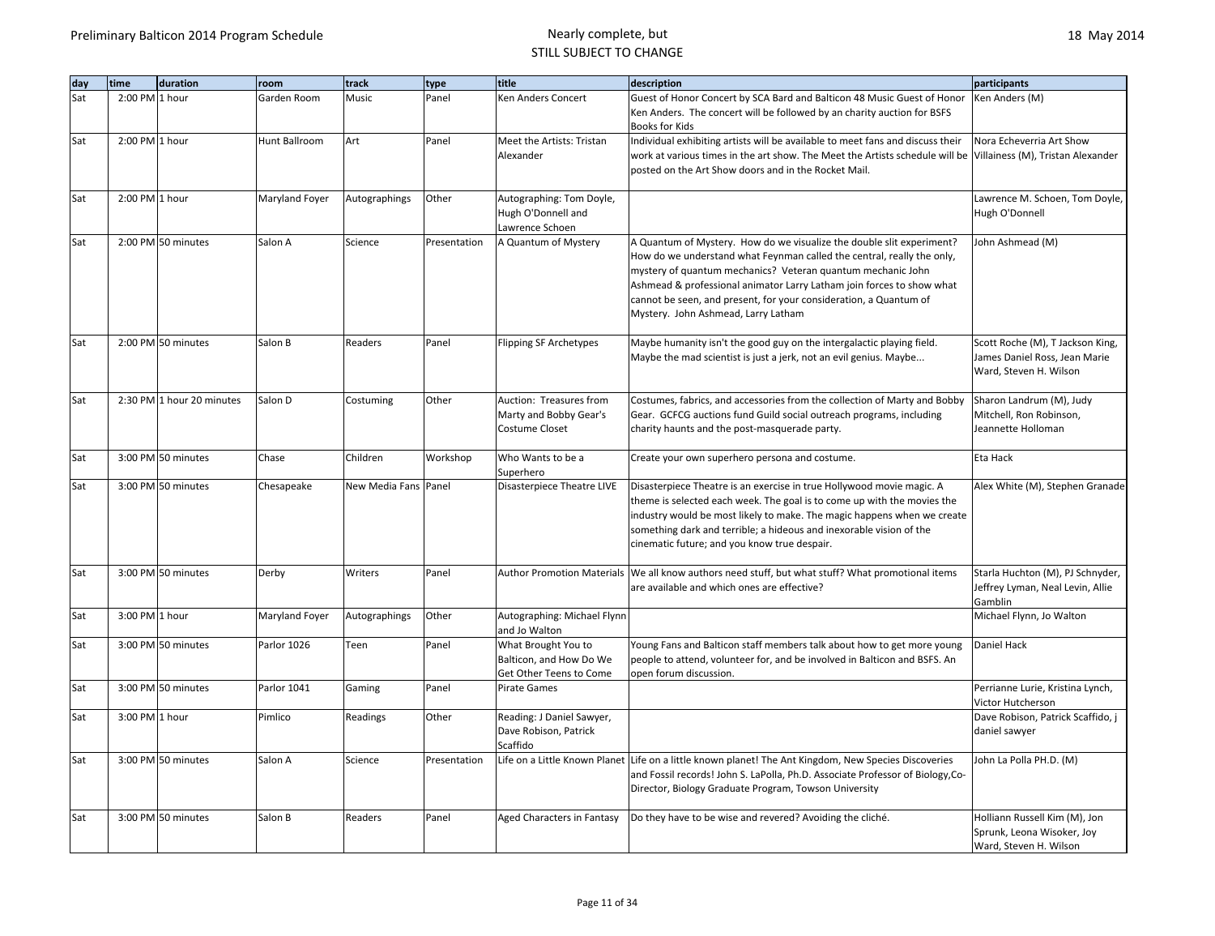| day | time           | duration                  | room           | track                | type         | title                                          | description                                                                                                                                | participants                      |
|-----|----------------|---------------------------|----------------|----------------------|--------------|------------------------------------------------|--------------------------------------------------------------------------------------------------------------------------------------------|-----------------------------------|
| Sat | 2:00 PM 1 hour |                           | Garden Room    | Music                | Panel        | Ken Anders Concert                             | Guest of Honor Concert by SCA Bard and Balticon 48 Music Guest of Honor                                                                    | Ken Anders (M)                    |
|     |                |                           |                |                      |              |                                                | Ken Anders. The concert will be followed by an charity auction for BSFS<br>Books for Kids                                                  |                                   |
| Sat | 2:00 PM 1 hour |                           | Hunt Ballroom  | Art                  | Panel        | Meet the Artists: Tristan                      | Individual exhibiting artists will be available to meet fans and discuss their                                                             | Nora Echeverria Art Show          |
|     |                |                           |                |                      |              | Alexander                                      | work at various times in the art show. The Meet the Artists schedule will be Villainess (M), Tristan Alexander                             |                                   |
|     |                |                           |                |                      |              |                                                | posted on the Art Show doors and in the Rocket Mail.                                                                                       |                                   |
| Sat | 2:00 PM 1 hour |                           | Maryland Foyer | Autographings        | Other        | Autographing: Tom Doyle,                       |                                                                                                                                            | Lawrence M. Schoen, Tom Doyle,    |
|     |                |                           |                |                      |              | Hugh O'Donnell and                             |                                                                                                                                            | Hugh O'Donnell                    |
|     |                |                           |                |                      |              | Lawrence Schoen                                |                                                                                                                                            |                                   |
| Sat |                | 2:00 PM 50 minutes        | Salon A        | Science              | Presentation | A Quantum of Mystery                           | A Quantum of Mystery. How do we visualize the double slit experiment?                                                                      | John Ashmead (M)                  |
|     |                |                           |                |                      |              |                                                | How do we understand what Feynman called the central, really the only,                                                                     |                                   |
|     |                |                           |                |                      |              |                                                | mystery of quantum mechanics? Veteran quantum mechanic John                                                                                |                                   |
|     |                |                           |                |                      |              |                                                | Ashmead & professional animator Larry Latham join forces to show what<br>cannot be seen, and present, for your consideration, a Quantum of |                                   |
|     |                |                           |                |                      |              |                                                | Mystery. John Ashmead, Larry Latham                                                                                                        |                                   |
|     |                |                           |                |                      |              |                                                |                                                                                                                                            |                                   |
| Sat |                | 2:00 PM 50 minutes        | Salon B        | Readers              | Panel        | Flipping SF Archetypes                         | Maybe humanity isn't the good guy on the intergalactic playing field.                                                                      | Scott Roche (M), T Jackson King,  |
|     |                |                           |                |                      |              |                                                | Maybe the mad scientist is just a jerk, not an evil genius. Maybe                                                                          | James Daniel Ross, Jean Marie     |
|     |                |                           |                |                      |              |                                                |                                                                                                                                            | Ward, Steven H. Wilson            |
| Sat |                | 2:30 PM 1 hour 20 minutes | Salon D        | Costuming            | Other        | Auction: Treasures from                        | Costumes, fabrics, and accessories from the collection of Marty and Bobby                                                                  | Sharon Landrum (M), Judy          |
|     |                |                           |                |                      |              | Marty and Bobby Gear's                         | Gear. GCFCG auctions fund Guild social outreach programs, including                                                                        | Mitchell, Ron Robinson,           |
|     |                |                           |                |                      |              | Costume Closet                                 | charity haunts and the post-masquerade party.                                                                                              | Jeannette Holloman                |
|     |                |                           |                |                      |              |                                                |                                                                                                                                            |                                   |
| Sat |                | 3:00 PM 50 minutes        | Chase          | Children             | Workshop     | Who Wants to be a                              | Create your own superhero persona and costume.                                                                                             | Eta Hack                          |
| Sat |                | 3:00 PM 50 minutes        | Chesapeake     | New Media Fans Panel |              | Superhero<br>Disasterpiece Theatre LIVE        | Disasterpiece Theatre is an exercise in true Hollywood movie magic. A                                                                      | Alex White (M), Stephen Granade   |
|     |                |                           |                |                      |              |                                                | theme is selected each week. The goal is to come up with the movies the                                                                    |                                   |
|     |                |                           |                |                      |              |                                                | industry would be most likely to make. The magic happens when we create                                                                    |                                   |
|     |                |                           |                |                      |              |                                                | something dark and terrible; a hideous and inexorable vision of the                                                                        |                                   |
|     |                |                           |                |                      |              |                                                | cinematic future; and you know true despair.                                                                                               |                                   |
| Sat |                | 3:00 PM 50 minutes        | Derby          | Writers              | Panel        | <b>Author Promotion Materials</b>              | We all know authors need stuff, but what stuff? What promotional items                                                                     | Starla Huchton (M), PJ Schnyder,  |
|     |                |                           |                |                      |              |                                                | are available and which ones are effective?                                                                                                | Jeffrey Lyman, Neal Levin, Allie  |
|     |                |                           |                |                      |              |                                                |                                                                                                                                            | Gamblin                           |
| Sat | 3:00 PM 1 hour |                           | Maryland Foyer | Autographings        | Other        | Autographing: Michael Flynn                    |                                                                                                                                            | Michael Flynn, Jo Walton          |
|     |                |                           |                |                      |              | and Jo Walton                                  |                                                                                                                                            |                                   |
| Sat |                | 3:00 PM 50 minutes        | Parlor 1026    | Teen                 | Panel        | What Brought You to                            | Young Fans and Balticon staff members talk about how to get more young                                                                     | <b>Daniel Hack</b>                |
|     |                |                           |                |                      |              | Balticon, and How Do We                        | people to attend, volunteer for, and be involved in Balticon and BSFS. An                                                                  |                                   |
| Sat |                | 3:00 PM 50 minutes        | Parlor 1041    | Gaming               | Panel        | Get Other Teens to Come<br><b>Pirate Games</b> | open forum discussion.                                                                                                                     | Perrianne Lurie, Kristina Lynch,  |
|     |                |                           |                |                      |              |                                                |                                                                                                                                            | Victor Hutcherson                 |
| Sat | 3:00 PM 1 hour |                           | Pimlico        | Readings             | Other        | Reading: J Daniel Sawyer,                      |                                                                                                                                            | Dave Robison, Patrick Scaffido, j |
|     |                |                           |                |                      |              | Dave Robison, Patrick                          |                                                                                                                                            | daniel sawyer                     |
|     |                |                           |                |                      |              | Scaffido                                       |                                                                                                                                            |                                   |
| Sat |                | 3:00 PM 50 minutes        | Salon A        | Science              | Presentation |                                                | Life on a Little Known Planet Life on a little known planet! The Ant Kingdom, New Species Discoveries                                      | John La Polla PH.D. (M)           |
|     |                |                           |                |                      |              |                                                | and Fossil records! John S. LaPolla, Ph.D. Associate Professor of Biology, Co-                                                             |                                   |
|     |                |                           |                |                      |              |                                                | Director, Biology Graduate Program, Towson University                                                                                      |                                   |
| Sat |                | 3:00 PM 50 minutes        | Salon B        | Readers              | Panel        | Aged Characters in Fantasy                     | Do they have to be wise and revered? Avoiding the cliché.                                                                                  | Holliann Russell Kim (M), Jon     |
|     |                |                           |                |                      |              |                                                |                                                                                                                                            | Sprunk, Leona Wisoker, Joy        |
|     |                |                           |                |                      |              |                                                |                                                                                                                                            | Ward, Steven H. Wilson            |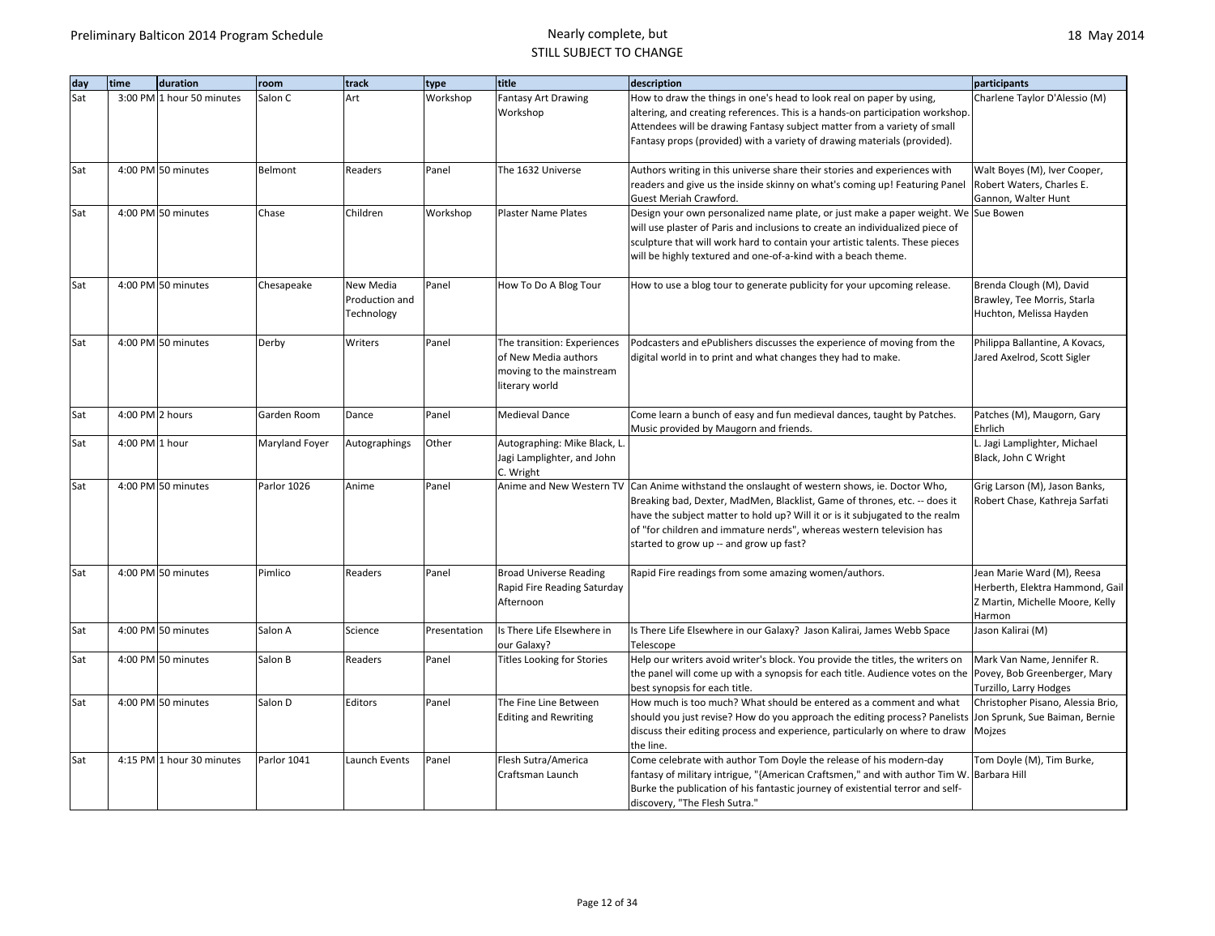| day | time            | duration                  | room           | track          | type         | title                                                        | description                                                                                                                                      | participants                                                    |
|-----|-----------------|---------------------------|----------------|----------------|--------------|--------------------------------------------------------------|--------------------------------------------------------------------------------------------------------------------------------------------------|-----------------------------------------------------------------|
| Sat |                 | 3:00 PM 1 hour 50 minutes | Salon C        | Art            | Workshop     | <b>Fantasy Art Drawing</b>                                   | How to draw the things in one's head to look real on paper by using,                                                                             | Charlene Taylor D'Alessio (M)                                   |
|     |                 |                           |                |                |              | Workshop                                                     | altering, and creating references. This is a hands-on participation workshop.                                                                    |                                                                 |
|     |                 |                           |                |                |              |                                                              | Attendees will be drawing Fantasy subject matter from a variety of small                                                                         |                                                                 |
|     |                 |                           |                |                |              |                                                              | Fantasy props (provided) with a variety of drawing materials (provided).                                                                         |                                                                 |
| Sat |                 | 4:00 PM 50 minutes        | Belmont        | Readers        | Panel        | The 1632 Universe                                            | Authors writing in this universe share their stories and experiences with                                                                        | Walt Boyes (M), Iver Cooper,                                    |
|     |                 |                           |                |                |              |                                                              | readers and give us the inside skinny on what's coming up! Featuring Panel                                                                       | Robert Waters, Charles E.                                       |
|     |                 |                           |                |                |              |                                                              | Guest Meriah Crawford.                                                                                                                           | Gannon, Walter Hunt                                             |
| Sat |                 | 4:00 PM 50 minutes        | Chase          | Children       | Workshop     | <b>Plaster Name Plates</b>                                   | Design your own personalized name plate, or just make a paper weight. We Sue Bowen                                                               |                                                                 |
|     |                 |                           |                |                |              |                                                              | will use plaster of Paris and inclusions to create an individualized piece of                                                                    |                                                                 |
|     |                 |                           |                |                |              |                                                              | sculpture that will work hard to contain your artistic talents. These pieces                                                                     |                                                                 |
|     |                 |                           |                |                |              |                                                              | will be highly textured and one-of-a-kind with a beach theme.                                                                                    |                                                                 |
| Sat |                 | 4:00 PM 50 minutes        | Chesapeake     | New Media      | Panel        | How To Do A Blog Tour                                        | How to use a blog tour to generate publicity for your upcoming release.                                                                          | Brenda Clough (M), David                                        |
|     |                 |                           |                | Production and |              |                                                              |                                                                                                                                                  | Brawley, Tee Morris, Starla                                     |
|     |                 |                           |                | Technology     |              |                                                              |                                                                                                                                                  | Huchton, Melissa Hayden                                         |
| Sat |                 | 4:00 PM 50 minutes        | Derby          | Writers        | Panel        | The transition: Experiences                                  | Podcasters and ePublishers discusses the experience of moving from the                                                                           | Philippa Ballantine, A Kovacs,                                  |
|     |                 |                           |                |                |              | of New Media authors                                         | digital world in to print and what changes they had to make.                                                                                     | Jared Axelrod, Scott Sigler                                     |
|     |                 |                           |                |                |              | moving to the mainstream                                     |                                                                                                                                                  |                                                                 |
|     |                 |                           |                |                |              | literary world                                               |                                                                                                                                                  |                                                                 |
| Sat | 4:00 PM 2 hours |                           | Garden Room    | Dance          | Panel        | <b>Medieval Dance</b>                                        | Come learn a bunch of easy and fun medieval dances, taught by Patches.                                                                           | Patches (M), Maugorn, Gary                                      |
|     |                 |                           |                |                |              |                                                              | Music provided by Maugorn and friends.                                                                                                           | Ehrlich                                                         |
| Sat | 4:00 PM 1 hour  |                           | Maryland Foyer | Autographings  | Other        | Autographing: Mike Black, L.                                 |                                                                                                                                                  | L. Jagi Lamplighter, Michael                                    |
|     |                 |                           |                |                |              | Jagi Lamplighter, and John                                   |                                                                                                                                                  | Black, John C Wright                                            |
|     |                 |                           |                |                |              | C. Wright                                                    |                                                                                                                                                  |                                                                 |
| Sat |                 | 4:00 PM 50 minutes        | Parlor 1026    | Anime          | Panel        | Anime and New Western TV                                     | Can Anime withstand the onslaught of western shows, ie. Doctor Who,<br>Breaking bad, Dexter, MadMen, Blacklist, Game of thrones, etc. -- does it | Grig Larson (M), Jason Banks,<br>Robert Chase, Kathreja Sarfati |
|     |                 |                           |                |                |              |                                                              | have the subject matter to hold up? Will it or is it subjugated to the realm                                                                     |                                                                 |
|     |                 |                           |                |                |              |                                                              | of "for children and immature nerds", whereas western television has                                                                             |                                                                 |
|     |                 |                           |                |                |              |                                                              | started to grow up -- and grow up fast?                                                                                                          |                                                                 |
|     |                 |                           |                |                |              |                                                              |                                                                                                                                                  |                                                                 |
| Sat |                 | 4:00 PM 50 minutes        | Pimlico        | Readers        | Panel        | <b>Broad Universe Reading</b><br>Rapid Fire Reading Saturday | Rapid Fire readings from some amazing women/authors.                                                                                             | Jean Marie Ward (M), Reesa<br>Herberth, Elektra Hammond, Gail   |
|     |                 |                           |                |                |              | Afternoon                                                    |                                                                                                                                                  | Z Martin, Michelle Moore, Kelly                                 |
|     |                 |                           |                |                |              |                                                              |                                                                                                                                                  | Harmon                                                          |
| Sat |                 | 4:00 PM 50 minutes        | Salon A        | Science        | Presentation | Is There Life Elsewhere in                                   | Is There Life Elsewhere in our Galaxy? Jason Kalirai, James Webb Space                                                                           | Jason Kalirai (M)                                               |
|     |                 |                           |                |                |              | our Galaxy?                                                  | Telescope                                                                                                                                        |                                                                 |
| Sat |                 | 4:00 PM 50 minutes        | Salon B        | Readers        | Panel        | <b>Titles Looking for Stories</b>                            | Help our writers avoid writer's block. You provide the titles, the writers on                                                                    | Mark Van Name, Jennifer R.                                      |
|     |                 |                           |                |                |              |                                                              | the panel will come up with a synopsis for each title. Audience votes on the Povey, Bob Greenberger, Mary<br>best synopsis for each title.       | Turzillo, Larry Hodges                                          |
| Sat |                 | 4:00 PM 50 minutes        | Salon D        | Editors        | Panel        | The Fine Line Between                                        | How much is too much? What should be entered as a comment and what                                                                               | Christopher Pisano, Alessia Brio,                               |
|     |                 |                           |                |                |              | <b>Editing and Rewriting</b>                                 | should you just revise? How do you approach the editing process? Panelists                                                                       | Jon Sprunk, Sue Baiman, Bernie                                  |
|     |                 |                           |                |                |              |                                                              | discuss their editing process and experience, particularly on where to draw                                                                      | Mojzes                                                          |
|     |                 |                           |                |                |              |                                                              | the line.                                                                                                                                        |                                                                 |
| Sat |                 | 4:15 PM 1 hour 30 minutes | Parlor 1041    | Launch Events  | Panel        | Flesh Sutra/America                                          | Come celebrate with author Tom Doyle the release of his modern-day                                                                               | Tom Doyle (M), Tim Burke,                                       |
|     |                 |                           |                |                |              | Craftsman Launch                                             | fantasy of military intrigue, "{American Craftsmen," and with author Tim W. Barbara Hill                                                         |                                                                 |
|     |                 |                           |                |                |              |                                                              | Burke the publication of his fantastic journey of existential terror and self-                                                                   |                                                                 |
|     |                 |                           |                |                |              |                                                              | discovery, "The Flesh Sutra."                                                                                                                    |                                                                 |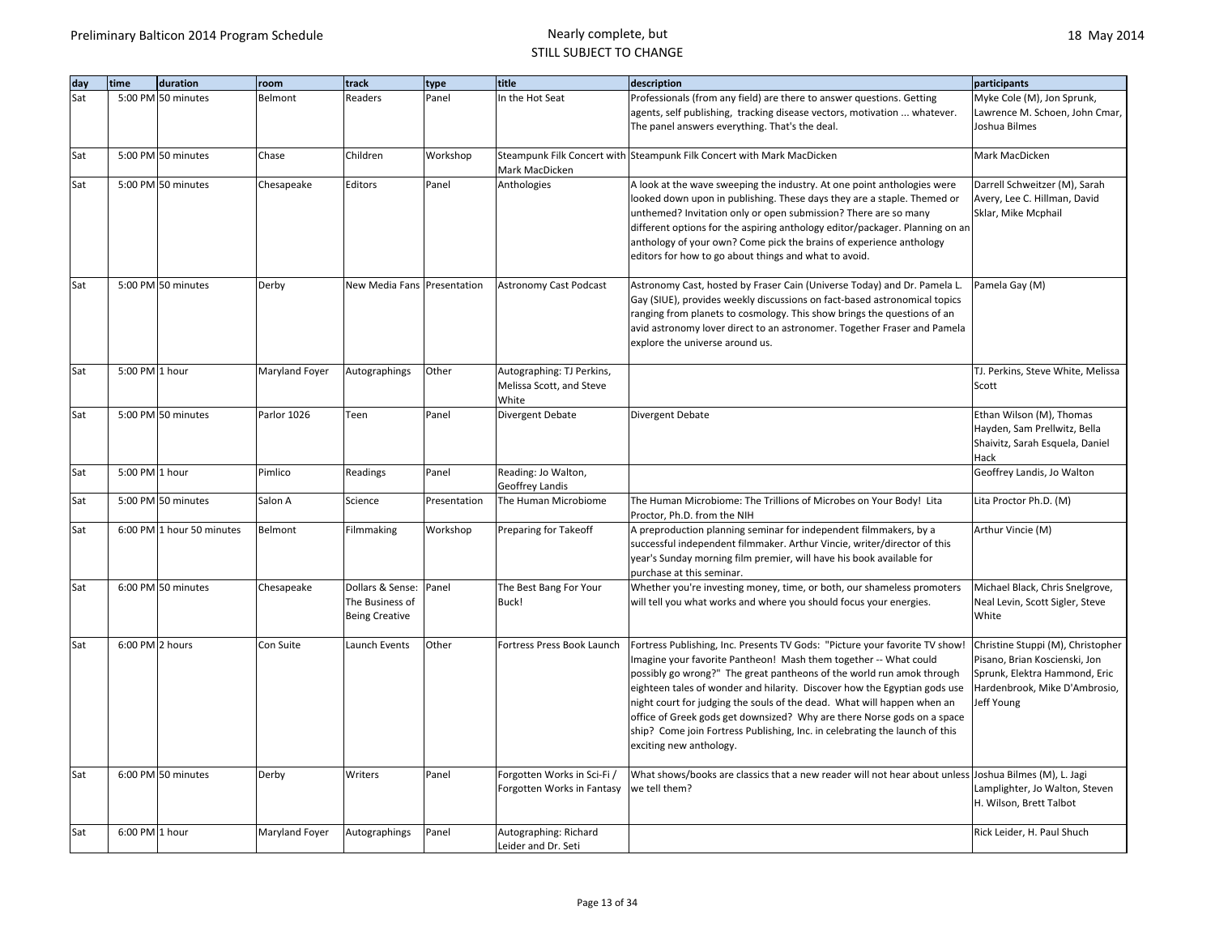| day | time            | duration                  | room           | track                                                        | type         | title                                                          | description                                                                                                                                                                                                                                                                                                                                                                                                                                                                                                                                                           | participants                                                                                                                                       |
|-----|-----------------|---------------------------|----------------|--------------------------------------------------------------|--------------|----------------------------------------------------------------|-----------------------------------------------------------------------------------------------------------------------------------------------------------------------------------------------------------------------------------------------------------------------------------------------------------------------------------------------------------------------------------------------------------------------------------------------------------------------------------------------------------------------------------------------------------------------|----------------------------------------------------------------------------------------------------------------------------------------------------|
| Sat |                 | 5:00 PM 50 minutes        | Belmont        | Readers                                                      | Panel        | In the Hot Seat                                                | Professionals (from any field) are there to answer questions. Getting<br>agents, self publishing, tracking disease vectors, motivation  whatever.<br>The panel answers everything. That's the deal.                                                                                                                                                                                                                                                                                                                                                                   | Myke Cole (M), Jon Sprunk,<br>Lawrence M. Schoen, John Cmar,<br>Joshua Bilmes                                                                      |
| Sat |                 | 5:00 PM 50 minutes        | Chase          | Children                                                     | Workshop     | Mark MacDicken                                                 | Steampunk Filk Concert with Steampunk Filk Concert with Mark MacDicken                                                                                                                                                                                                                                                                                                                                                                                                                                                                                                | Mark MacDicken                                                                                                                                     |
| Sat |                 | 5:00 PM 50 minutes        | Chesapeake     | Editors                                                      | Panel        | Anthologies                                                    | A look at the wave sweeping the industry. At one point anthologies were<br>looked down upon in publishing. These days they are a staple. Themed or<br>unthemed? Invitation only or open submission? There are so many<br>different options for the aspiring anthology editor/packager. Planning on an<br>anthology of your own? Come pick the brains of experience anthology<br>editors for how to go about things and what to avoid.                                                                                                                                 | Darrell Schweitzer (M), Sarah<br>Avery, Lee C. Hillman, David<br>Sklar, Mike Mcphail                                                               |
| Sat |                 | 5:00 PM 50 minutes        | Derby          | New Media Fans Presentation                                  |              | <b>Astronomy Cast Podcast</b>                                  | Astronomy Cast, hosted by Fraser Cain (Universe Today) and Dr. Pamela L.<br>Gay (SIUE), provides weekly discussions on fact-based astronomical topics<br>ranging from planets to cosmology. This show brings the questions of an<br>avid astronomy lover direct to an astronomer. Together Fraser and Pamela<br>explore the universe around us.                                                                                                                                                                                                                       | Pamela Gay (M)                                                                                                                                     |
| Sat | 5:00 PM 1 hour  |                           | Maryland Foyer | Autographings                                                | Other        | Autographing: TJ Perkins,<br>Melissa Scott, and Steve<br>White |                                                                                                                                                                                                                                                                                                                                                                                                                                                                                                                                                                       | TJ. Perkins, Steve White, Melissa<br>Scott                                                                                                         |
| Sat |                 | 5:00 PM 50 minutes        | Parlor 1026    | Teen                                                         | Panel        | Divergent Debate                                               | Divergent Debate                                                                                                                                                                                                                                                                                                                                                                                                                                                                                                                                                      | Ethan Wilson (M), Thomas<br>Hayden, Sam Prellwitz, Bella<br>Shaivitz, Sarah Esquela, Daniel<br>Hack                                                |
| Sat | 5:00 PM 1 hour  |                           | Pimlico        | Readings                                                     | Panel        | Reading: Jo Walton,<br>Geoffrey Landis                         |                                                                                                                                                                                                                                                                                                                                                                                                                                                                                                                                                                       | Geoffrey Landis, Jo Walton                                                                                                                         |
| Sat |                 | 5:00 PM 50 minutes        | Salon A        | Science                                                      | Presentation | The Human Microbiome                                           | The Human Microbiome: The Trillions of Microbes on Your Body! Lita<br>Proctor, Ph.D. from the NIH                                                                                                                                                                                                                                                                                                                                                                                                                                                                     | Lita Proctor Ph.D. (M)                                                                                                                             |
| Sat |                 | 6:00 PM 1 hour 50 minutes | Belmont        | Filmmaking                                                   | Workshop     | Preparing for Takeoff                                          | A preproduction planning seminar for independent filmmakers, by a<br>successful independent filmmaker. Arthur Vincie, writer/director of this<br>year's Sunday morning film premier, will have his book available for<br>purchase at this seminar.                                                                                                                                                                                                                                                                                                                    | Arthur Vincie (M)                                                                                                                                  |
| Sat |                 | 6:00 PM 50 minutes        | Chesapeake     | Dollars & Sense:<br>The Business of<br><b>Being Creative</b> | Panel        | The Best Bang For Your<br>Buck!                                | Whether you're investing money, time, or both, our shameless promoters<br>will tell you what works and where you should focus your energies.                                                                                                                                                                                                                                                                                                                                                                                                                          | Michael Black, Chris Snelgrove,<br>Neal Levin, Scott Sigler, Steve<br>White                                                                        |
| Sat | 6:00 PM 2 hours |                           | Con Suite      | Launch Events                                                | Other        | Fortress Press Book Launch                                     | Fortress Publishing, Inc. Presents TV Gods: "Picture your favorite TV show!<br>Imagine your favorite Pantheon! Mash them together -- What could<br>possibly go wrong?" The great pantheons of the world run amok through<br>eighteen tales of wonder and hilarity. Discover how the Egyptian gods use<br>night court for judging the souls of the dead. What will happen when an<br>office of Greek gods get downsized? Why are there Norse gods on a space<br>ship? Come join Fortress Publishing, Inc. in celebrating the launch of this<br>exciting new anthology. | Christine Stuppi (M), Christopher<br>Pisano, Brian Koscienski, Jon<br>Sprunk, Elektra Hammond, Eric<br>Hardenbrook, Mike D'Ambrosio,<br>Jeff Young |
| Sat |                 | 6:00 PM 50 minutes        | Derby          | Writers                                                      | Panel        | Forgotten Works in Sci-Fi /<br>Forgotten Works in Fantasy      | What shows/books are classics that a new reader will not hear about unless Joshua Bilmes (M), L. Jagi<br>we tell them?                                                                                                                                                                                                                                                                                                                                                                                                                                                | Lamplighter, Jo Walton, Steven<br>H. Wilson, Brett Talbot                                                                                          |
| Sat | 6:00 PM 1 hour  |                           | Maryland Foyer | Autographings                                                | Panel        | Autographing: Richard<br>Leider and Dr. Seti                   |                                                                                                                                                                                                                                                                                                                                                                                                                                                                                                                                                                       | Rick Leider, H. Paul Shuch                                                                                                                         |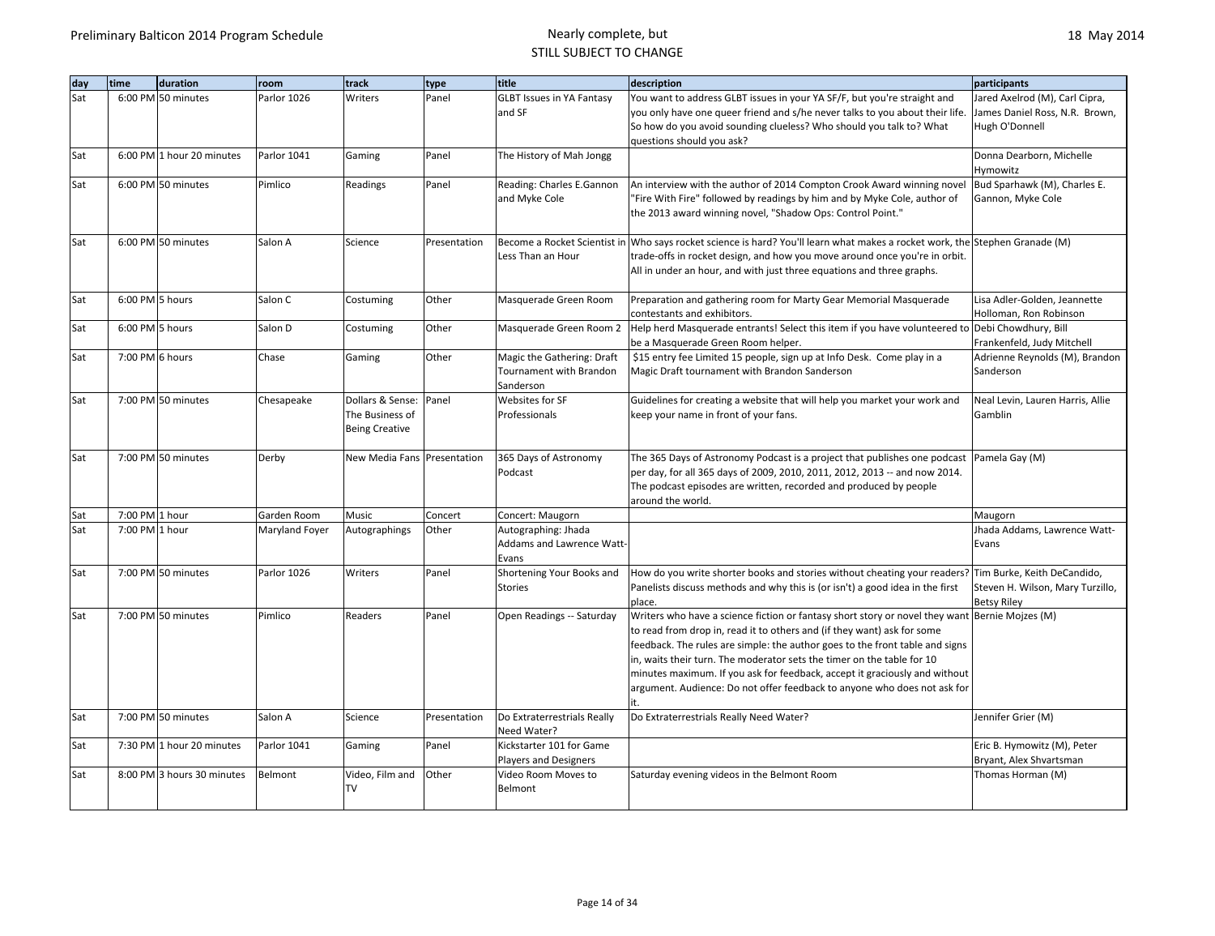| day | time            | duration                   | room           | track                       | type         | title                            | description                                                                                                                                                               | participants                     |
|-----|-----------------|----------------------------|----------------|-----------------------------|--------------|----------------------------------|---------------------------------------------------------------------------------------------------------------------------------------------------------------------------|----------------------------------|
| Sat |                 | 6:00 PM 50 minutes         | Parlor 1026    | Writers                     | Panel        | <b>GLBT Issues in YA Fantasy</b> | You want to address GLBT issues in your YA SF/F, but you're straight and                                                                                                  | Jared Axelrod (M), Carl Cipra,   |
|     |                 |                            |                |                             |              | and SF                           | you only have one queer friend and s/he never talks to you about their life.                                                                                              | James Daniel Ross, N.R. Brown,   |
|     |                 |                            |                |                             |              |                                  | So how do you avoid sounding clueless? Who should you talk to? What                                                                                                       | Hugh O'Donnell                   |
|     |                 |                            |                |                             |              |                                  | questions should you ask?                                                                                                                                                 |                                  |
| Sat |                 | 6:00 PM 1 hour 20 minutes  | Parlor 1041    | Gaming                      | Panel        | The History of Mah Jongg         |                                                                                                                                                                           | Donna Dearborn, Michelle         |
|     |                 |                            |                |                             |              |                                  |                                                                                                                                                                           | Hymowitz                         |
| Sat |                 | 6:00 PM 50 minutes         | Pimlico        | Readings                    | Panel        | Reading: Charles E.Gannon        | An interview with the author of 2014 Compton Crook Award winning novel                                                                                                    | Bud Sparhawk (M), Charles E.     |
|     |                 |                            |                |                             |              | and Myke Cole                    | "Fire With Fire" followed by readings by him and by Myke Cole, author of                                                                                                  | Gannon, Myke Cole                |
|     |                 |                            |                |                             |              |                                  | the 2013 award winning novel, "Shadow Ops: Control Point."                                                                                                                |                                  |
| Sat |                 | 6:00 PM 50 minutes         | Salon A        | Science                     | Presentation |                                  | Become a Rocket Scientist in Who says rocket science is hard? You'll learn what makes a rocket work, the Stephen Granade (M)                                              |                                  |
|     |                 |                            |                |                             |              | Less Than an Hour                | trade-offs in rocket design, and how you move around once you're in orbit.                                                                                                |                                  |
|     |                 |                            |                |                             |              |                                  | All in under an hour, and with just three equations and three graphs.                                                                                                     |                                  |
| Sat | 6:00 PM 5 hours |                            | Salon C        | Costuming                   | Other        | Masquerade Green Room            | Preparation and gathering room for Marty Gear Memorial Masquerade                                                                                                         | Lisa Adler-Golden, Jeannette     |
|     |                 |                            |                |                             |              |                                  | contestants and exhibitors.                                                                                                                                               | Holloman, Ron Robinson           |
| Sat | 6:00 PM 5 hours |                            | Salon D        | Costuming                   | Other        | Masquerade Green Room 2          | Help herd Masquerade entrants! Select this item if you have volunteered to Debi Chowdhury, Bill                                                                           |                                  |
|     |                 |                            |                |                             |              |                                  | be a Masquerade Green Room helper.                                                                                                                                        | Frankenfeld, Judy Mitchell       |
| Sat | 7:00 PM 6 hours |                            | Chase          | Gaming                      | Other        | Magic the Gathering: Draft       | \$15 entry fee Limited 15 people, sign up at Info Desk. Come play in a                                                                                                    | Adrienne Reynolds (M), Brandon   |
|     |                 |                            |                |                             |              | Tournament with Brandon          | Magic Draft tournament with Brandon Sanderson                                                                                                                             | Sanderson                        |
|     |                 |                            |                |                             |              | Sanderson                        |                                                                                                                                                                           |                                  |
| Sat |                 | 7:00 PM 50 minutes         | Chesapeake     | Dollars & Sense:            | Panel        | Websites for SF                  | Guidelines for creating a website that will help you market your work and                                                                                                 | Neal Levin, Lauren Harris, Allie |
|     |                 |                            |                | The Business of             |              | Professionals                    | keep your name in front of your fans.                                                                                                                                     | Gamblin                          |
|     |                 |                            |                | <b>Being Creative</b>       |              |                                  |                                                                                                                                                                           |                                  |
| Sat |                 | 7:00 PM 50 minutes         | Derby          | New Media Fans Presentation |              | 365 Days of Astronomy            | The 365 Days of Astronomy Podcast is a project that publishes one podcast                                                                                                 | Pamela Gay (M)                   |
|     |                 |                            |                |                             |              | Podcast                          | per day, for all 365 days of 2009, 2010, 2011, 2012, 2013 -- and now 2014.                                                                                                |                                  |
|     |                 |                            |                |                             |              |                                  | The podcast episodes are written, recorded and produced by people                                                                                                         |                                  |
|     |                 |                            |                |                             |              |                                  | around the world.                                                                                                                                                         |                                  |
| Sat | 7:00 PM 1 hour  |                            | Garden Room    | Music                       | Concert      | Concert: Maugorn                 |                                                                                                                                                                           | Maugorn                          |
| Sat | 7:00 PM 1 hour  |                            | Maryland Foyer | Autographings               | Other        | Autographing: Jhada              |                                                                                                                                                                           | Jhada Addams, Lawrence Watt-     |
|     |                 |                            |                |                             |              | Addams and Lawrence Watt-        |                                                                                                                                                                           | Evans                            |
|     |                 |                            |                |                             |              | Evans                            |                                                                                                                                                                           |                                  |
| Sat |                 | 7:00 PM 50 minutes         | Parlor 1026    | Writers                     | Panel        | Shortening Your Books and        | How do you write shorter books and stories without cheating your readers? Tim Burke, Keith DeCandido,                                                                     |                                  |
|     |                 |                            |                |                             |              | <b>Stories</b>                   | Panelists discuss methods and why this is (or isn't) a good idea in the first                                                                                             | Steven H. Wilson, Mary Turzillo, |
|     |                 |                            |                |                             |              |                                  | place.                                                                                                                                                                    | <b>Betsy Riley</b>               |
| Sat |                 | 7:00 PM 50 minutes         | Pimlico        | Readers                     | Panel        | Open Readings -- Saturday        | Writers who have a science fiction or fantasy short story or novel they want Bernie Mojzes (M)<br>to read from drop in, read it to others and (if they want) ask for some |                                  |
|     |                 |                            |                |                             |              |                                  | feedback. The rules are simple: the author goes to the front table and signs                                                                                              |                                  |
|     |                 |                            |                |                             |              |                                  | in, waits their turn. The moderator sets the timer on the table for 10                                                                                                    |                                  |
|     |                 |                            |                |                             |              |                                  | minutes maximum. If you ask for feedback, accept it graciously and without                                                                                                |                                  |
|     |                 |                            |                |                             |              |                                  | argument. Audience: Do not offer feedback to anyone who does not ask for                                                                                                  |                                  |
|     |                 |                            |                |                             |              |                                  |                                                                                                                                                                           |                                  |
| Sat |                 | 7:00 PM 50 minutes         | Salon A        | Science                     | Presentation | Do Extraterrestrials Really      | Do Extraterrestrials Really Need Water?                                                                                                                                   | Jennifer Grier (M)               |
|     |                 |                            |                |                             |              | Need Water?                      |                                                                                                                                                                           |                                  |
| Sat |                 | 7:30 PM 1 hour 20 minutes  | Parlor 1041    | Gaming                      | Panel        | Kickstarter 101 for Game         |                                                                                                                                                                           | Eric B. Hymowitz (M), Peter      |
|     |                 |                            |                |                             |              | <b>Players and Designers</b>     |                                                                                                                                                                           | Bryant, Alex Shvartsman          |
| Sat |                 | 8:00 PM 3 hours 30 minutes | Belmont        | Video, Film and             | Other        | Video Room Moves to              | Saturday evening videos in the Belmont Room                                                                                                                               | Thomas Horman (M)                |
|     |                 |                            |                | <b>TV</b>                   |              | Belmont                          |                                                                                                                                                                           |                                  |
|     |                 |                            |                |                             |              |                                  |                                                                                                                                                                           |                                  |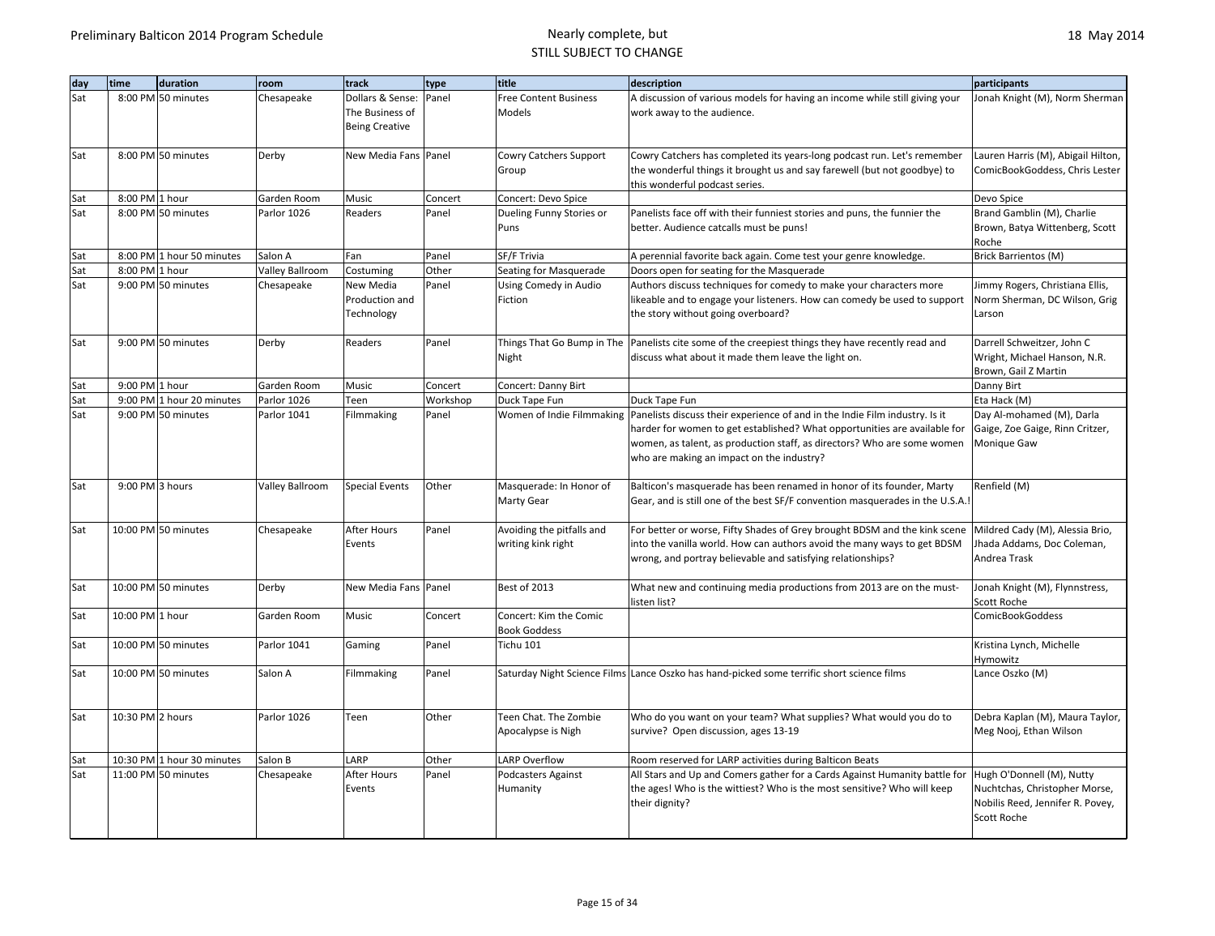| day        | time             | duration                   | room            | track                  | type     | title                        | description                                                                                           | participants                            |
|------------|------------------|----------------------------|-----------------|------------------------|----------|------------------------------|-------------------------------------------------------------------------------------------------------|-----------------------------------------|
| Sat        |                  | 8:00 PM 50 minutes         | Chesapeake      | Dollars & Sense: Panel |          | <b>Free Content Business</b> | A discussion of various models for having an income while still giving your                           | Jonah Knight (M), Norm Sherman          |
|            |                  |                            |                 | The Business of        |          | Models                       | work away to the audience.                                                                            |                                         |
|            |                  |                            |                 | <b>Being Creative</b>  |          |                              |                                                                                                       |                                         |
| Sat        |                  | 8:00 PM 50 minutes         | Derby           | New Media Fans Panel   |          | Cowry Catchers Support       | Cowry Catchers has completed its years-long podcast run. Let's remember                               | Lauren Harris (M), Abigail Hilton,      |
|            |                  |                            |                 |                        |          | Group                        | the wonderful things it brought us and say farewell (but not goodbye) to                              | ComicBookGoddess, Chris Lester          |
|            |                  |                            |                 |                        |          |                              | this wonderful podcast series.                                                                        |                                         |
| Sat        | 8:00 PM 1 hour   |                            | Garden Room     | Music                  | Concert  | Concert: Devo Spice          |                                                                                                       | Devo Spice                              |
| Sat        |                  | 8:00 PM 50 minutes         | Parlor 1026     | Readers                | Panel    | Dueling Funny Stories or     | Panelists face off with their funniest stories and puns, the funnier the                              | Brand Gamblin (M), Charlie              |
|            |                  |                            |                 |                        |          | Puns                         | better. Audience catcalls must be puns!                                                               | Brown, Batya Wittenberg, Scott<br>Roche |
| Sat        |                  | 8:00 PM 1 hour 50 minutes  | Salon A         | Fan                    | Panel    | SF/F Trivia                  | A perennial favorite back again. Come test your genre knowledge.                                      | <b>Brick Barrientos (M)</b>             |
| Sat        | 8:00 PM 1 hour   |                            | Valley Ballroom | Costuming              | Other    | Seating for Masquerade       | Doors open for seating for the Masquerade                                                             |                                         |
| Sat        |                  | 9:00 PM 50 minutes         | Chesapeake      | New Media              | Panel    | Using Comedy in Audio        | Authors discuss techniques for comedy to make your characters more                                    | Jimmy Rogers, Christiana Ellis,         |
|            |                  |                            |                 | Production and         |          | Fiction                      | likeable and to engage your listeners. How can comedy be used to support                              | Norm Sherman, DC Wilson, Grig           |
|            |                  |                            |                 | Technology             |          |                              | the story without going overboard?                                                                    | Larson                                  |
|            |                  |                            |                 |                        |          |                              |                                                                                                       |                                         |
| Sat        |                  | 9:00 PM 50 minutes         | Derby           | Readers                | Panel    |                              | Things That Go Bump in The Panelists cite some of the creepiest things they have recently read and    | Darrell Schweitzer, John C              |
|            |                  |                            |                 |                        |          | Night                        | discuss what about it made them leave the light on.                                                   | Wright, Michael Hanson, N.R.            |
|            |                  |                            |                 |                        |          |                              |                                                                                                       | Brown, Gail Z Martin                    |
| Sat        | 9:00 PM 1 hour   |                            | Garden Room     | Music                  | Concert  | Concert: Danny Birt          |                                                                                                       | Danny Birt                              |
| Sat        |                  | 9:00 PM 1 hour 20 minutes  | Parlor 1026     | Teen                   | Workshop | Duck Tape Fun                | Duck Tape Fun                                                                                         | Eta Hack (M)                            |
| Sat        |                  | 9:00 PM 50 minutes         | Parlor 1041     | Filmmaking             | Panel    |                              | Women of Indie Filmmaking Panelists discuss their experience of and in the Indie Film industry. Is it | Day Al-mohamed (M), Darla               |
|            |                  |                            |                 |                        |          |                              | harder for women to get established? What opportunities are available for                             | Gaige, Zoe Gaige, Rinn Critzer,         |
|            |                  |                            |                 |                        |          |                              | women, as talent, as production staff, as directors? Who are some women                               | Monique Gaw                             |
|            |                  |                            |                 |                        |          |                              | who are making an impact on the industry?                                                             |                                         |
|            |                  |                            |                 |                        |          |                              |                                                                                                       |                                         |
| Sat        | 9:00 PM 3 hours  |                            | Valley Ballroom | <b>Special Events</b>  | Other    | Masquerade: In Honor of      | Balticon's masquerade has been renamed in honor of its founder, Marty                                 | Renfield (M)                            |
|            |                  |                            |                 |                        |          | <b>Marty Gear</b>            | Gear, and is still one of the best SF/F convention masquerades in the U.S.A.!                         |                                         |
|            |                  |                            |                 |                        |          |                              |                                                                                                       |                                         |
| Sat        |                  | 10:00 PM 50 minutes        | Chesapeake      | After Hours            | Panel    | Avoiding the pitfalls and    | For better or worse, Fifty Shades of Grey brought BDSM and the kink scene                             | Mildred Cady (M), Alessia Brio,         |
|            |                  |                            |                 | Events                 |          | writing kink right           | into the vanilla world. How can authors avoid the many ways to get BDSM                               | Jhada Addams, Doc Coleman,              |
|            |                  |                            |                 |                        |          |                              | wrong, and portray believable and satisfying relationships?                                           | Andrea Trask                            |
|            |                  |                            |                 |                        |          |                              |                                                                                                       |                                         |
| Sat        |                  | 10:00 PM 50 minutes        | Derby           | New Media Fans Panel   |          | Best of 2013                 | What new and continuing media productions from 2013 are on the must-                                  | Jonah Knight (M), Flynnstress,          |
|            |                  |                            |                 |                        |          |                              | listen list?                                                                                          | Scott Roche                             |
| Sat        | 10:00 PM 1 hour  |                            | Garden Room     | Music                  | Concert  | Concert: Kim the Comic       |                                                                                                       | <b>ComicBookGoddess</b>                 |
|            |                  |                            |                 |                        |          | <b>Book Goddess</b>          |                                                                                                       |                                         |
| Sat        |                  | 10:00 PM 50 minutes        | Parlor 1041     | Gaming                 | Panel    | Tichu 101                    |                                                                                                       | Kristina Lynch, Michelle                |
|            |                  |                            |                 |                        |          |                              |                                                                                                       | Hymowitz                                |
| Sat        |                  | 10:00 PM 50 minutes        | Salon A         | Filmmaking             | Panel    |                              | Saturday Night Science Films Lance Oszko has hand-picked some terrific short science films            | Lance Oszko (M)                         |
|            |                  |                            |                 |                        |          |                              |                                                                                                       |                                         |
|            |                  |                            |                 |                        |          |                              |                                                                                                       |                                         |
| Sat        | 10:30 PM 2 hours |                            | Parlor 1026     | Teen                   | Other    | Teen Chat. The Zombie        | Who do you want on your team? What supplies? What would you do to                                     | Debra Kaplan (M), Maura Taylor,         |
|            |                  |                            |                 |                        |          | Apocalypse is Nigh           | survive? Open discussion, ages 13-19                                                                  | Meg Nooj, Ethan Wilson                  |
|            |                  | 10:30 PM 1 hour 30 minutes | Salon B         | LARP                   | Other    | LARP Overflow                |                                                                                                       |                                         |
| Sat<br>Sat |                  | 11:00 PM 50 minutes        |                 | After Hours            | Panel    |                              | Room reserved for LARP activities during Balticon Beats                                               |                                         |
|            |                  |                            | Chesapeake      |                        |          | Podcasters Against           | All Stars and Up and Comers gather for a Cards Against Humanity battle for                            | Hugh O'Donnell (M), Nutty               |
|            |                  |                            |                 | Events                 |          | Humanity                     | the ages! Who is the wittiest? Who is the most sensitive? Who will keep                               | Nuchtchas, Christopher Morse,           |
|            |                  |                            |                 |                        |          |                              | their dignity?                                                                                        | Nobilis Reed, Jennifer R. Povey,        |
|            |                  |                            |                 |                        |          |                              |                                                                                                       | Scott Roche                             |
|            |                  |                            |                 |                        |          |                              |                                                                                                       |                                         |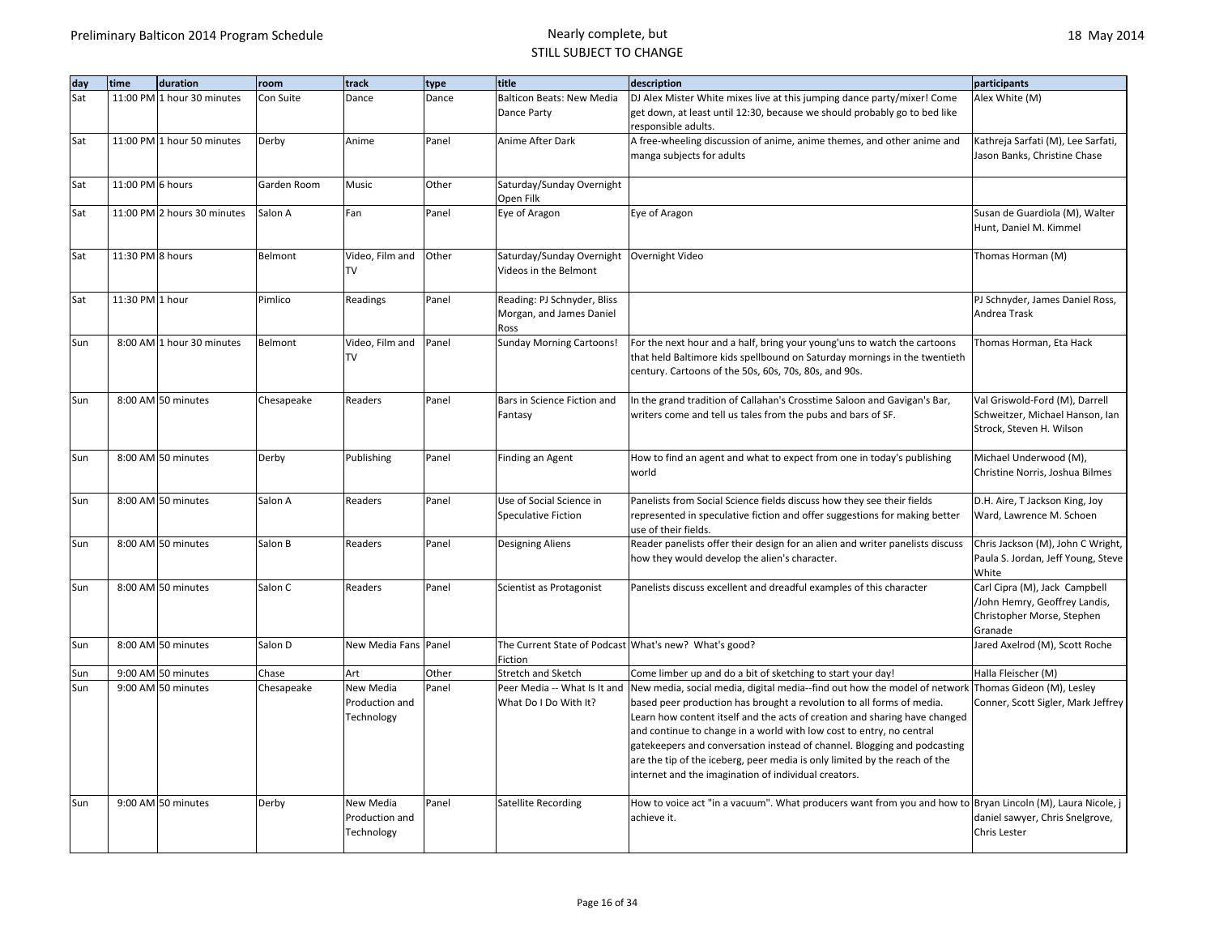| day | time             | duration                    | room        | track                                     | type  | title                                                                | description                                                                                                                                                                                                                                                                                                                                                                                                                                                                                                                                                                       | participants                                                                                            |
|-----|------------------|-----------------------------|-------------|-------------------------------------------|-------|----------------------------------------------------------------------|-----------------------------------------------------------------------------------------------------------------------------------------------------------------------------------------------------------------------------------------------------------------------------------------------------------------------------------------------------------------------------------------------------------------------------------------------------------------------------------------------------------------------------------------------------------------------------------|---------------------------------------------------------------------------------------------------------|
| Sat |                  | 11:00 PM 1 hour 30 minutes  | Con Suite   | Dance                                     | Dance | <b>Balticon Beats: New Media</b>                                     | DJ Alex Mister White mixes live at this jumping dance party/mixer! Come                                                                                                                                                                                                                                                                                                                                                                                                                                                                                                           | Alex White (M)                                                                                          |
|     |                  |                             |             |                                           |       | Dance Party                                                          | get down, at least until 12:30, because we should probably go to bed like<br>responsible adults.                                                                                                                                                                                                                                                                                                                                                                                                                                                                                  |                                                                                                         |
| Sat |                  | 11:00 PM 1 hour 50 minutes  | Derby       | Anime                                     | Panel | Anime After Dark                                                     | A free-wheeling discussion of anime, anime themes, and other anime and<br>manga subjects for adults                                                                                                                                                                                                                                                                                                                                                                                                                                                                               | Kathreja Sarfati (M), Lee Sarfati,<br>Jason Banks, Christine Chase                                      |
| Sat | 11:00 PM 6 hours |                             | Garden Room | Music                                     | Other | Saturday/Sunday Overnight<br>Open Filk                               |                                                                                                                                                                                                                                                                                                                                                                                                                                                                                                                                                                                   |                                                                                                         |
| Sat |                  | 11:00 PM 2 hours 30 minutes | Salon A     | Fan                                       | Panel | Eye of Aragon                                                        | Eye of Aragon                                                                                                                                                                                                                                                                                                                                                                                                                                                                                                                                                                     | Susan de Guardiola (M), Walter<br>Hunt, Daniel M. Kimmel                                                |
| Sat | 11:30 PM 8 hours |                             | Belmont     | Video, Film and<br>TV                     | Other | Saturday/Sunday Overnight   Overnight Video<br>Videos in the Belmont |                                                                                                                                                                                                                                                                                                                                                                                                                                                                                                                                                                                   | Thomas Horman (M)                                                                                       |
| Sat | 11:30 PM 1 hour  |                             | Pimlico     | Readings                                  | Panel | Reading: PJ Schnyder, Bliss<br>Morgan, and James Daniel<br>Ross      |                                                                                                                                                                                                                                                                                                                                                                                                                                                                                                                                                                                   | PJ Schnyder, James Daniel Ross,<br>Andrea Trask                                                         |
| Sun |                  | 8:00 AM 1 hour 30 minutes   | Belmont     | Video, Film and<br>TV                     | Panel | <b>Sunday Morning Cartoons!</b>                                      | For the next hour and a half, bring your young'uns to watch the cartoons<br>that held Baltimore kids spellbound on Saturday mornings in the twentieth<br>century. Cartoons of the 50s, 60s, 70s, 80s, and 90s.                                                                                                                                                                                                                                                                                                                                                                    | Thomas Horman, Eta Hack                                                                                 |
| Sun |                  | 8:00 AM 50 minutes          | Chesapeake  | Readers                                   | Panel | Bars in Science Fiction and<br>Fantasy                               | In the grand tradition of Callahan's Crosstime Saloon and Gavigan's Bar,<br>writers come and tell us tales from the pubs and bars of SF.                                                                                                                                                                                                                                                                                                                                                                                                                                          | Val Griswold-Ford (M), Darrell<br>Schweitzer, Michael Hanson, Ian<br>Strock, Steven H. Wilson           |
| Sun |                  | 8:00 AM 50 minutes          | Derby       | Publishing                                | Panel | Finding an Agent                                                     | How to find an agent and what to expect from one in today's publishing<br>world                                                                                                                                                                                                                                                                                                                                                                                                                                                                                                   | Michael Underwood (M),<br>Christine Norris, Joshua Bilmes                                               |
| Sun |                  | 8:00 AM 50 minutes          | Salon A     | Readers                                   | Panel | Use of Social Science in<br><b>Speculative Fiction</b>               | Panelists from Social Science fields discuss how they see their fields<br>represented in speculative fiction and offer suggestions for making better<br>use of their fields.                                                                                                                                                                                                                                                                                                                                                                                                      | D.H. Aire, T Jackson King, Joy<br>Ward, Lawrence M. Schoen                                              |
| Sun |                  | 8:00 AM 50 minutes          | Salon B     | Readers                                   | Panel | <b>Designing Aliens</b>                                              | Reader panelists offer their design for an alien and writer panelists discuss<br>how they would develop the alien's character.                                                                                                                                                                                                                                                                                                                                                                                                                                                    | Chris Jackson (M), John C Wright,<br>Paula S. Jordan, Jeff Young, Steve<br>White                        |
| Sun |                  | 8:00 AM 50 minutes          | Salon C     | Readers                                   | Panel | Scientist as Protagonist                                             | Panelists discuss excellent and dreadful examples of this character                                                                                                                                                                                                                                                                                                                                                                                                                                                                                                               | Carl Cipra (M), Jack Campbell<br>/John Hemry, Geoffrey Landis,<br>Christopher Morse, Stephen<br>Granade |
| Sun |                  | 8:00 AM 50 minutes          | Salon D     | New Media Fans Panel                      |       | The Current State of Podcast What's new? What's good?<br>Fiction     |                                                                                                                                                                                                                                                                                                                                                                                                                                                                                                                                                                                   | Jared Axelrod (M), Scott Roche                                                                          |
| Sun |                  | 9:00 AM 50 minutes          | Chase       | Art                                       | Other | Stretch and Sketch                                                   | Come limber up and do a bit of sketching to start your day!                                                                                                                                                                                                                                                                                                                                                                                                                                                                                                                       | Halla Fleischer (M)                                                                                     |
| Sun |                  | 9:00 AM 50 minutes          | Chesapeake  | New Media<br>Production and<br>Technology | Panel | What Do I Do With It?                                                | Peer Media -- What Is It and New media, social media, digital media--find out how the model of network Thomas Gideon (M), Lesley<br>based peer production has brought a revolution to all forms of media.<br>Learn how content itself and the acts of creation and sharing have changed<br>and continue to change in a world with low cost to entry, no central<br>gatekeepers and conversation instead of channel. Blogging and podcasting<br>are the tip of the iceberg, peer media is only limited by the reach of the<br>internet and the imagination of individual creators. | Conner, Scott Sigler, Mark Jeffrey                                                                      |
| Sun |                  | 9:00 AM 50 minutes          | Derby       | New Media<br>Production and<br>Technology | Panel | Satellite Recording                                                  | How to voice act "in a vacuum". What producers want from you and how to Bryan Lincoln (M), Laura Nicole, j<br>achieve it.                                                                                                                                                                                                                                                                                                                                                                                                                                                         | daniel sawyer, Chris Snelgrove,<br>Chris Lester                                                         |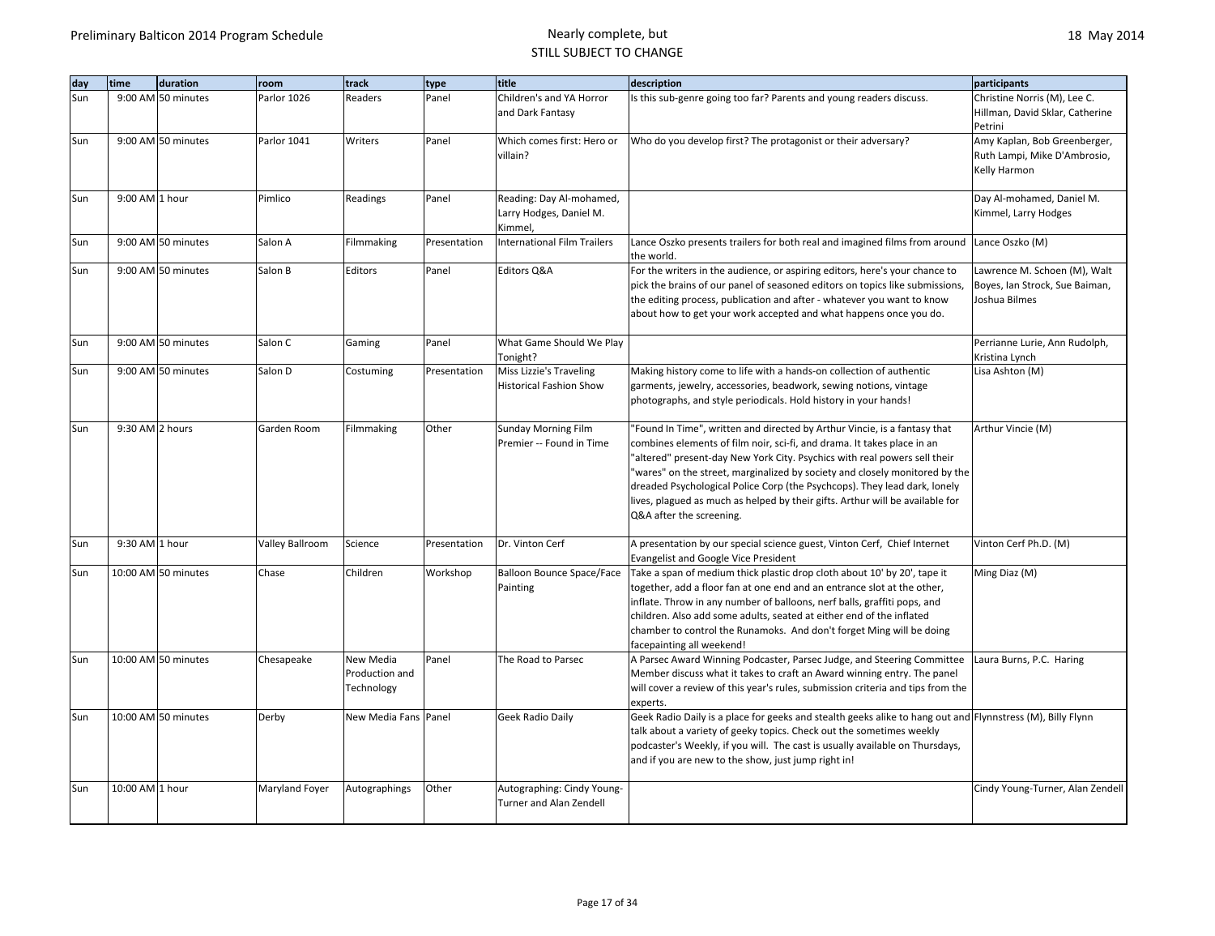| dav | time            | duration            | room                   | track                                     | type         | title                                                          | description                                                                                                                                                                                                                                                                                                                                                                                                                                                                                                | participants                                                                    |
|-----|-----------------|---------------------|------------------------|-------------------------------------------|--------------|----------------------------------------------------------------|------------------------------------------------------------------------------------------------------------------------------------------------------------------------------------------------------------------------------------------------------------------------------------------------------------------------------------------------------------------------------------------------------------------------------------------------------------------------------------------------------------|---------------------------------------------------------------------------------|
| Sun |                 | 9:00 AM 50 minutes  | Parlor 1026            | Readers                                   | Panel        | Children's and YA Horror<br>and Dark Fantasy                   | Is this sub-genre going too far? Parents and young readers discuss.                                                                                                                                                                                                                                                                                                                                                                                                                                        | Christine Norris (M), Lee C.<br>Hillman, David Sklar, Catherine<br>Petrini      |
| Sun |                 | 9:00 AM 50 minutes  | Parlor 1041            | Writers                                   | Panel        | Which comes first: Hero or<br>villain?                         | Who do you develop first? The protagonist or their adversary?                                                                                                                                                                                                                                                                                                                                                                                                                                              | Amy Kaplan, Bob Greenberger,<br>Ruth Lampi, Mike D'Ambrosio,<br>Kelly Harmon    |
| Sun | 9:00 AM 1 hour  |                     | Pimlico                | Readings                                  | Panel        | Reading: Day Al-mohamed,<br>Larry Hodges, Daniel M.<br>Kimmel, |                                                                                                                                                                                                                                                                                                                                                                                                                                                                                                            | Day Al-mohamed, Daniel M.<br>Kimmel, Larry Hodges                               |
| Sun |                 | 9:00 AM 50 minutes  | Salon A                | Filmmaking                                | Presentation | <b>International Film Trailers</b>                             | Lance Oszko presents trailers for both real and imagined films from around<br>the world.                                                                                                                                                                                                                                                                                                                                                                                                                   | Lance Oszko (M)                                                                 |
| Sun |                 | 9:00 AM 50 minutes  | Salon B                | Editors                                   | Panel        | Editors Q&A                                                    | For the writers in the audience, or aspiring editors, here's your chance to<br>pick the brains of our panel of seasoned editors on topics like submissions,<br>the editing process, publication and after - whatever you want to know<br>about how to get your work accepted and what happens once you do.                                                                                                                                                                                                 | Lawrence M. Schoen (M), Walt<br>Boyes, Ian Strock, Sue Baiman,<br>Joshua Bilmes |
| Sun |                 | 9:00 AM 50 minutes  | Salon C                | Gaming                                    | Panel        | What Game Should We Play<br>Tonight?                           |                                                                                                                                                                                                                                                                                                                                                                                                                                                                                                            | Perrianne Lurie, Ann Rudolph,<br>Kristina Lynch                                 |
| Sun |                 | 9:00 AM 50 minutes  | Salon D                | Costuming                                 | Presentation | Miss Lizzie's Traveling<br><b>Historical Fashion Show</b>      | Making history come to life with a hands-on collection of authentic<br>garments, jewelry, accessories, beadwork, sewing notions, vintage<br>photographs, and style periodicals. Hold history in your hands!                                                                                                                                                                                                                                                                                                | Lisa Ashton (M)                                                                 |
| Sun | 9:30 AM 2 hours |                     | Garden Room            | Filmmaking                                | Other        | Sunday Morning Film<br>Premier -- Found in Time                | "Found In Time", written and directed by Arthur Vincie, is a fantasy that<br>combines elements of film noir, sci-fi, and drama. It takes place in an<br>"altered" present-day New York City. Psychics with real powers sell their<br>"wares" on the street, marginalized by society and closely monitored by the<br>dreaded Psychological Police Corp (the Psychcops). They lead dark, lonely<br>lives, plagued as much as helped by their gifts. Arthur will be available for<br>Q&A after the screening. | Arthur Vincie (M)                                                               |
| Sun | 9:30 AM 1 hour  |                     | <b>Valley Ballroom</b> | Science                                   | Presentation | Dr. Vinton Cerf                                                | A presentation by our special science guest, Vinton Cerf, Chief Internet<br><b>Evangelist and Google Vice President</b>                                                                                                                                                                                                                                                                                                                                                                                    | Vinton Cerf Ph.D. (M)                                                           |
| Sun |                 | 10:00 AM 50 minutes | Chase                  | Children                                  | Workshop     | <b>Balloon Bounce Space/Face</b><br>Painting                   | Take a span of medium thick plastic drop cloth about 10' by 20', tape it<br>together, add a floor fan at one end and an entrance slot at the other,<br>inflate. Throw in any number of balloons, nerf balls, graffiti pops, and<br>children. Also add some adults, seated at either end of the inflated<br>chamber to control the Runamoks. And don't forget Ming will be doing<br>facepainting all weekend!                                                                                               | Ming Diaz (M)                                                                   |
| Sun |                 | 10:00 AM 50 minutes | Chesapeake             | New Media<br>Production and<br>Technology | Panel        | The Road to Parsec                                             | A Parsec Award Winning Podcaster, Parsec Judge, and Steering Committee<br>Member discuss what it takes to craft an Award winning entry. The panel<br>will cover a review of this year's rules, submission criteria and tips from the<br>experts.                                                                                                                                                                                                                                                           | Laura Burns, P.C. Haring                                                        |
| Sun |                 | 10:00 AM 50 minutes | Derby                  | New Media Fans Panel                      |              | Geek Radio Daily                                               | Geek Radio Daily is a place for geeks and stealth geeks alike to hang out and Flynnstress (M), Billy Flynn<br>talk about a variety of geeky topics. Check out the sometimes weekly<br>podcaster's Weekly, if you will. The cast is usually available on Thursdays,<br>and if you are new to the show, just jump right in!                                                                                                                                                                                  |                                                                                 |
| Sun | 10:00 AM 1 hour |                     | Maryland Foyer         | Autographings                             | Other        | Autographing: Cindy Young-<br><b>Turner and Alan Zendell</b>   |                                                                                                                                                                                                                                                                                                                                                                                                                                                                                                            | Cindy Young-Turner, Alan Zendell                                                |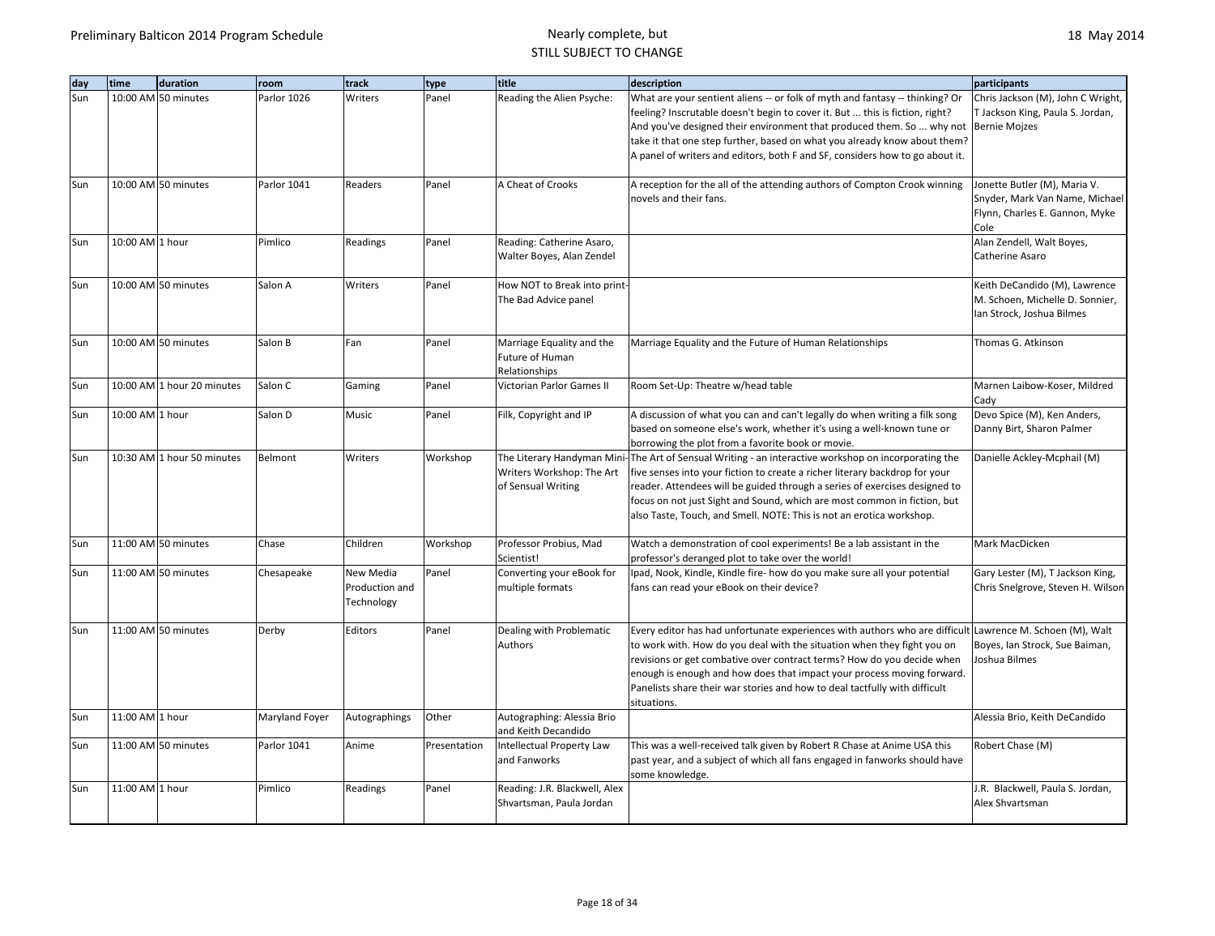| day | time            | duration                   | room           | track                                     | type         | title                                                                         | description                                                                                                                                                                                                                                                                                                                                                                                                                          | participants                                                                                             |
|-----|-----------------|----------------------------|----------------|-------------------------------------------|--------------|-------------------------------------------------------------------------------|--------------------------------------------------------------------------------------------------------------------------------------------------------------------------------------------------------------------------------------------------------------------------------------------------------------------------------------------------------------------------------------------------------------------------------------|----------------------------------------------------------------------------------------------------------|
| Sun |                 | 10:00 AM 50 minutes        | Parlor 1026    | Writers                                   | Panel        | Reading the Alien Psyche:                                                     | What are your sentient aliens -- or folk of myth and fantasy -- thinking? Or<br>feeling? Inscrutable doesn't begin to cover it. But  this is fiction, right?<br>And you've designed their environment that produced them. So  why not<br>take it that one step further, based on what you already know about them?<br>A panel of writers and editors, both F and SF, considers how to go about it.                                   | Chris Jackson (M), John C Wright,<br>T Jackson King, Paula S. Jordan,<br><b>Bernie Mojzes</b>            |
| Sun |                 | 10:00 AM 50 minutes        | Parlor 1041    | Readers                                   | Panel        | A Cheat of Crooks                                                             | A reception for the all of the attending authors of Compton Crook winning<br>novels and their fans.                                                                                                                                                                                                                                                                                                                                  | Jonette Butler (M), Maria V.<br>Snyder, Mark Van Name, Michael<br>Flynn, Charles E. Gannon, Myke<br>Cole |
| Sun | 10:00 AM 1 hour |                            | Pimlico        | Readings                                  | Panel        | Reading: Catherine Asaro,<br>Walter Boyes, Alan Zendel                        |                                                                                                                                                                                                                                                                                                                                                                                                                                      | Alan Zendell, Walt Boyes,<br>Catherine Asaro                                                             |
| Sun |                 | 10:00 AM 50 minutes        | Salon A        | Writers                                   | Panel        | How NOT to Break into print-<br>The Bad Advice panel                          |                                                                                                                                                                                                                                                                                                                                                                                                                                      | Keith DeCandido (M), Lawrence<br>M. Schoen, Michelle D. Sonnier,<br>Ian Strock, Joshua Bilmes            |
| Sun |                 | 10:00 AM 50 minutes        | Salon B        | Fan                                       | Panel        | Marriage Equality and the<br>Future of Human<br>Relationships                 | Marriage Equality and the Future of Human Relationships                                                                                                                                                                                                                                                                                                                                                                              | Thomas G. Atkinson                                                                                       |
| Sun |                 | 10:00 AM 1 hour 20 minutes | Salon C        | Gaming                                    | Panel        | Victorian Parlor Games II                                                     | Room Set-Up: Theatre w/head table                                                                                                                                                                                                                                                                                                                                                                                                    | Marnen Laibow-Koser, Mildred<br>Cady                                                                     |
| Sun | 10:00 AM 1 hour |                            | Salon D        | Music                                     | Panel        | Filk, Copyright and IP                                                        | A discussion of what you can and can't legally do when writing a filk song<br>based on someone else's work, whether it's using a well-known tune or<br>borrowing the plot from a favorite book or movie.                                                                                                                                                                                                                             | Devo Spice (M), Ken Anders,<br>Danny Birt, Sharon Palmer                                                 |
| Sun |                 | 10:30 AM 1 hour 50 minutes | Belmont        | Writers                                   | Workshop     | The Literary Handyman Mini<br>Writers Workshop: The Art<br>of Sensual Writing | The Art of Sensual Writing - an interactive workshop on incorporating the<br>five senses into your fiction to create a richer literary backdrop for your<br>reader. Attendees will be guided through a series of exercises designed to<br>focus on not just Sight and Sound, which are most common in fiction, but<br>also Taste, Touch, and Smell. NOTE: This is not an erotica workshop.                                           | Danielle Ackley-Mcphail (M)                                                                              |
| Sun |                 | 11:00 AM 50 minutes        | Chase          | Children                                  | Workshop     | Professor Probius, Mad<br>Scientist!                                          | Watch a demonstration of cool experiments! Be a lab assistant in the<br>professor's deranged plot to take over the world!                                                                                                                                                                                                                                                                                                            | Mark MacDicken                                                                                           |
| Sun |                 | 11:00 AM 50 minutes        | Chesapeake     | New Media<br>Production and<br>Technology | Panel        | Converting your eBook for<br>multiple formats                                 | Ipad, Nook, Kindle, Kindle fire- how do you make sure all your potential<br>fans can read your eBook on their device?                                                                                                                                                                                                                                                                                                                | Gary Lester (M), T Jackson King,<br>Chris Snelgrove, Steven H. Wilson                                    |
| Sun |                 | 11:00 AM 50 minutes        | Derby          | Editors                                   | Panel        | Dealing with Problematic<br>Authors                                           | Every editor has had unfortunate experiences with authors who are difficult Lawrence M. Schoen (M), Walt<br>to work with. How do you deal with the situation when they fight you on<br>revisions or get combative over contract terms? How do you decide when<br>enough is enough and how does that impact your process moving forward.<br>Panelists share their war stories and how to deal tactfully with difficult<br>situations. | Boyes, Ian Strock, Sue Baiman,<br>Joshua Bilmes                                                          |
| Sun | 11:00 AM 1 hour |                            | Maryland Foyer | Autographings                             | Other        | Autographing: Alessia Brio<br>and Keith Decandido                             |                                                                                                                                                                                                                                                                                                                                                                                                                                      | Alessia Brio, Keith DeCandido                                                                            |
| Sun |                 | 11:00 AM 50 minutes        | Parlor 1041    | Anime                                     | Presentation | Intellectual Property Law<br>and Fanworks                                     | This was a well-received talk given by Robert R Chase at Anime USA this<br>past year, and a subject of which all fans engaged in fanworks should have<br>some knowledge.                                                                                                                                                                                                                                                             | Robert Chase (M)                                                                                         |
| Sun | 11:00 AM 1 hour |                            | Pimlico        | Readings                                  | Panel        | Reading: J.R. Blackwell, Alex<br>Shvartsman, Paula Jordan                     |                                                                                                                                                                                                                                                                                                                                                                                                                                      | J.R. Blackwell, Paula S. Jordan,<br>Alex Shvartsman                                                      |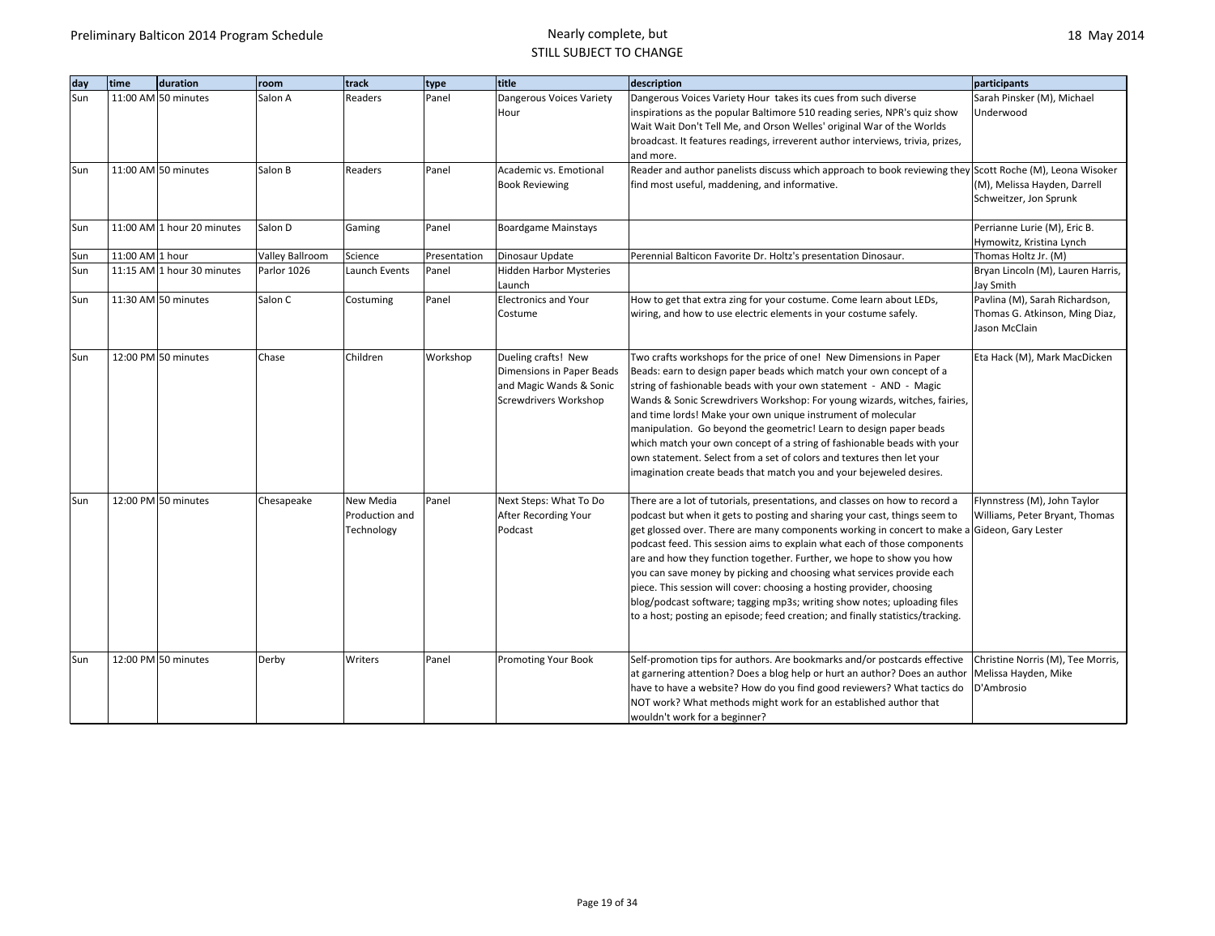| day | time            | duration                   | room            | track          | type         | title                          | description                                                                                              | participants                      |
|-----|-----------------|----------------------------|-----------------|----------------|--------------|--------------------------------|----------------------------------------------------------------------------------------------------------|-----------------------------------|
| Sun |                 | 11:00 AM 50 minutes        | Salon A         | Readers        | Panel        | Dangerous Voices Variety       | Dangerous Voices Variety Hour takes its cues from such diverse                                           | Sarah Pinsker (M), Michael        |
|     |                 |                            |                 |                |              | Hour                           | inspirations as the popular Baltimore 510 reading series, NPR's quiz show                                | Underwood                         |
|     |                 |                            |                 |                |              |                                | Wait Wait Don't Tell Me, and Orson Welles' original War of the Worlds                                    |                                   |
|     |                 |                            |                 |                |              |                                | broadcast. It features readings, irreverent author interviews, trivia, prizes,                           |                                   |
|     |                 |                            |                 |                |              |                                | and more.                                                                                                |                                   |
| Sun |                 | 11:00 AM 50 minutes        | Salon B         | Readers        | Panel        | Academic vs. Emotional         | Reader and author panelists discuss which approach to book reviewing they Scott Roche (M), Leona Wisoker |                                   |
|     |                 |                            |                 |                |              | <b>Book Reviewing</b>          | find most useful, maddening, and informative.                                                            | (M), Melissa Hayden, Darrell      |
|     |                 |                            |                 |                |              |                                |                                                                                                          | Schweitzer, Jon Sprunk            |
| Sun |                 | 11:00 AM 1 hour 20 minutes | Salon D         | Gaming         | Panel        | <b>Boardgame Mainstays</b>     |                                                                                                          | Perrianne Lurie (M), Eric B.      |
|     |                 |                            |                 |                |              |                                |                                                                                                          | Hymowitz, Kristina Lynch          |
| Sun | 11:00 AM 1 hour |                            | Valley Ballroom | Science        | Presentation | Dinosaur Update                | Perennial Balticon Favorite Dr. Holtz's presentation Dinosaur.                                           | Thomas Holtz Jr. (M)              |
| Sun |                 | 11:15 AM 1 hour 30 minutes | Parlor 1026     | Launch Events  | Panel        | <b>Hidden Harbor Mysteries</b> |                                                                                                          | Bryan Lincoln (M), Lauren Harris, |
|     |                 |                            |                 |                |              | Launch                         |                                                                                                          | Jay Smith                         |
| Sun |                 | 11:30 AM 50 minutes        | Salon C         | Costuming      | Panel        | <b>Electronics and Your</b>    | How to get that extra zing for your costume. Come learn about LEDs,                                      | Pavlina (M), Sarah Richardson,    |
|     |                 |                            |                 |                |              | Costume                        | wiring, and how to use electric elements in your costume safely.                                         | Thomas G. Atkinson, Ming Diaz,    |
|     |                 |                            |                 |                |              |                                |                                                                                                          | Jason McClain                     |
| Sun |                 | 12:00 PM 50 minutes        | Chase           | Children       | Workshop     | Dueling crafts! New            | Two crafts workshops for the price of one! New Dimensions in Paper                                       | Eta Hack (M), Mark MacDicken      |
|     |                 |                            |                 |                |              | Dimensions in Paper Beads      | Beads: earn to design paper beads which match your own concept of a                                      |                                   |
|     |                 |                            |                 |                |              | and Magic Wands & Sonic        | string of fashionable beads with your own statement - AND - Magic                                        |                                   |
|     |                 |                            |                 |                |              | Screwdrivers Workshop          | Wands & Sonic Screwdrivers Workshop: For young wizards, witches, fairies,                                |                                   |
|     |                 |                            |                 |                |              |                                | and time lords! Make your own unique instrument of molecular                                             |                                   |
|     |                 |                            |                 |                |              |                                | manipulation. Go beyond the geometric! Learn to design paper beads                                       |                                   |
|     |                 |                            |                 |                |              |                                | which match your own concept of a string of fashionable beads with your                                  |                                   |
|     |                 |                            |                 |                |              |                                | own statement. Select from a set of colors and textures then let your                                    |                                   |
|     |                 |                            |                 |                |              |                                | imagination create beads that match you and your bejeweled desires.                                      |                                   |
| Sun |                 | 12:00 PM 50 minutes        | Chesapeake      | New Media      | Panel        | Next Steps: What To Do         | There are a lot of tutorials, presentations, and classes on how to record a                              | Flynnstress (M), John Taylor      |
|     |                 |                            |                 | Production and |              | After Recording Your           | podcast but when it gets to posting and sharing your cast, things seem to                                | Williams, Peter Bryant, Thomas    |
|     |                 |                            |                 | Technology     |              | Podcast                        | get glossed over. There are many components working in concert to make a Gideon, Gary Lester             |                                   |
|     |                 |                            |                 |                |              |                                | podcast feed. This session aims to explain what each of those components                                 |                                   |
|     |                 |                            |                 |                |              |                                | are and how they function together. Further, we hope to show you how                                     |                                   |
|     |                 |                            |                 |                |              |                                | you can save money by picking and choosing what services provide each                                    |                                   |
|     |                 |                            |                 |                |              |                                | piece. This session will cover: choosing a hosting provider, choosing                                    |                                   |
|     |                 |                            |                 |                |              |                                | blog/podcast software; tagging mp3s; writing show notes; uploading files                                 |                                   |
|     |                 |                            |                 |                |              |                                | to a host; posting an episode; feed creation; and finally statistics/tracking.                           |                                   |
|     |                 |                            |                 |                |              |                                |                                                                                                          |                                   |
| Sun |                 | 12:00 PM 50 minutes        | Derby           | Writers        | Panel        | Promoting Your Book            | Self-promotion tips for authors. Are bookmarks and/or postcards effective                                | Christine Norris (M), Tee Morris, |
|     |                 |                            |                 |                |              |                                | at garnering attention? Does a blog help or hurt an author? Does an author                               | Melissa Hayden, Mike              |
|     |                 |                            |                 |                |              |                                | have to have a website? How do you find good reviewers? What tactics do                                  | D'Ambrosio                        |
|     |                 |                            |                 |                |              |                                | NOT work? What methods might work for an established author that                                         |                                   |
|     |                 |                            |                 |                |              |                                | wouldn't work for a beginner?                                                                            |                                   |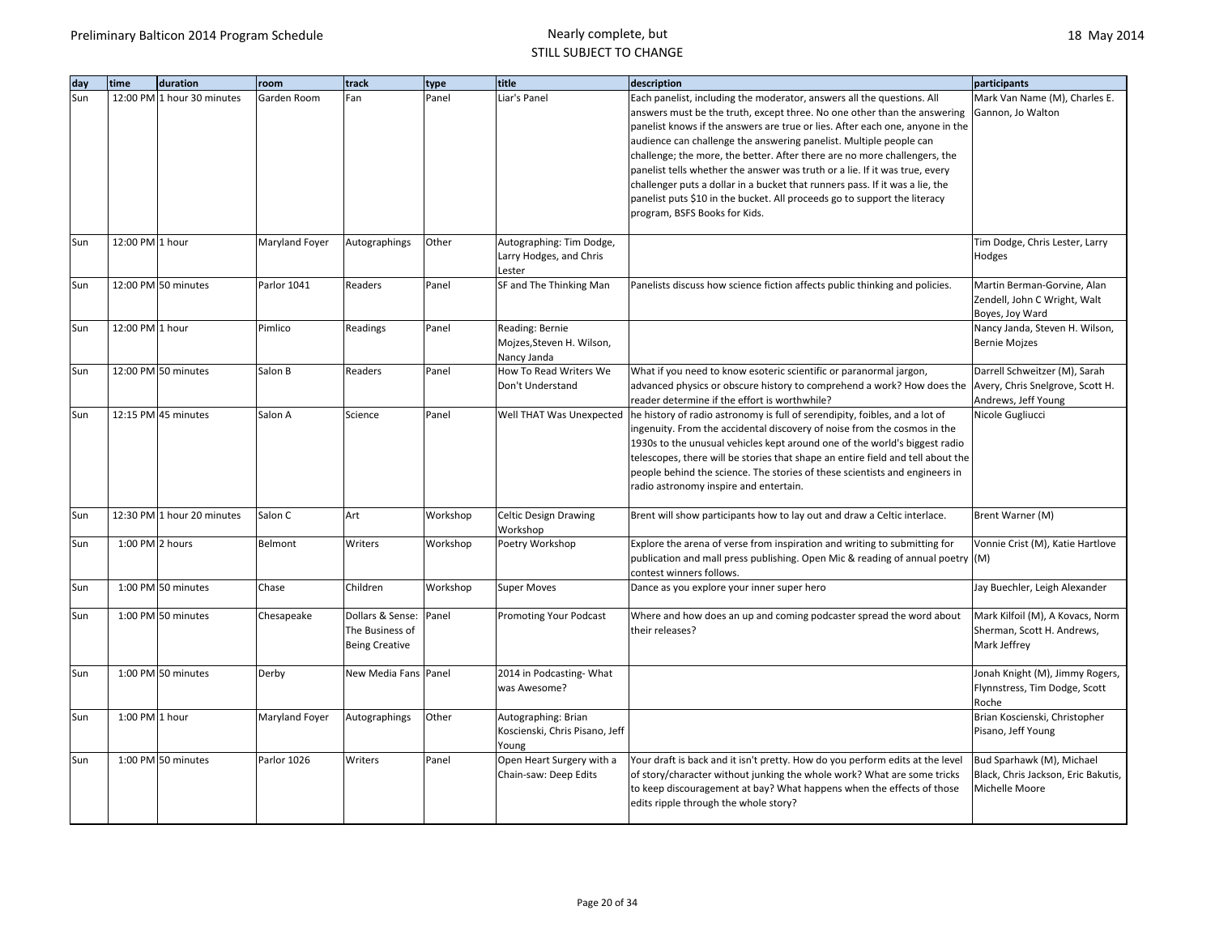| dav | time             | duration                   | room           | track                                                              | type     | title                                                          | description                                                                                                                                                                                                                                                                                                                                                                                                                                                                                                                                                                                                                                                         | participants                                                                             |
|-----|------------------|----------------------------|----------------|--------------------------------------------------------------------|----------|----------------------------------------------------------------|---------------------------------------------------------------------------------------------------------------------------------------------------------------------------------------------------------------------------------------------------------------------------------------------------------------------------------------------------------------------------------------------------------------------------------------------------------------------------------------------------------------------------------------------------------------------------------------------------------------------------------------------------------------------|------------------------------------------------------------------------------------------|
| Sun |                  | 12:00 PM 1 hour 30 minutes | Garden Room    | Fan                                                                | Panel    | Liar's Panel                                                   | Each panelist, including the moderator, answers all the questions. All<br>answers must be the truth, except three. No one other than the answering<br>panelist knows if the answers are true or lies. After each one, anyone in the<br>audience can challenge the answering panelist. Multiple people can<br>challenge; the more, the better. After there are no more challengers, the<br>panelist tells whether the answer was truth or a lie. If it was true, every<br>challenger puts a dollar in a bucket that runners pass. If it was a lie, the<br>panelist puts \$10 in the bucket. All proceeds go to support the literacy<br>program, BSFS Books for Kids. | Mark Van Name (M), Charles E.<br>Gannon, Jo Walton                                       |
| Sun | 12:00 PM 1 hour  |                            | Maryland Foyer | Autographings                                                      | Other    | Autographing: Tim Dodge,<br>Larry Hodges, and Chris<br>Lester  |                                                                                                                                                                                                                                                                                                                                                                                                                                                                                                                                                                                                                                                                     | Tim Dodge, Chris Lester, Larry<br>Hodges                                                 |
| Sun |                  | 12:00 PM 50 minutes        | Parlor 1041    | Readers                                                            | Panel    | SF and The Thinking Man                                        | Panelists discuss how science fiction affects public thinking and policies.                                                                                                                                                                                                                                                                                                                                                                                                                                                                                                                                                                                         | Martin Berman-Gorvine, Alan<br>Zendell, John C Wright, Walt<br>Boyes, Joy Ward           |
| Sun | 12:00 PM 1 hour  |                            | Pimlico        | Readings                                                           | Panel    | Reading: Bernie<br>Mojzes, Steven H. Wilson,<br>Nancy Janda    |                                                                                                                                                                                                                                                                                                                                                                                                                                                                                                                                                                                                                                                                     | Nancy Janda, Steven H. Wilson,<br><b>Bernie Mojzes</b>                                   |
| Sun |                  | 12:00 PM 50 minutes        | Salon B        | Readers                                                            | Panel    | How To Read Writers We<br>Don't Understand                     | What if you need to know esoteric scientific or paranormal jargon,<br>advanced physics or obscure history to comprehend a work? How does the<br>reader determine if the effort is worthwhile?                                                                                                                                                                                                                                                                                                                                                                                                                                                                       | Darrell Schweitzer (M), Sarah<br>Avery, Chris Snelgrove, Scott H.<br>Andrews, Jeff Young |
| Sun |                  | 12:15 PM 45 minutes        | Salon A        | Science                                                            | Panel    | Well THAT Was Unexpected                                       | he history of radio astronomy is full of serendipity, foibles, and a lot of<br>ingenuity. From the accidental discovery of noise from the cosmos in the<br>1930s to the unusual vehicles kept around one of the world's biggest radio<br>telescopes, there will be stories that shape an entire field and tell about the<br>people behind the science. The stories of these scientists and engineers in<br>radio astronomy inspire and entertain.                                                                                                                                                                                                                   | Nicole Gugliucci                                                                         |
| Sun |                  | 12:30 PM 1 hour 20 minutes | Salon C        | Art                                                                | Workshop | Celtic Design Drawing<br>Workshop                              | Brent will show participants how to lay out and draw a Celtic interlace.                                                                                                                                                                                                                                                                                                                                                                                                                                                                                                                                                                                            | Brent Warner (M)                                                                         |
| Sun | 1:00 PM 2 hours  |                            | Belmont        | Writers                                                            | Workshop | Poetry Workshop                                                | Explore the arena of verse from inspiration and writing to submitting for<br>publication and mall press publishing. Open Mic & reading of annual poetry (M)<br>contest winners follows.                                                                                                                                                                                                                                                                                                                                                                                                                                                                             | Vonnie Crist (M), Katie Hartlove                                                         |
| Sun |                  | 1:00 PM 50 minutes         | Chase          | Children                                                           | Workshop | <b>Super Moves</b>                                             | Dance as you explore your inner super hero                                                                                                                                                                                                                                                                                                                                                                                                                                                                                                                                                                                                                          | Jay Buechler, Leigh Alexander                                                            |
| Sun |                  | 1:00 PM 50 minutes         | Chesapeake     | Dollars & Sense: Panel<br>The Business of<br><b>Being Creative</b> |          | <b>Promoting Your Podcast</b>                                  | Where and how does an up and coming podcaster spread the word about<br>their releases?                                                                                                                                                                                                                                                                                                                                                                                                                                                                                                                                                                              | Mark Kilfoil (M), A Kovacs, Norm<br>Sherman, Scott H. Andrews,<br>Mark Jeffrey           |
| Sun |                  | 1:00 PM 50 minutes         | Derby          | New Media Fans Panel                                               |          | 2014 in Podcasting-What<br>was Awesome?                        |                                                                                                                                                                                                                                                                                                                                                                                                                                                                                                                                                                                                                                                                     | Jonah Knight (M), Jimmy Rogers,<br>Flynnstress, Tim Dodge, Scott<br>Roche                |
| Sun | $1:00$ PM 1 hour |                            | Maryland Foyer | Autographings                                                      | Other    | Autographing: Brian<br>Koscienski, Chris Pisano, Jeff<br>Young |                                                                                                                                                                                                                                                                                                                                                                                                                                                                                                                                                                                                                                                                     | Brian Koscienski, Christopher<br>Pisano, Jeff Young                                      |
| Sun |                  | 1:00 PM 50 minutes         | Parlor 1026    | Writers                                                            | Panel    | Open Heart Surgery with a<br>Chain-saw: Deep Edits             | Your draft is back and it isn't pretty. How do you perform edits at the level<br>of story/character without junking the whole work? What are some tricks<br>to keep discouragement at bay? What happens when the effects of those<br>edits ripple through the whole story?                                                                                                                                                                                                                                                                                                                                                                                          | Bud Sparhawk (M), Michael<br>Black, Chris Jackson, Eric Bakutis,<br>Michelle Moore       |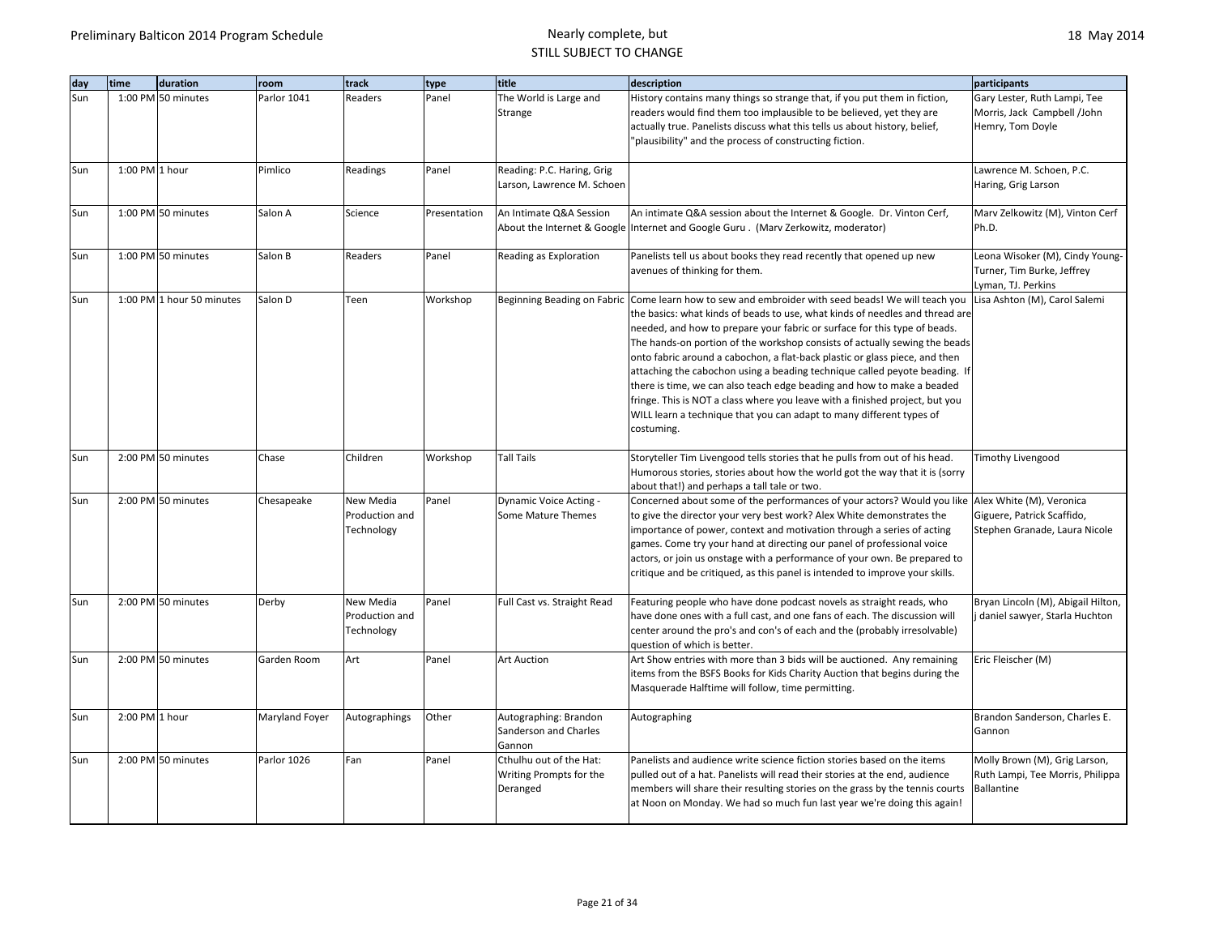| dav | time             | duration                  | room           | track                                     | type         | title                                                          | description                                                                                                                                                                                                                                                                                                                                                                                                                                                                                                                                                                                                                                                                                                                                                | participants                                                                           |
|-----|------------------|---------------------------|----------------|-------------------------------------------|--------------|----------------------------------------------------------------|------------------------------------------------------------------------------------------------------------------------------------------------------------------------------------------------------------------------------------------------------------------------------------------------------------------------------------------------------------------------------------------------------------------------------------------------------------------------------------------------------------------------------------------------------------------------------------------------------------------------------------------------------------------------------------------------------------------------------------------------------------|----------------------------------------------------------------------------------------|
| Sun |                  | 1:00 PM 50 minutes        | Parlor 1041    | Readers                                   | Panel        | The World is Large and<br>Strange                              | History contains many things so strange that, if you put them in fiction,<br>readers would find them too implausible to be believed, yet they are<br>actually true. Panelists discuss what this tells us about history, belief,<br>"plausibility" and the process of constructing fiction.                                                                                                                                                                                                                                                                                                                                                                                                                                                                 | Gary Lester, Ruth Lampi, Tee<br>Morris, Jack Campbell /John<br>Hemry, Tom Doyle        |
| Sun | $1:00$ PM 1 hour |                           | Pimlico        | Readings                                  | Panel        | Reading: P.C. Haring, Grig<br>Larson, Lawrence M. Schoen       |                                                                                                                                                                                                                                                                                                                                                                                                                                                                                                                                                                                                                                                                                                                                                            | Lawrence M. Schoen, P.C.<br>Haring, Grig Larson                                        |
| Sun |                  | 1:00 PM 50 minutes        | Salon A        | Science                                   | Presentation | An Intimate Q&A Session                                        | An intimate Q&A session about the Internet & Google. Dr. Vinton Cerf,<br>About the Internet & Google Internet and Google Guru. (Marv Zerkowitz, moderator)                                                                                                                                                                                                                                                                                                                                                                                                                                                                                                                                                                                                 | Marv Zelkowitz (M), Vinton Cerf<br>Ph.D.                                               |
| Sun |                  | 1:00 PM 50 minutes        | Salon B        | Readers                                   | Panel        | Reading as Exploration                                         | Panelists tell us about books they read recently that opened up new<br>avenues of thinking for them.                                                                                                                                                                                                                                                                                                                                                                                                                                                                                                                                                                                                                                                       | Leona Wisoker (M), Cindy Young-<br>Turner, Tim Burke, Jeffrey<br>Lyman, TJ. Perkins    |
| Sun |                  | 1:00 PM 1 hour 50 minutes | Salon D        | Teen                                      | Workshop     |                                                                | Beginning Beading on Fabric Come learn how to sew and embroider with seed beads! We will teach you<br>the basics: what kinds of beads to use, what kinds of needles and thread are<br>needed, and how to prepare your fabric or surface for this type of beads.<br>The hands-on portion of the workshop consists of actually sewing the beads<br>onto fabric around a cabochon, a flat-back plastic or glass piece, and then<br>attaching the cabochon using a beading technique called peyote beading. If<br>there is time, we can also teach edge beading and how to make a beaded<br>fringe. This is NOT a class where you leave with a finished project, but you<br>WILL learn a technique that you can adapt to many different types of<br>costuming. | Lisa Ashton (M), Carol Salemi                                                          |
| Sun |                  | 2:00 PM 50 minutes        | Chase          | Children                                  | Workshop     | <b>Tall Tails</b>                                              | Storyteller Tim Livengood tells stories that he pulls from out of his head.<br>Humorous stories, stories about how the world got the way that it is (sorry<br>about that!) and perhaps a tall tale or two.                                                                                                                                                                                                                                                                                                                                                                                                                                                                                                                                                 | Timothy Livengood                                                                      |
| Sun |                  | 2:00 PM 50 minutes        | Chesapeake     | New Media<br>Production and<br>Technology | Panel        | <b>Dynamic Voice Acting -</b><br>Some Mature Themes            | Concerned about some of the performances of your actors? Would you like Alex White (M), Veronica<br>to give the director your very best work? Alex White demonstrates the<br>importance of power, context and motivation through a series of acting<br>games. Come try your hand at directing our panel of professional voice<br>actors, or join us onstage with a performance of your own. Be prepared to<br>critique and be critiqued, as this panel is intended to improve your skills.                                                                                                                                                                                                                                                                 | Giguere, Patrick Scaffido,<br>Stephen Granade, Laura Nicole                            |
| Sun |                  | 2:00 PM 50 minutes        | Derby          | New Media<br>Production and<br>Technology | Panel        | Full Cast vs. Straight Read                                    | Featuring people who have done podcast novels as straight reads, who<br>have done ones with a full cast, and one fans of each. The discussion will<br>center around the pro's and con's of each and the (probably irresolvable)<br>question of which is better.                                                                                                                                                                                                                                                                                                                                                                                                                                                                                            | Bryan Lincoln (M), Abigail Hilton,<br>daniel sawyer, Starla Huchton                    |
| Sun |                  | 2:00 PM 50 minutes        | Garden Room    | Art                                       | Panel        | <b>Art Auction</b>                                             | Art Show entries with more than 3 bids will be auctioned. Any remaining<br>items from the BSFS Books for Kids Charity Auction that begins during the<br>Masquerade Halftime will follow, time permitting.                                                                                                                                                                                                                                                                                                                                                                                                                                                                                                                                                  | Eric Fleischer (M)                                                                     |
| Sun | 2:00 PM 1 hour   |                           | Maryland Foyer | Autographings                             | Other        | Autographing: Brandon<br>Sanderson and Charles<br>Gannon       | Autographing                                                                                                                                                                                                                                                                                                                                                                                                                                                                                                                                                                                                                                                                                                                                               | Brandon Sanderson, Charles E.<br>Gannon                                                |
| Sun |                  | 2:00 PM 50 minutes        | Parlor 1026    | Fan                                       | Panel        | Cthulhu out of the Hat:<br>Writing Prompts for the<br>Deranged | Panelists and audience write science fiction stories based on the items<br>pulled out of a hat. Panelists will read their stories at the end, audience<br>members will share their resulting stories on the grass by the tennis courts<br>at Noon on Monday. We had so much fun last year we're doing this again!                                                                                                                                                                                                                                                                                                                                                                                                                                          | Molly Brown (M), Grig Larson,<br>Ruth Lampi, Tee Morris, Philippa<br><b>Ballantine</b> |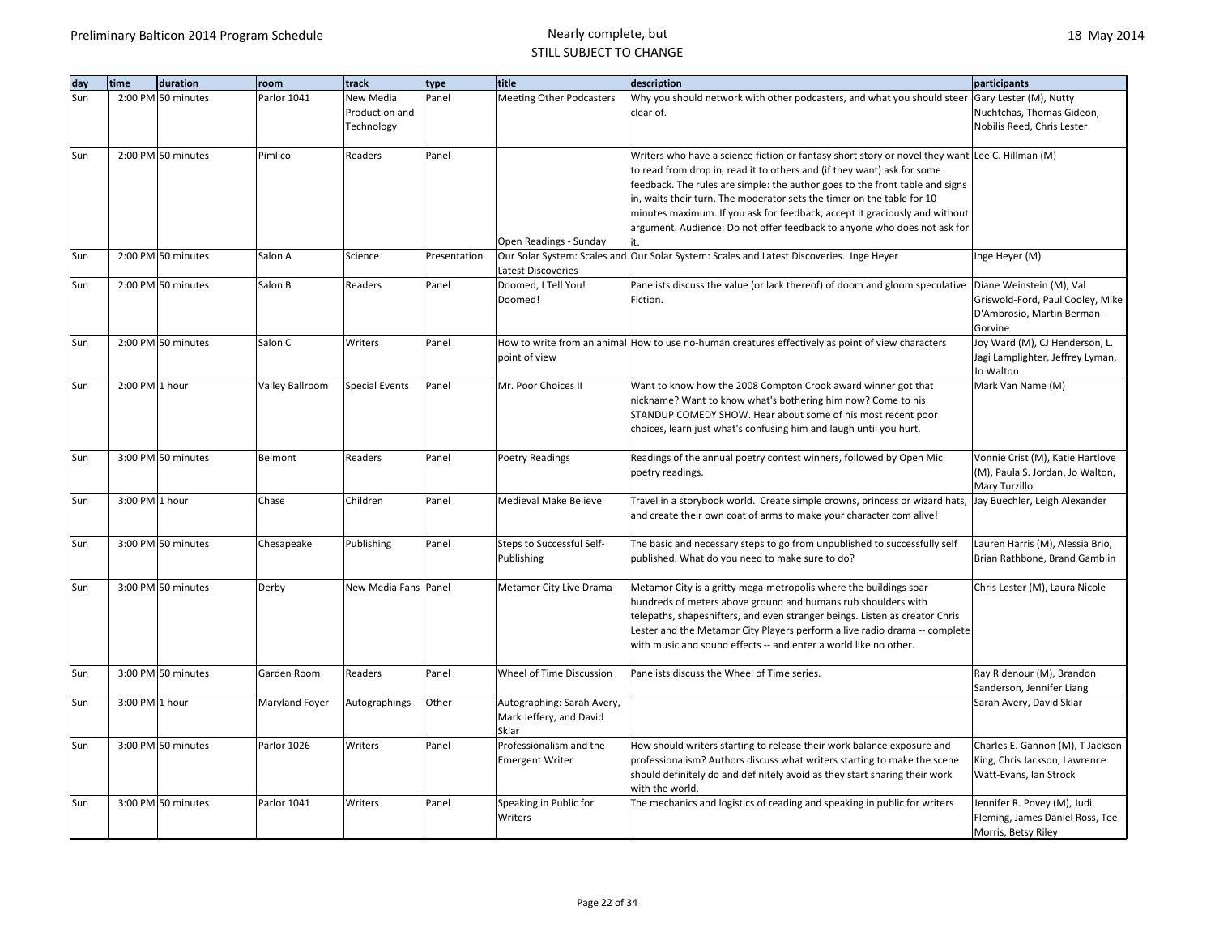| day | time           | duration           | room            | track                 | type         | title                           | description                                                                                       | participants                     |
|-----|----------------|--------------------|-----------------|-----------------------|--------------|---------------------------------|---------------------------------------------------------------------------------------------------|----------------------------------|
| Sun |                | 2:00 PM 50 minutes | Parlor 1041     | New Media             | Panel        | <b>Meeting Other Podcasters</b> | Why you should network with other podcasters, and what you should steer                           | Gary Lester (M), Nutty           |
|     |                |                    |                 | Production and        |              |                                 | clear of.                                                                                         | Nuchtchas, Thomas Gideon,        |
|     |                |                    |                 | Technology            |              |                                 |                                                                                                   | Nobilis Reed, Chris Lester       |
|     |                |                    |                 |                       |              |                                 |                                                                                                   |                                  |
| Sun |                | 2:00 PM 50 minutes | Pimlico         | Readers               | Panel        |                                 | Writers who have a science fiction or fantasy short story or novel they want Lee C. Hillman (M)   |                                  |
|     |                |                    |                 |                       |              |                                 | to read from drop in, read it to others and (if they want) ask for some                           |                                  |
|     |                |                    |                 |                       |              |                                 | feedback. The rules are simple: the author goes to the front table and signs                      |                                  |
|     |                |                    |                 |                       |              |                                 | in, waits their turn. The moderator sets the timer on the table for 10                            |                                  |
|     |                |                    |                 |                       |              |                                 | minutes maximum. If you ask for feedback, accept it graciously and without                        |                                  |
|     |                |                    |                 |                       |              |                                 | argument. Audience: Do not offer feedback to anyone who does not ask for                          |                                  |
|     |                |                    |                 |                       |              | Open Readings - Sunday          | it.                                                                                               |                                  |
| Sun |                | 2:00 PM 50 minutes | Salon A         | Science               | Presentation |                                 | Our Solar System: Scales and Our Solar System: Scales and Latest Discoveries. Inge Heyer          | Inge Heyer (M)                   |
|     |                |                    |                 |                       |              | <b>Latest Discoveries</b>       |                                                                                                   |                                  |
| Sun |                | 2:00 PM 50 minutes | Salon B         | Readers               | Panel        | Doomed, I Tell You!             | Panelists discuss the value (or lack thereof) of doom and gloom speculative                       | Diane Weinstein (M), Val         |
|     |                |                    |                 |                       |              | Doomed!                         | Fiction.                                                                                          | Griswold-Ford, Paul Cooley, Mike |
|     |                |                    |                 |                       |              |                                 |                                                                                                   | D'Ambrosio, Martin Berman-       |
|     |                |                    |                 |                       |              |                                 |                                                                                                   | Gorvine                          |
| Sun |                | 2:00 PM 50 minutes | Salon C         | Writers               | Panel        |                                 | How to write from an animal How to use no-human creatures effectively as point of view characters | Joy Ward (M), CJ Henderson, L.   |
|     |                |                    |                 |                       |              | point of view                   |                                                                                                   | Jagi Lamplighter, Jeffrey Lyman, |
|     |                |                    |                 |                       |              |                                 |                                                                                                   | Jo Walton                        |
| Sun | 2:00 PM 1 hour |                    | Valley Ballroom | <b>Special Events</b> | Panel        | Mr. Poor Choices II             | Want to know how the 2008 Compton Crook award winner got that                                     | Mark Van Name (M)                |
|     |                |                    |                 |                       |              |                                 | nickname? Want to know what's bothering him now? Come to his                                      |                                  |
|     |                |                    |                 |                       |              |                                 | STANDUP COMEDY SHOW. Hear about some of his most recent poor                                      |                                  |
|     |                |                    |                 |                       |              |                                 | choices, learn just what's confusing him and laugh until you hurt.                                |                                  |
|     |                |                    |                 |                       |              |                                 |                                                                                                   |                                  |
| Sun |                | 3:00 PM 50 minutes | Belmont         | Readers               | Panel        | <b>Poetry Readings</b>          | Readings of the annual poetry contest winners, followed by Open Mic                               | Vonnie Crist (M), Katie Hartlove |
|     |                |                    |                 |                       |              |                                 | poetry readings.                                                                                  | (M), Paula S. Jordan, Jo Walton, |
|     |                |                    |                 |                       |              |                                 |                                                                                                   | Mary Turzillo                    |
| Sun | 3:00 PM 1 hour |                    | Chase           | Children              | Panel        | Medieval Make Believe           | Travel in a storybook world. Create simple crowns, princess or wizard hats,                       | Jay Buechler, Leigh Alexander    |
|     |                |                    |                 |                       |              |                                 | and create their own coat of arms to make your character com alive!                               |                                  |
|     |                |                    |                 |                       |              |                                 |                                                                                                   |                                  |
| Sun |                | 3:00 PM 50 minutes | Chesapeake      | Publishing            | Panel        | Steps to Successful Self-       | The basic and necessary steps to go from unpublished to successfully self                         | Lauren Harris (M), Alessia Brio, |
|     |                |                    |                 |                       |              | Publishing                      | published. What do you need to make sure to do?                                                   | Brian Rathbone, Brand Gamblin    |
|     |                |                    |                 |                       |              |                                 |                                                                                                   |                                  |
| Sun |                | 3:00 PM 50 minutes | Derby           | New Media Fans Panel  |              | Metamor City Live Drama         | Metamor City is a gritty mega-metropolis where the buildings soar                                 | Chris Lester (M), Laura Nicole   |
|     |                |                    |                 |                       |              |                                 | hundreds of meters above ground and humans rub shoulders with                                     |                                  |
|     |                |                    |                 |                       |              |                                 | telepaths, shapeshifters, and even stranger beings. Listen as creator Chris                       |                                  |
|     |                |                    |                 |                       |              |                                 | Lester and the Metamor City Players perform a live radio drama -- complete                        |                                  |
|     |                |                    |                 |                       |              |                                 | with music and sound effects -- and enter a world like no other.                                  |                                  |
|     |                |                    |                 |                       |              |                                 |                                                                                                   |                                  |
| Sun |                | 3:00 PM 50 minutes | Garden Room     | Readers               | Panel        | Wheel of Time Discussion        | Panelists discuss the Wheel of Time series.                                                       | Ray Ridenour (M), Brandon        |
|     |                |                    |                 |                       |              |                                 |                                                                                                   | Sanderson, Jennifer Liang        |
| Sun | 3:00 PM 1 hour |                    | Maryland Foyer  | Autographings         | Other        | Autographing: Sarah Avery,      |                                                                                                   | Sarah Avery, David Sklar         |
|     |                |                    |                 |                       |              | Mark Jeffery, and David         |                                                                                                   |                                  |
|     |                |                    |                 |                       |              | Sklar                           |                                                                                                   |                                  |
| Sun |                | 3:00 PM 50 minutes | Parlor 1026     | Writers               | Panel        | Professionalism and the         | How should writers starting to release their work balance exposure and                            | Charles E. Gannon (M), T Jackson |
|     |                |                    |                 |                       |              | <b>Emergent Writer</b>          | professionalism? Authors discuss what writers starting to make the scene                          | King, Chris Jackson, Lawrence    |
|     |                |                    |                 |                       |              |                                 | should definitely do and definitely avoid as they start sharing their work                        | Watt-Evans, Ian Strock           |
|     |                |                    |                 |                       |              |                                 | with the world.                                                                                   |                                  |
| Sun |                | 3:00 PM 50 minutes | Parlor 1041     | Writers               | Panel        | Speaking in Public for          | The mechanics and logistics of reading and speaking in public for writers                         | Jennifer R. Povey (M), Judi      |
|     |                |                    |                 |                       |              | Writers                         |                                                                                                   | Fleming, James Daniel Ross, Tee  |
|     |                |                    |                 |                       |              |                                 |                                                                                                   | Morris, Betsy Riley              |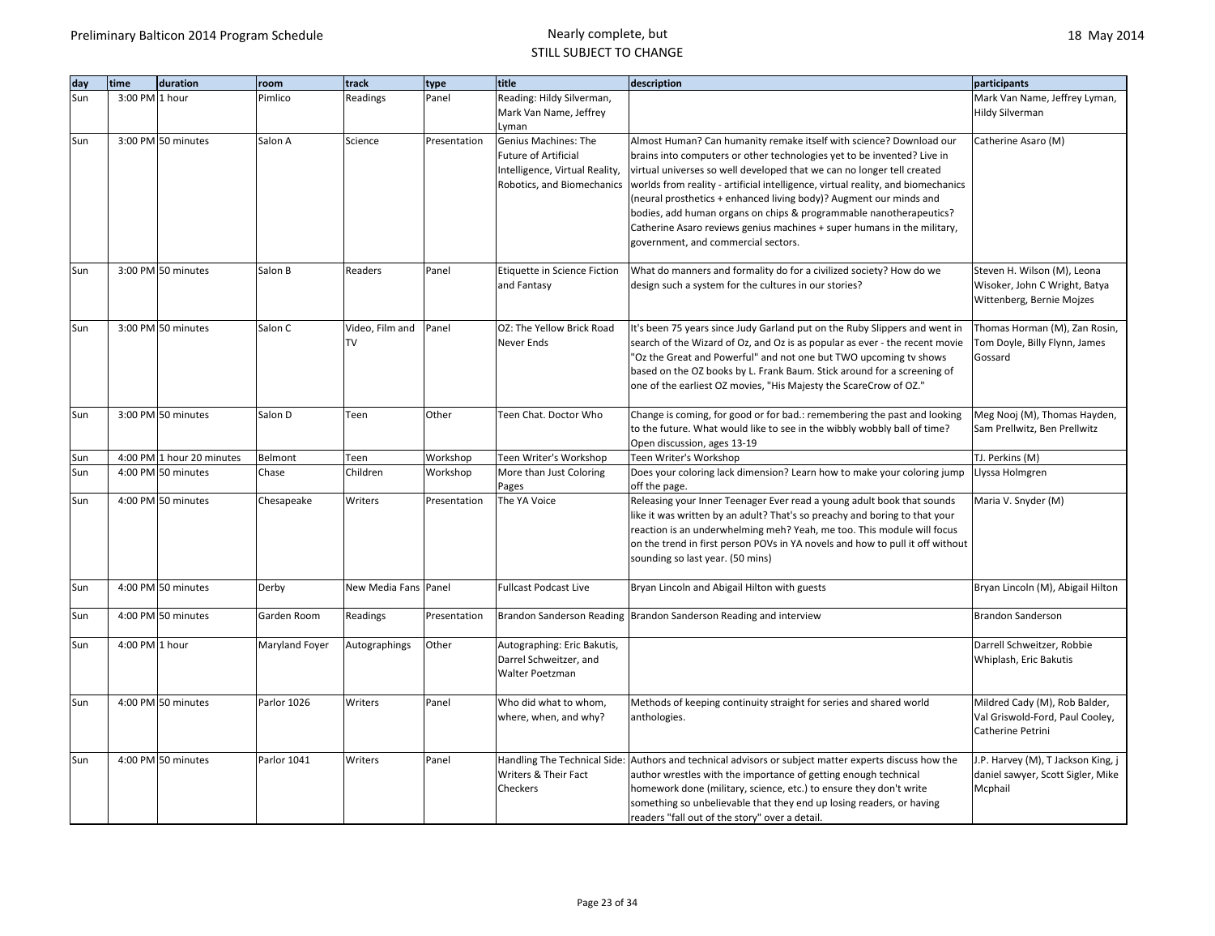| day | time           | duration                  | room           | track                        | type         | title                                                                                                                        | description                                                                                                                                                                                                                                                                                                                                                                                                                                                                                                                                                                | participants                                                                              |
|-----|----------------|---------------------------|----------------|------------------------------|--------------|------------------------------------------------------------------------------------------------------------------------------|----------------------------------------------------------------------------------------------------------------------------------------------------------------------------------------------------------------------------------------------------------------------------------------------------------------------------------------------------------------------------------------------------------------------------------------------------------------------------------------------------------------------------------------------------------------------------|-------------------------------------------------------------------------------------------|
| Sun | 3:00 PM 1 hour |                           | Pimlico        | Readings                     | Panel        | Reading: Hildy Silverman,<br>Mark Van Name, Jeffrey                                                                          |                                                                                                                                                                                                                                                                                                                                                                                                                                                                                                                                                                            | Mark Van Name, Jeffrey Lyman,<br><b>Hildy Silverman</b>                                   |
| Sun |                | 3:00 PM 50 minutes        | Salon A        | Science                      | Presentation | Lyman<br>Genius Machines: The<br><b>Future of Artificial</b><br>Intelligence, Virtual Reality,<br>Robotics, and Biomechanics | Almost Human? Can humanity remake itself with science? Download our<br>brains into computers or other technologies yet to be invented? Live in<br>virtual universes so well developed that we can no longer tell created<br>worlds from reality - artificial intelligence, virtual reality, and biomechanics<br>(neural prosthetics + enhanced living body)? Augment our minds and<br>bodies, add human organs on chips & programmable nanotherapeutics?<br>Catherine Asaro reviews genius machines + super humans in the military,<br>government, and commercial sectors. | Catherine Asaro (M)                                                                       |
| Sun |                | 3:00 PM 50 minutes        | Salon B        | Readers                      | Panel        | Etiquette in Science Fiction<br>and Fantasy                                                                                  | What do manners and formality do for a civilized society? How do we<br>design such a system for the cultures in our stories?                                                                                                                                                                                                                                                                                                                                                                                                                                               | Steven H. Wilson (M), Leona<br>Wisoker, John C Wright, Batya<br>Wittenberg, Bernie Mojzes |
| Sun |                | 3:00 PM 50 minutes        | Salon C        | Video, Film and<br><b>TV</b> | Panel        | OZ: The Yellow Brick Road<br>Never Ends                                                                                      | It's been 75 years since Judy Garland put on the Ruby Slippers and went in<br>search of the Wizard of Oz, and Oz is as popular as ever - the recent movie<br>"Oz the Great and Powerful" and not one but TWO upcoming tv shows<br>based on the OZ books by L. Frank Baum. Stick around for a screening of<br>one of the earliest OZ movies, "His Majesty the ScareCrow of OZ."                                                                                                                                                                                             | Thomas Horman (M), Zan Rosin,<br>Tom Doyle, Billy Flynn, James<br>Gossard                 |
| Sun |                | 3:00 PM 50 minutes        | Salon D        | Teen                         | Other        | Teen Chat. Doctor Who                                                                                                        | Change is coming, for good or for bad.: remembering the past and looking<br>to the future. What would like to see in the wibbly wobbly ball of time?<br>Open discussion, ages 13-19                                                                                                                                                                                                                                                                                                                                                                                        | Meg Nooj (M), Thomas Hayden,<br>Sam Prellwitz, Ben Prellwitz                              |
| Sun |                | 4:00 PM 1 hour 20 minutes | Belmont        | Teen                         | Workshop     | Teen Writer's Workshop                                                                                                       | Teen Writer's Workshop                                                                                                                                                                                                                                                                                                                                                                                                                                                                                                                                                     | TJ. Perkins (M)                                                                           |
| Sun |                | 4:00 PM 50 minutes        | Chase          | Children                     | Workshop     | More than Just Coloring                                                                                                      | Does your coloring lack dimension? Learn how to make your coloring jump                                                                                                                                                                                                                                                                                                                                                                                                                                                                                                    | Llyssa Holmgren                                                                           |
| Sun |                | 4:00 PM 50 minutes        | Chesapeake     | Writers                      | Presentation | Pages<br>The YA Voice                                                                                                        | off the page.<br>Releasing your Inner Teenager Ever read a young adult book that sounds<br>like it was written by an adult? That's so preachy and boring to that your<br>reaction is an underwhelming meh? Yeah, me too. This module will focus<br>on the trend in first person POVs in YA novels and how to pull it off without<br>sounding so last year. (50 mins)                                                                                                                                                                                                       | Maria V. Snyder (M)                                                                       |
| Sun |                | 4:00 PM 50 minutes        | Derby          | New Media Fans Panel         |              | <b>Fullcast Podcast Live</b>                                                                                                 | Bryan Lincoln and Abigail Hilton with guests                                                                                                                                                                                                                                                                                                                                                                                                                                                                                                                               | Bryan Lincoln (M), Abigail Hilton                                                         |
| Sun |                | 4:00 PM 50 minutes        | Garden Room    | Readings                     | Presentation |                                                                                                                              | Brandon Sanderson Reading Brandon Sanderson Reading and interview                                                                                                                                                                                                                                                                                                                                                                                                                                                                                                          | <b>Brandon Sanderson</b>                                                                  |
| Sun | 4:00 PM 1 hour |                           | Maryland Foyer | Autographings                | Other        | Autographing: Eric Bakutis,<br>Darrel Schweitzer, and<br>Walter Poetzman                                                     |                                                                                                                                                                                                                                                                                                                                                                                                                                                                                                                                                                            | Darrell Schweitzer, Robbie<br>Whiplash, Eric Bakutis                                      |
| Sun |                | 4:00 PM 50 minutes        | Parlor 1026    | Writers                      | Panel        | Who did what to whom,<br>where, when, and why?                                                                               | Methods of keeping continuity straight for series and shared world<br>anthologies.                                                                                                                                                                                                                                                                                                                                                                                                                                                                                         | Mildred Cady (M), Rob Balder,<br>Val Griswold-Ford, Paul Cooley,<br>Catherine Petrini     |
| Sun |                | 4:00 PM 50 minutes        | Parlor 1041    | Writers                      | Panel        | Writers & Their Fact<br>Checkers                                                                                             | Handling The Technical Side: Authors and technical advisors or subject matter experts discuss how the<br>author wrestles with the importance of getting enough technical<br>homework done (military, science, etc.) to ensure they don't write<br>something so unbelievable that they end up losing readers, or having<br>readers "fall out of the story" over a detail.                                                                                                                                                                                                   | J.P. Harvey (M), T Jackson King, j<br>daniel sawyer, Scott Sigler, Mike<br>Mcphail        |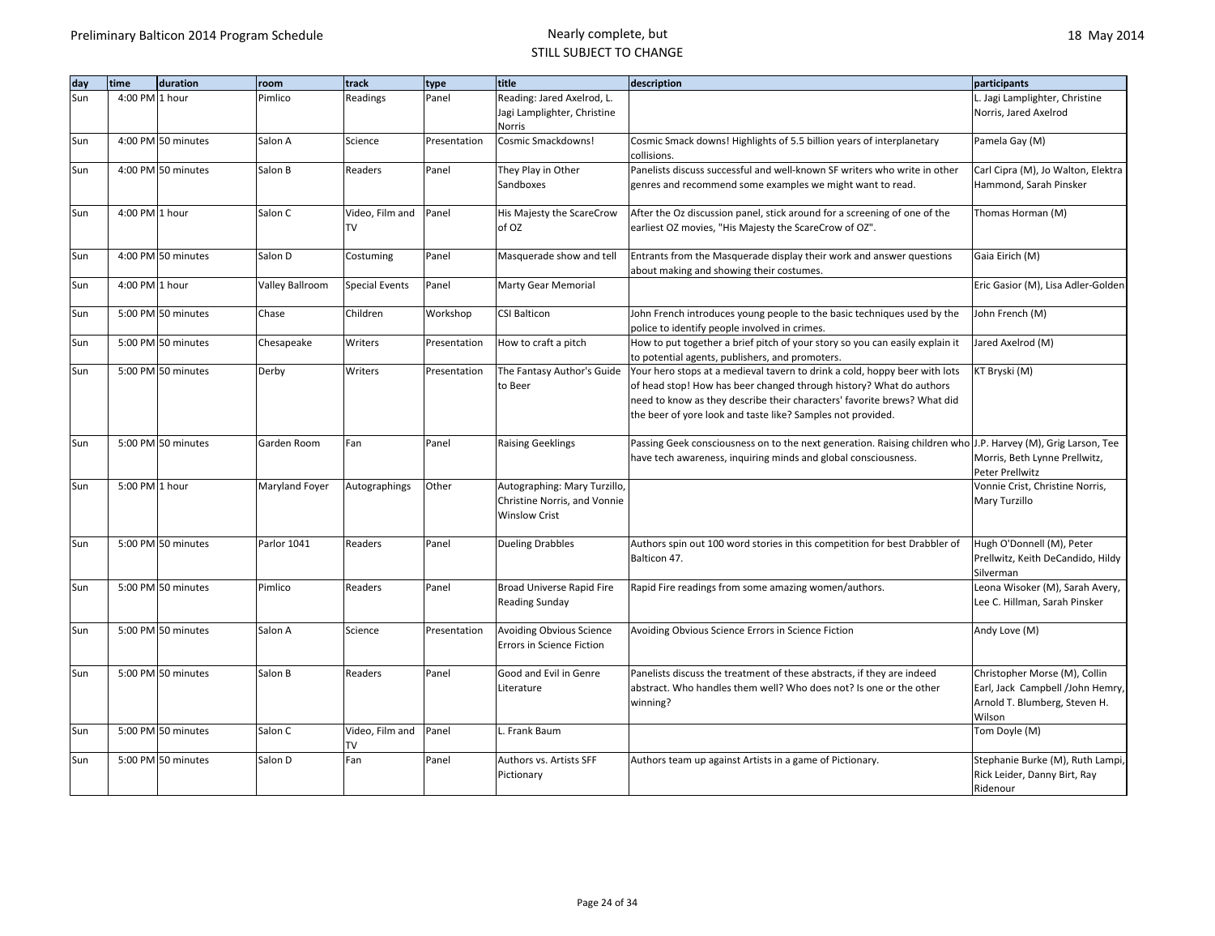| day | time               | duration | room            | track                 | type         | title                                 | description                                                                                                                                     | participants                                                     |
|-----|--------------------|----------|-----------------|-----------------------|--------------|---------------------------------------|-------------------------------------------------------------------------------------------------------------------------------------------------|------------------------------------------------------------------|
| Sun | 4:00 PM 1 hour     |          | Pimlico         | Readings              | Panel        | Reading: Jared Axelrod, L.            |                                                                                                                                                 | L. Jagi Lamplighter, Christine                                   |
|     |                    |          |                 |                       |              | Jagi Lamplighter, Christine           |                                                                                                                                                 | Norris, Jared Axelrod                                            |
|     |                    |          |                 |                       |              | Norris                                |                                                                                                                                                 |                                                                  |
| Sun | 4:00 PM 50 minutes |          | Salon A         | Science               | Presentation | Cosmic Smackdowns!                    | Cosmic Smack downs! Highlights of 5.5 billion years of interplanetary<br>collisions.                                                            | Pamela Gay (M)                                                   |
| Sun | 4:00 PM 50 minutes |          | Salon B         | Readers               | Panel        | They Play in Other                    | Panelists discuss successful and well-known SF writers who write in other                                                                       | Carl Cipra (M), Jo Walton, Elektra                               |
|     |                    |          |                 |                       |              | Sandboxes                             | genres and recommend some examples we might want to read.                                                                                       | Hammond, Sarah Pinsker                                           |
| Sun | 4:00 PM 1 hour     |          | Salon C         | Video, Film and       | Panel        | His Majesty the ScareCrow             | After the Oz discussion panel, stick around for a screening of one of the                                                                       | Thomas Horman (M)                                                |
|     |                    |          |                 | TV                    |              | of OZ                                 | earliest OZ movies, "His Majesty the ScareCrow of OZ".                                                                                          |                                                                  |
| Sun | 4:00 PM 50 minutes |          | Salon D         | Costuming             | Panel        | Masquerade show and tell              | Entrants from the Masquerade display their work and answer questions                                                                            | Gaia Eirich (M)                                                  |
|     |                    |          |                 |                       |              |                                       | about making and showing their costumes.                                                                                                        |                                                                  |
| Sun | 4:00 PM 1 hour     |          | Valley Ballroom | <b>Special Events</b> | Panel        | Marty Gear Memorial                   |                                                                                                                                                 | Eric Gasior (M), Lisa Adler-Golden                               |
| Sun | 5:00 PM 50 minutes |          | Chase           | Children              | Workshop     | <b>CSI Balticon</b>                   | John French introduces young people to the basic techniques used by the                                                                         | John French (M)                                                  |
|     |                    |          |                 |                       |              |                                       | police to identify people involved in crimes.                                                                                                   |                                                                  |
| Sun | 5:00 PM 50 minutes |          | Chesapeake      | Writers               | Presentation | How to craft a pitch                  | How to put together a brief pitch of your story so you can easily explain it                                                                    | Jared Axelrod (M)                                                |
|     |                    |          |                 |                       |              |                                       | to potential agents, publishers, and promoters.                                                                                                 |                                                                  |
| Sun | 5:00 PM 50 minutes |          | Derby           | Writers               | Presentation | The Fantasy Author's Guide            | Your hero stops at a medieval tavern to drink a cold, hoppy beer with lots                                                                      | KT Bryski (M)                                                    |
|     |                    |          |                 |                       |              | to Beer                               | of head stop! How has beer changed through history? What do authors<br>need to know as they describe their characters' favorite brews? What did |                                                                  |
|     |                    |          |                 |                       |              |                                       | the beer of yore look and taste like? Samples not provided.                                                                                     |                                                                  |
|     |                    |          |                 |                       |              |                                       |                                                                                                                                                 |                                                                  |
| Sun | 5:00 PM 50 minutes |          | Garden Room     | Fan                   | Panel        | <b>Raising Geeklings</b>              | Passing Geek consciousness on to the next generation. Raising children who J.P. Harvey (M), Grig Larson, Tee                                    |                                                                  |
|     |                    |          |                 |                       |              |                                       | have tech awareness, inquiring minds and global consciousness.                                                                                  | Morris, Beth Lynne Prellwitz,                                    |
|     |                    |          |                 |                       |              |                                       |                                                                                                                                                 | Peter Prellwitz                                                  |
| Sun | 5:00 PM 1 hour     |          | Maryland Foyer  | Autographings         | Other        | Autographing: Mary Turzillo,          |                                                                                                                                                 | Vonnie Crist, Christine Norris,                                  |
|     |                    |          |                 |                       |              | Christine Norris, and Vonnie          |                                                                                                                                                 | Mary Turzillo                                                    |
|     |                    |          |                 |                       |              | <b>Winslow Crist</b>                  |                                                                                                                                                 |                                                                  |
| Sun | 5:00 PM 50 minutes |          | Parlor 1041     | Readers               | Panel        | <b>Dueling Drabbles</b>               | Authors spin out 100 word stories in this competition for best Drabbler of                                                                      | Hugh O'Donnell (M), Peter                                        |
|     |                    |          |                 |                       |              |                                       | Balticon 47.                                                                                                                                    | Prellwitz, Keith DeCandido, Hildy                                |
|     |                    |          |                 |                       |              |                                       |                                                                                                                                                 | Silverman                                                        |
| Sun | 5:00 PM 50 minutes |          | Pimlico         | Readers               | Panel        | Broad Universe Rapid Fire             | Rapid Fire readings from some amazing women/authors.                                                                                            | Leona Wisoker (M), Sarah Avery,                                  |
|     |                    |          |                 |                       |              | <b>Reading Sunday</b>                 |                                                                                                                                                 | Lee C. Hillman, Sarah Pinsker                                    |
| Sun | 5:00 PM 50 minutes |          | Salon A         | Science               | Presentation | Avoiding Obvious Science              | Avoiding Obvious Science Errors in Science Fiction                                                                                              | Andy Love (M)                                                    |
|     |                    |          |                 |                       |              | Errors in Science Fiction             |                                                                                                                                                 |                                                                  |
| Sun | 5:00 PM 50 minutes |          | Salon B         | Readers               | Panel        | Good and Evil in Genre                | Panelists discuss the treatment of these abstracts, if they are indeed                                                                          | Christopher Morse (M), Collin                                    |
|     |                    |          |                 |                       |              | Literature                            | abstract. Who handles them well? Who does not? Is one or the other                                                                              | Earl, Jack Campbell /John Hemry,                                 |
|     |                    |          |                 |                       |              |                                       | winning?                                                                                                                                        | Arnold T. Blumberg, Steven H.                                    |
|     |                    |          |                 |                       |              |                                       |                                                                                                                                                 | Wilson                                                           |
| Sun | 5:00 PM 50 minutes |          | Salon C         | Video, Film and       | Panel        | L. Frank Baum                         |                                                                                                                                                 | Tom Doyle (M)                                                    |
|     | 5:00 PM 50 minutes |          | Salon D         | TV<br>Fan             | Panel        |                                       |                                                                                                                                                 |                                                                  |
| Sun |                    |          |                 |                       |              | Authors vs. Artists SFF<br>Pictionary | Authors team up against Artists in a game of Pictionary.                                                                                        | Stephanie Burke (M), Ruth Lampi,<br>Rick Leider, Danny Birt, Ray |
|     |                    |          |                 |                       |              |                                       |                                                                                                                                                 | Ridenour                                                         |
|     |                    |          |                 |                       |              |                                       |                                                                                                                                                 |                                                                  |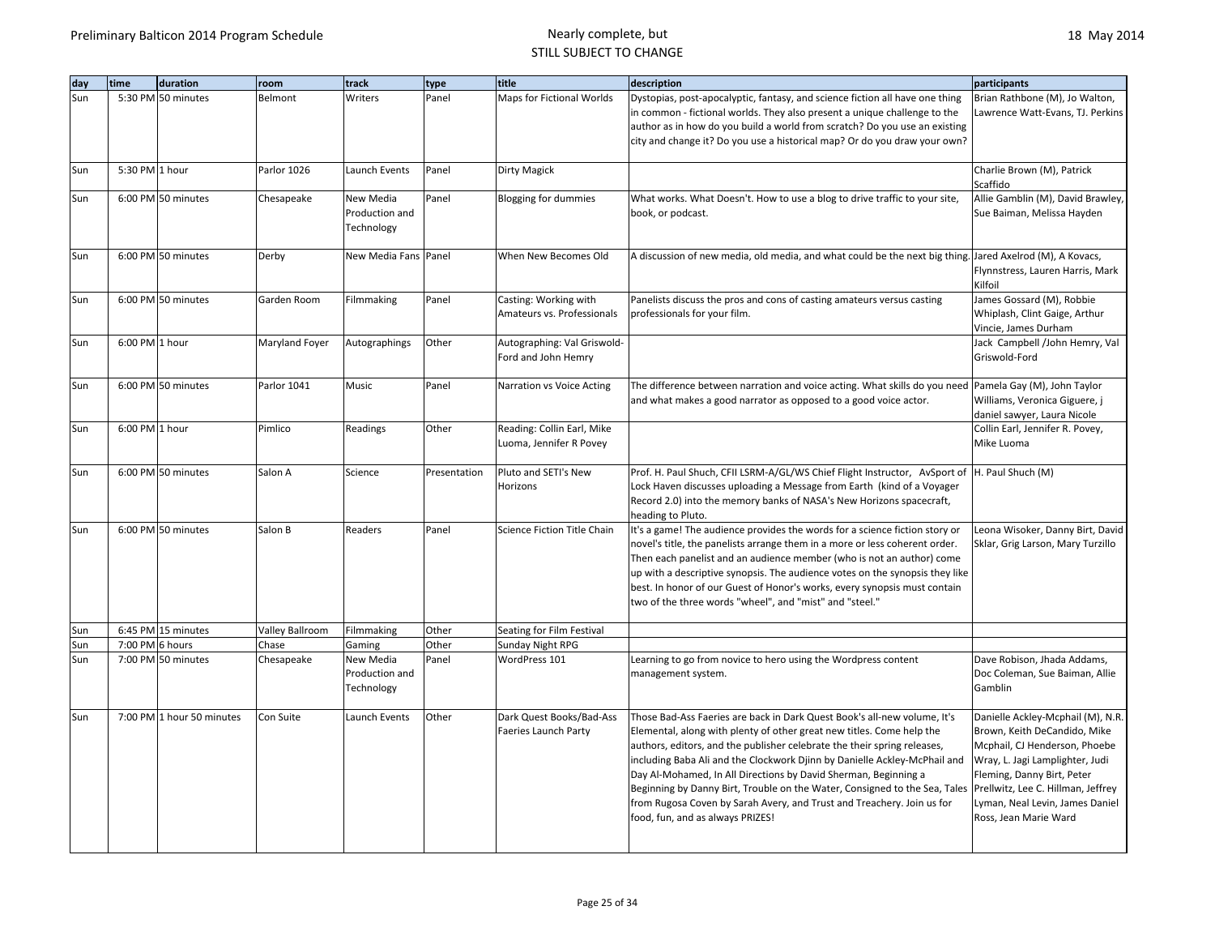| dav | time            | duration                  | room            | track                                     | type         | title                                                   | description                                                                                                                                                                                                                                                                                                                                                                                                                                                                                                                                                               | participants                                                                                                                                                                                                                                                          |
|-----|-----------------|---------------------------|-----------------|-------------------------------------------|--------------|---------------------------------------------------------|---------------------------------------------------------------------------------------------------------------------------------------------------------------------------------------------------------------------------------------------------------------------------------------------------------------------------------------------------------------------------------------------------------------------------------------------------------------------------------------------------------------------------------------------------------------------------|-----------------------------------------------------------------------------------------------------------------------------------------------------------------------------------------------------------------------------------------------------------------------|
| Sun |                 | 5:30 PM 50 minutes        | Belmont         | Writers                                   | Panel        | Maps for Fictional Worlds                               | Dystopias, post-apocalyptic, fantasy, and science fiction all have one thing<br>in common - fictional worlds. They also present a unique challenge to the<br>author as in how do you build a world from scratch? Do you use an existing<br>city and change it? Do you use a historical map? Or do you draw your own?                                                                                                                                                                                                                                                      | Brian Rathbone (M), Jo Walton,<br>Lawrence Watt-Evans, TJ. Perkins                                                                                                                                                                                                    |
| Sun | 5:30 PM 1 hour  |                           | Parlor 1026     | Launch Events                             | Panel        | Dirty Magick                                            |                                                                                                                                                                                                                                                                                                                                                                                                                                                                                                                                                                           | Charlie Brown (M), Patrick<br>Scaffido                                                                                                                                                                                                                                |
| Sun |                 | 6:00 PM 50 minutes        | Chesapeake      | New Media<br>Production and<br>Technology | Panel        | <b>Blogging for dummies</b>                             | What works. What Doesn't. How to use a blog to drive traffic to your site,<br>book, or podcast.                                                                                                                                                                                                                                                                                                                                                                                                                                                                           | Allie Gamblin (M), David Brawley,<br>Sue Baiman, Melissa Hayden                                                                                                                                                                                                       |
| Sun |                 | 6:00 PM 50 minutes        | Derby           | New Media Fans Panel                      |              | When New Becomes Old                                    | A discussion of new media, old media, and what could be the next big thing. Jared Axelrod (M), A Kovacs,                                                                                                                                                                                                                                                                                                                                                                                                                                                                  | Flynnstress, Lauren Harris, Mark<br>Kilfoil                                                                                                                                                                                                                           |
| Sun |                 | 6:00 PM 50 minutes        | Garden Room     | Filmmaking                                | Panel        | Casting: Working with<br>Amateurs vs. Professionals     | Panelists discuss the pros and cons of casting amateurs versus casting<br>professionals for your film.                                                                                                                                                                                                                                                                                                                                                                                                                                                                    | James Gossard (M), Robbie<br>Whiplash, Clint Gaige, Arthur<br>Vincie, James Durham                                                                                                                                                                                    |
| Sun | 6:00 PM 1 hour  |                           | Maryland Foyer  | Autographings                             | Other        | Autographing: Val Griswold-<br>Ford and John Hemry      |                                                                                                                                                                                                                                                                                                                                                                                                                                                                                                                                                                           | Jack Campbell /John Hemry, Val<br>Griswold-Ford                                                                                                                                                                                                                       |
| Sun |                 | 6:00 PM 50 minutes        | Parlor 1041     | Music                                     | Panel        | Narration vs Voice Acting                               | The difference between narration and voice acting. What skills do you need<br>and what makes a good narrator as opposed to a good voice actor.                                                                                                                                                                                                                                                                                                                                                                                                                            | Pamela Gay (M), John Taylor<br>Williams, Veronica Giguere, j<br>daniel sawyer, Laura Nicole                                                                                                                                                                           |
| Sun | 6:00 PM 1 hour  |                           | Pimlico         | Readings                                  | Other        | Reading: Collin Earl, Mike<br>Luoma, Jennifer R Povey   |                                                                                                                                                                                                                                                                                                                                                                                                                                                                                                                                                                           | Collin Earl, Jennifer R. Povey,<br>Mike Luoma                                                                                                                                                                                                                         |
| Sun |                 | 6:00 PM 50 minutes        | Salon A         | Science                                   | Presentation | Pluto and SETI's New<br>Horizons                        | Prof. H. Paul Shuch, CFII LSRM-A/GL/WS Chief Flight Instructor, AvSport of<br>Lock Haven discusses uploading a Message from Earth (kind of a Voyager<br>Record 2.0) into the memory banks of NASA's New Horizons spacecraft,<br>heading to Pluto.                                                                                                                                                                                                                                                                                                                         | H. Paul Shuch (M)                                                                                                                                                                                                                                                     |
| Sun |                 | 6:00 PM 50 minutes        | Salon B         | Readers                                   | Panel        | Science Fiction Title Chain                             | It's a game! The audience provides the words for a science fiction story or<br>novel's title, the panelists arrange them in a more or less coherent order.<br>Then each panelist and an audience member (who is not an author) come<br>up with a descriptive synopsis. The audience votes on the synopsis they like<br>best. In honor of our Guest of Honor's works, every synopsis must contain<br>two of the three words "wheel", and "mist" and "steel."                                                                                                               | Leona Wisoker, Danny Birt, David<br>Sklar, Grig Larson, Mary Turzillo                                                                                                                                                                                                 |
| Sun |                 | 6:45 PM 15 minutes        | Valley Ballroom | Filmmaking                                | Other        | Seating for Film Festival                               |                                                                                                                                                                                                                                                                                                                                                                                                                                                                                                                                                                           |                                                                                                                                                                                                                                                                       |
| Sun | 7:00 PM 6 hours |                           | Chase           | Gaming                                    | Other        | Sunday Night RPG                                        |                                                                                                                                                                                                                                                                                                                                                                                                                                                                                                                                                                           |                                                                                                                                                                                                                                                                       |
| Sun |                 | 7:00 PM 50 minutes        | Chesapeake      | New Media<br>Production and<br>Technology | Panel        | WordPress 101                                           | Learning to go from novice to hero using the Wordpress content<br>management system.                                                                                                                                                                                                                                                                                                                                                                                                                                                                                      | Dave Robison, Jhada Addams,<br>Doc Coleman, Sue Baiman, Allie<br>Gamblin                                                                                                                                                                                              |
| Sun |                 | 7:00 PM 1 hour 50 minutes | Con Suite       | Launch Events                             | Other        | Dark Quest Books/Bad-Ass<br><b>Faeries Launch Party</b> | Those Bad-Ass Faeries are back in Dark Quest Book's all-new volume, It's<br>Elemental, along with plenty of other great new titles. Come help the<br>authors, editors, and the publisher celebrate the their spring releases,<br>including Baba Ali and the Clockwork Djinn by Danielle Ackley-McPhail and<br>Day Al-Mohamed, In All Directions by David Sherman, Beginning a<br>Beginning by Danny Birt, Trouble on the Water, Consigned to the Sea, Tales<br>from Rugosa Coven by Sarah Avery, and Trust and Treachery. Join us for<br>food, fun, and as always PRIZES! | Danielle Ackley-Mcphail (M), N.R.<br>Brown, Keith DeCandido, Mike<br>Mcphail, CJ Henderson, Phoebe<br>Wray, L. Jagi Lamplighter, Judi<br>Fleming, Danny Birt, Peter<br>Prellwitz, Lee C. Hillman, Jeffrey<br>Lyman, Neal Levin, James Daniel<br>Ross, Jean Marie Ward |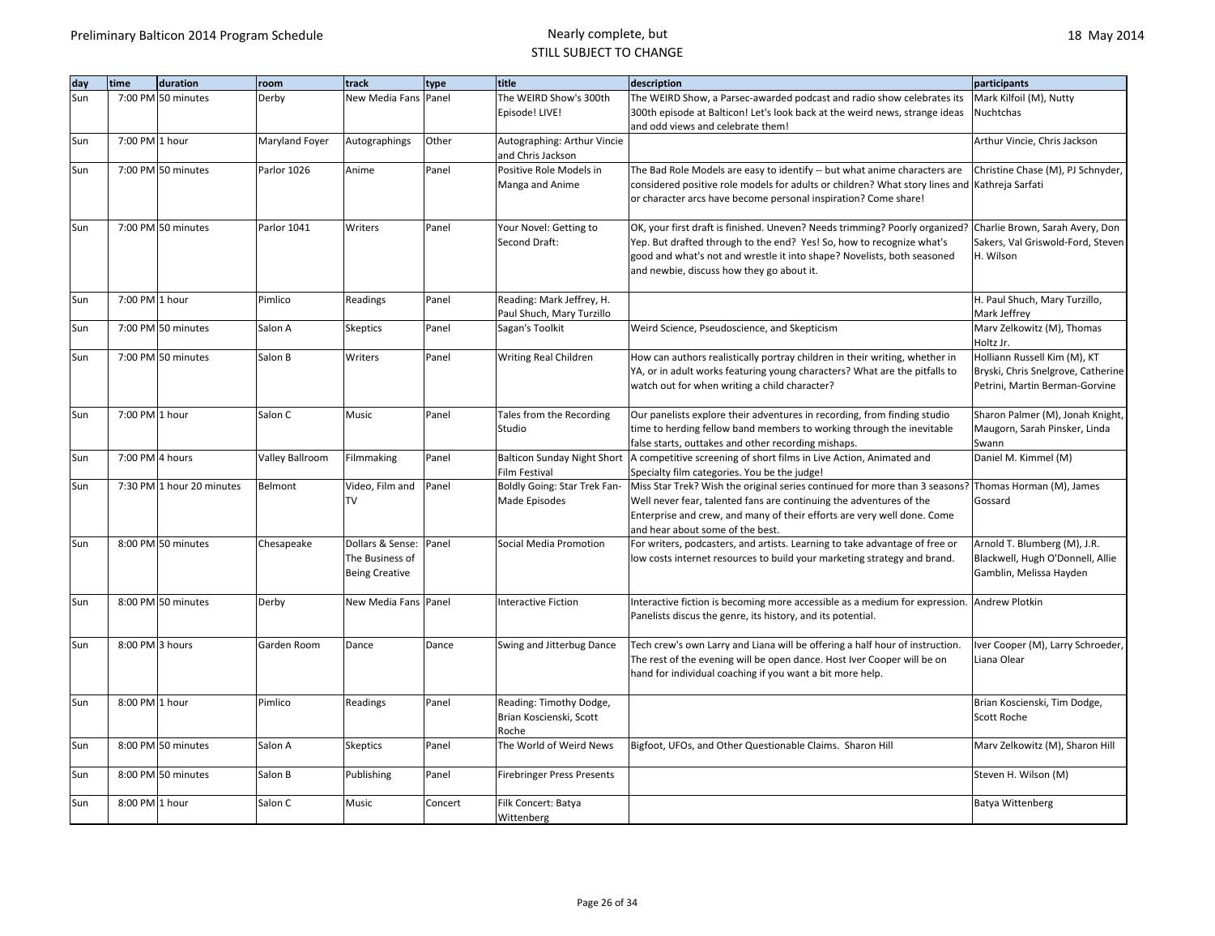| day | time<br>duration          | room            | track                 | type    | title                              | description                                                                                          | participants                            |
|-----|---------------------------|-----------------|-----------------------|---------|------------------------------------|------------------------------------------------------------------------------------------------------|-----------------------------------------|
| Sun | 7:00 PM 50 minutes        | Derby           | New Media Fans Panel  |         | The WEIRD Show's 300th             | The WEIRD Show, a Parsec-awarded podcast and radio show celebrates its                               | Mark Kilfoil (M), Nutty                 |
|     |                           |                 |                       |         | Episode! LIVE!                     | 300th episode at Balticon! Let's look back at the weird news, strange ideas                          | Nuchtchas                               |
|     |                           |                 |                       |         |                                    | and odd views and celebrate them!                                                                    |                                         |
| Sun | 7:00 PM 1 hour            | Maryland Foyer  | Autographings         | Other   | Autographing: Arthur Vincie        |                                                                                                      | Arthur Vincie, Chris Jackson            |
|     |                           |                 |                       |         | and Chris Jackson                  |                                                                                                      |                                         |
| Sun | 7:00 PM 50 minutes        | Parlor 1026     | Anime                 | Panel   | Positive Role Models in            | The Bad Role Models are easy to identify -- but what anime characters are                            | Christine Chase (M), PJ Schnyder,       |
|     |                           |                 |                       |         | Manga and Anime                    | considered positive role models for adults or children? What story lines and Kathreja Sarfati        |                                         |
|     |                           |                 |                       |         |                                    | or character arcs have become personal inspiration? Come share!                                      |                                         |
| Sun | 7:00 PM 50 minutes        | Parlor 1041     | Writers               | Panel   | Your Novel: Getting to             | OK, your first draft is finished. Uneven? Needs trimming? Poorly organized?                          | Charlie Brown, Sarah Avery, Don         |
|     |                           |                 |                       |         | Second Draft:                      | Yep. But drafted through to the end? Yes! So, how to recognize what's                                | Sakers, Val Griswold-Ford, Steven       |
|     |                           |                 |                       |         |                                    | good and what's not and wrestle it into shape? Novelists, both seasoned                              | H. Wilson                               |
|     |                           |                 |                       |         |                                    | and newbie, discuss how they go about it.                                                            |                                         |
|     |                           |                 |                       |         |                                    |                                                                                                      |                                         |
| Sun | 7:00 PM 1 hour            | Pimlico         | Readings              | Panel   | Reading: Mark Jeffrey, H.          |                                                                                                      | H. Paul Shuch, Mary Turzillo,           |
|     |                           |                 |                       |         | Paul Shuch, Mary Turzillo          |                                                                                                      | Mark Jeffrey                            |
| Sun | 7:00 PM 50 minutes        | Salon A         | <b>Skeptics</b>       | Panel   | Sagan's Toolkit                    | Weird Science, Pseudoscience, and Skepticism                                                         | Marv Zelkowitz (M), Thomas<br>Holtz Jr. |
| Sun | 7:00 PM 50 minutes        | Salon B         | Writers               | Panel   | Writing Real Children              | How can authors realistically portray children in their writing, whether in                          | Holliann Russell Kim (M), KT            |
|     |                           |                 |                       |         |                                    | YA, or in adult works featuring young characters? What are the pitfalls to                           | Bryski, Chris Snelgrove, Catherine      |
|     |                           |                 |                       |         |                                    | watch out for when writing a child character?                                                        | Petrini, Martin Berman-Gorvine          |
| Sun | 7:00 PM 1 hour            | Salon C         | Music                 | Panel   | Tales from the Recording           | Our panelists explore their adventures in recording, from finding studio                             | Sharon Palmer (M), Jonah Knight,        |
|     |                           |                 |                       |         | Studio                             | time to herding fellow band members to working through the inevitable                                | Maugorn, Sarah Pinsker, Linda           |
|     |                           |                 |                       |         |                                    | false starts, outtakes and other recording mishaps.                                                  | Swann                                   |
| Sun | 7:00 PM 4 hours           | Valley Ballroom | Filmmaking            | Panel   | <b>Balticon Sunday Night Short</b> | A competitive screening of short films in Live Action, Animated and                                  | Daniel M. Kimmel (M)                    |
|     |                           |                 |                       |         | Film Festival                      | Specialty film categories. You be the judge!                                                         |                                         |
| Sun | 7:30 PM 1 hour 20 minutes | Belmont         | Video, Film and       | Panel   | Boldly Going: Star Trek Fan-       | Miss Star Trek? Wish the original series continued for more than 3 seasons? Thomas Horman (M), James |                                         |
|     |                           |                 | TV                    |         | Made Episodes                      | Well never fear, talented fans are continuing the adventures of the                                  | Gossard                                 |
|     |                           |                 |                       |         |                                    | Enterprise and crew, and many of their efforts are very well done. Come                              |                                         |
|     |                           |                 |                       |         |                                    | and hear about some of the best.                                                                     |                                         |
| Sun | 8:00 PM 50 minutes        | Chesapeake      | Dollars & Sense:      | Panel   | Social Media Promotion             | For writers, podcasters, and artists. Learning to take advantage of free or                          | Arnold T. Blumberg (M), J.R.            |
|     |                           |                 | The Business of       |         |                                    | low costs internet resources to build your marketing strategy and brand.                             | Blackwell, Hugh O'Donnell, Allie        |
|     |                           |                 | <b>Being Creative</b> |         |                                    |                                                                                                      | Gamblin, Melissa Hayden                 |
| Sun | 8:00 PM 50 minutes        | Derby           | New Media Fans Panel  |         | <b>Interactive Fiction</b>         | Interactive fiction is becoming more accessible as a medium for expression.                          | <b>Andrew Plotkin</b>                   |
|     |                           |                 |                       |         |                                    | Panelists discus the genre, its history, and its potential.                                          |                                         |
|     |                           |                 |                       |         |                                    |                                                                                                      |                                         |
| Sun | 8:00 PM 3 hours           | Garden Room     | Dance                 | Dance   | Swing and Jitterbug Dance          | Tech crew's own Larry and Liana will be offering a half hour of instruction.                         | Iver Cooper (M), Larry Schroeder,       |
|     |                           |                 |                       |         |                                    | The rest of the evening will be open dance. Host Iver Cooper will be on                              | Liana Olear                             |
|     |                           |                 |                       |         |                                    | hand for individual coaching if you want a bit more help.                                            |                                         |
| Sun | 8:00 PM 1 hour            | Pimlico         | Readings              | Panel   | Reading: Timothy Dodge,            |                                                                                                      | Brian Koscienski, Tim Dodge,            |
|     |                           |                 |                       |         | Brian Koscienski, Scott            |                                                                                                      | Scott Roche                             |
|     |                           |                 |                       |         | Roche                              |                                                                                                      |                                         |
| Sun | 8:00 PM 50 minutes        | Salon A         | <b>Skeptics</b>       | Panel   | The World of Weird News            | Bigfoot, UFOs, and Other Questionable Claims. Sharon Hill                                            | Marv Zelkowitz (M), Sharon Hill         |
|     |                           |                 |                       |         |                                    |                                                                                                      |                                         |
| Sun | 8:00 PM 50 minutes        | Salon B         | Publishing            | Panel   | <b>Firebringer Press Presents</b>  |                                                                                                      | Steven H. Wilson (M)                    |
| Sun | 8:00 PM 1 hour            | Salon C         | Music                 | Concert | Filk Concert: Batya                |                                                                                                      | Batya Wittenberg                        |
|     |                           |                 |                       |         | Wittenberg                         |                                                                                                      |                                         |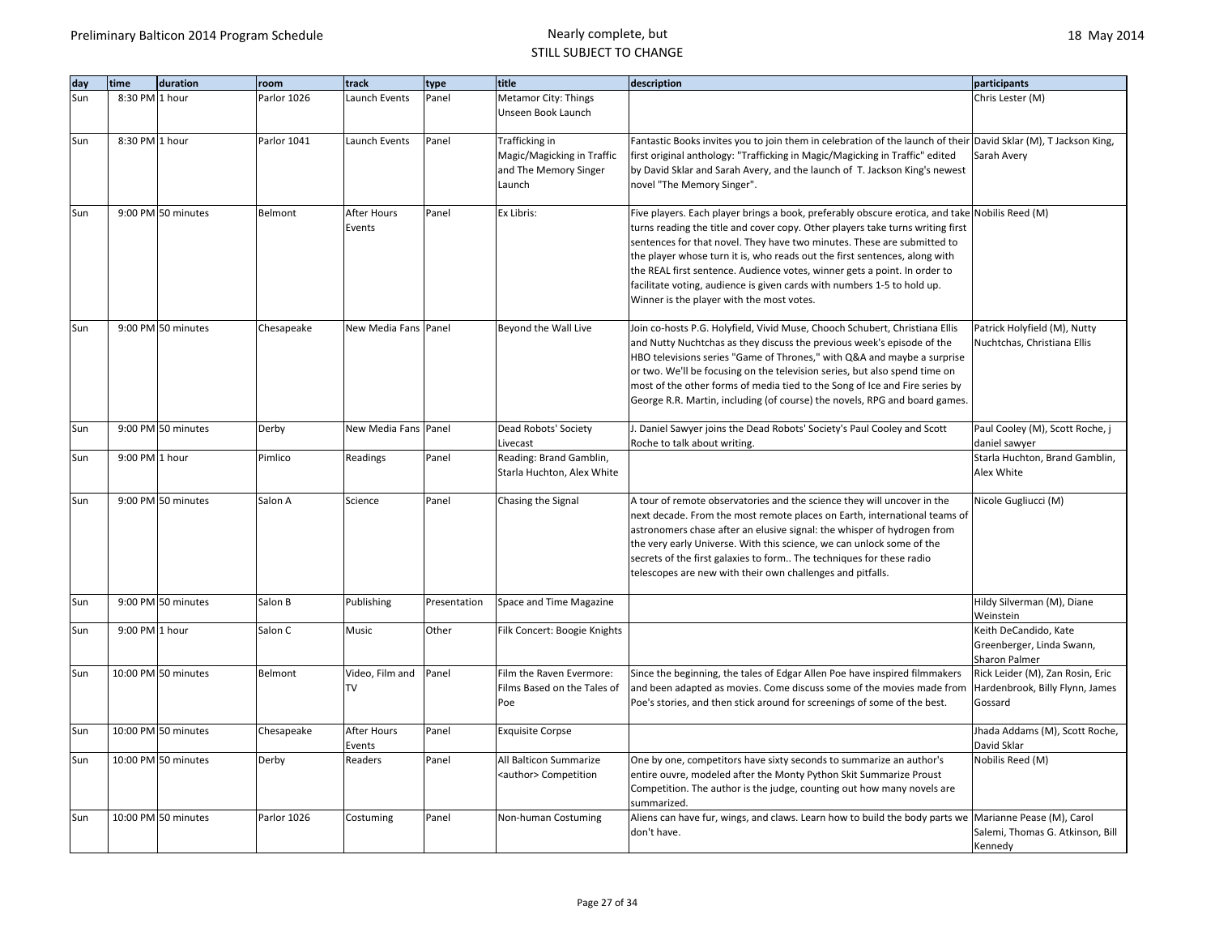| day | time           | duration            | room        | track                        | type         | title                                                                           | description                                                                                                                                                                                                                                                                                                                                                                                                                                                                                                                                    | participants                                                                   |
|-----|----------------|---------------------|-------------|------------------------------|--------------|---------------------------------------------------------------------------------|------------------------------------------------------------------------------------------------------------------------------------------------------------------------------------------------------------------------------------------------------------------------------------------------------------------------------------------------------------------------------------------------------------------------------------------------------------------------------------------------------------------------------------------------|--------------------------------------------------------------------------------|
| Sun | 8:30 PM 1 hour |                     | Parlor 1026 | Launch Events                | Panel        | <b>Metamor City: Things</b><br>Unseen Book Launch                               |                                                                                                                                                                                                                                                                                                                                                                                                                                                                                                                                                | Chris Lester (M)                                                               |
| Sun | 8:30 PM 1 hour |                     | Parlor 1041 | Launch Events                | Panel        | Trafficking in<br>Magic/Magicking in Traffic<br>and The Memory Singer<br>Launch | Fantastic Books invites you to join them in celebration of the launch of their David Sklar (M), T Jackson King,<br>first original anthology: "Trafficking in Magic/Magicking in Traffic" edited<br>by David Sklar and Sarah Avery, and the launch of T. Jackson King's newest<br>novel "The Memory Singer".                                                                                                                                                                                                                                    | Sarah Avery                                                                    |
| Sun |                | 9:00 PM 50 minutes  | Belmont     | After Hours<br>Events        | Panel        | Ex Libris:                                                                      | Five players. Each player brings a book, preferably obscure erotica, and take Nobilis Reed (M)<br>turns reading the title and cover copy. Other players take turns writing first<br>sentences for that novel. They have two minutes. These are submitted to<br>the player whose turn it is, who reads out the first sentences, along with<br>the REAL first sentence. Audience votes, winner gets a point. In order to<br>facilitate voting, audience is given cards with numbers 1-5 to hold up.<br>Winner is the player with the most votes. |                                                                                |
| Sun |                | 9:00 PM 50 minutes  | Chesapeake  | New Media Fans Panel         |              | Beyond the Wall Live                                                            | Join co-hosts P.G. Holyfield, Vivid Muse, Chooch Schubert, Christiana Ellis<br>and Nutty Nuchtchas as they discuss the previous week's episode of the<br>HBO televisions series "Game of Thrones," with Q&A and maybe a surprise<br>or two. We'll be focusing on the television series, but also spend time on<br>most of the other forms of media tied to the Song of Ice and Fire series by<br>George R.R. Martin, including (of course) the novels, RPG and board games.                                                                    | Patrick Holyfield (M), Nutty<br>Nuchtchas, Christiana Ellis                    |
| Sun |                | 9:00 PM 50 minutes  | Derby       | New Media Fans Panel         |              | Dead Robots' Society<br>Livecast                                                | J. Daniel Sawyer joins the Dead Robots' Society's Paul Cooley and Scott<br>Roche to talk about writing.                                                                                                                                                                                                                                                                                                                                                                                                                                        | Paul Cooley (M), Scott Roche, j<br>daniel sawyer                               |
| Sun | 9:00 PM 1 hour |                     | Pimlico     | Readings                     | Panel        | Reading: Brand Gamblin,<br>Starla Huchton, Alex White                           |                                                                                                                                                                                                                                                                                                                                                                                                                                                                                                                                                | Starla Huchton, Brand Gamblin,<br>Alex White                                   |
| Sun |                | 9:00 PM 50 minutes  | Salon A     | Science                      | Panel        | Chasing the Signal                                                              | A tour of remote observatories and the science they will uncover in the<br>next decade. From the most remote places on Earth, international teams of<br>astronomers chase after an elusive signal: the whisper of hydrogen from<br>the very early Universe. With this science, we can unlock some of the<br>secrets of the first galaxies to form The techniques for these radio<br>telescopes are new with their own challenges and pitfalls.                                                                                                 | Nicole Gugliucci (M)                                                           |
| Sun |                | 9:00 PM 50 minutes  | Salon B     | Publishing                   | Presentation | Space and Time Magazine                                                         |                                                                                                                                                                                                                                                                                                                                                                                                                                                                                                                                                | Hildy Silverman (M), Diane<br>Weinstein                                        |
| Sun | 9:00 PM 1 hour |                     | Salon C     | Music                        | Other        | Filk Concert: Boogie Knights                                                    |                                                                                                                                                                                                                                                                                                                                                                                                                                                                                                                                                | Keith DeCandido, Kate<br>Greenberger, Linda Swann,<br>Sharon Palmer            |
| Sun |                | 10:00 PM 50 minutes | Belmont     | Video, Film and<br><b>TV</b> | Panel        | Film the Raven Evermore:<br>Films Based on the Tales of<br>Poe                  | Since the beginning, the tales of Edgar Allen Poe have inspired filmmakers<br>and been adapted as movies. Come discuss some of the movies made from<br>Poe's stories, and then stick around for screenings of some of the best.                                                                                                                                                                                                                                                                                                                | Rick Leider (M), Zan Rosin, Eric<br>Hardenbrook, Billy Flynn, James<br>Gossard |
| Sun |                | 10:00 PM 50 minutes | Chesapeake  | After Hours<br>Events        | Panel        | <b>Exquisite Corpse</b>                                                         |                                                                                                                                                                                                                                                                                                                                                                                                                                                                                                                                                | Jhada Addams (M), Scott Roche,<br>David Sklar                                  |
| Sun |                | 10:00 PM 50 minutes | Derby       | Readers                      | Panel        | All Balticon Summarize<br><author> Competition</author>                         | One by one, competitors have sixty seconds to summarize an author's<br>entire ouvre, modeled after the Monty Python Skit Summarize Proust<br>Competition. The author is the judge, counting out how many novels are<br>summarized.                                                                                                                                                                                                                                                                                                             | Nobilis Reed (M)                                                               |
| Sun |                | 10:00 PM 50 minutes | Parlor 1026 | Costuming                    | Panel        | Non-human Costuming                                                             | Aliens can have fur, wings, and claws. Learn how to build the body parts we Marianne Pease (M), Carol<br>don't have.                                                                                                                                                                                                                                                                                                                                                                                                                           | Salemi, Thomas G. Atkinson, Bill<br>Kennedy                                    |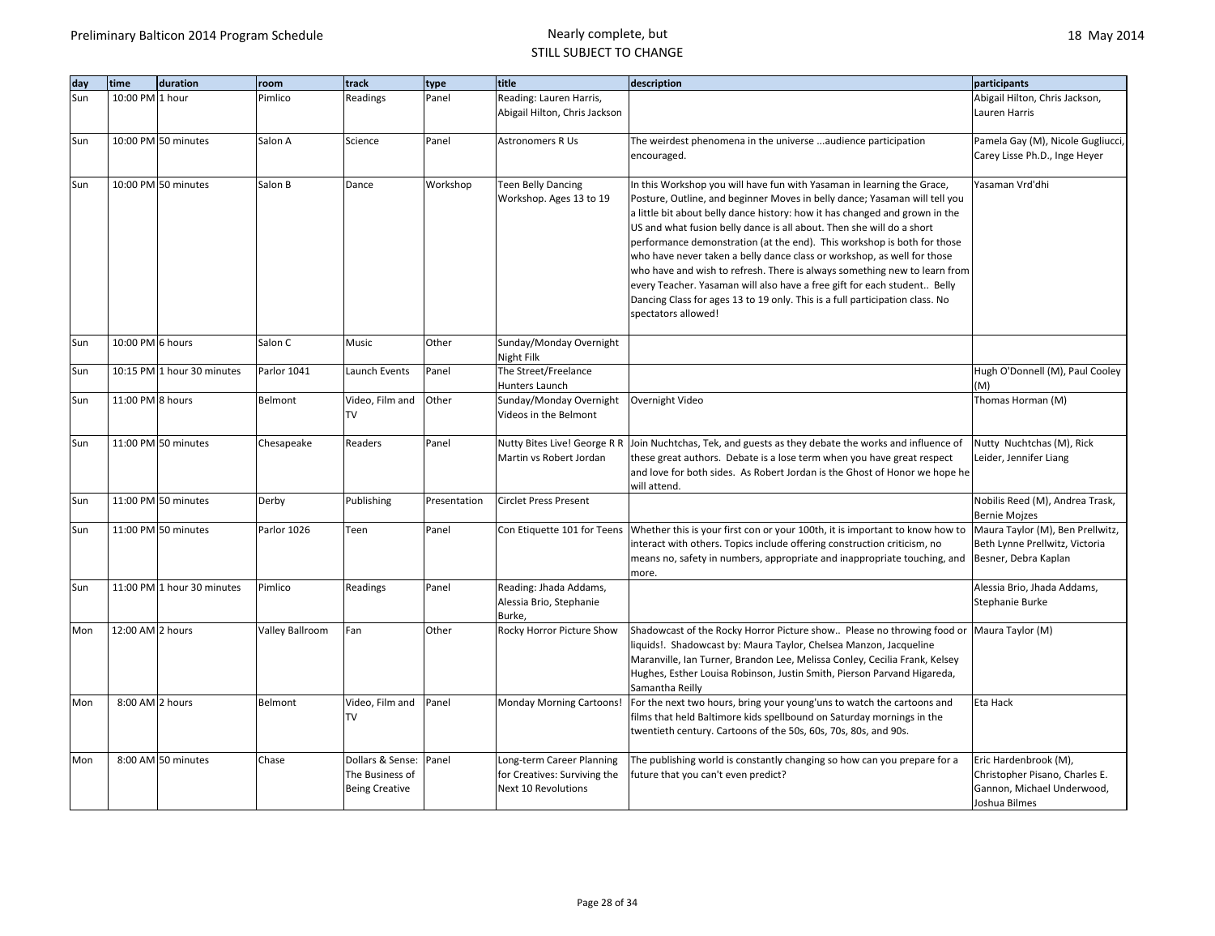| day | time             | duration                   | room            | track                                                        | type         | title                                                                            | description                                                                                                                                                                                                                                                                                                                                                                                                                                                                                                                                                                                                                                                                                                                        | participants                                                                                           |
|-----|------------------|----------------------------|-----------------|--------------------------------------------------------------|--------------|----------------------------------------------------------------------------------|------------------------------------------------------------------------------------------------------------------------------------------------------------------------------------------------------------------------------------------------------------------------------------------------------------------------------------------------------------------------------------------------------------------------------------------------------------------------------------------------------------------------------------------------------------------------------------------------------------------------------------------------------------------------------------------------------------------------------------|--------------------------------------------------------------------------------------------------------|
| Sun | 10:00 PM 1 hour  |                            | Pimlico         | Readings                                                     | Panel        | Reading: Lauren Harris,                                                          |                                                                                                                                                                                                                                                                                                                                                                                                                                                                                                                                                                                                                                                                                                                                    | Abigail Hilton, Chris Jackson,                                                                         |
|     |                  |                            |                 |                                                              |              | Abigail Hilton, Chris Jackson                                                    |                                                                                                                                                                                                                                                                                                                                                                                                                                                                                                                                                                                                                                                                                                                                    | Lauren Harris                                                                                          |
| Sun |                  | 10:00 PM 50 minutes        | Salon A         | Science                                                      | Panel        | <b>Astronomers R Us</b>                                                          | The weirdest phenomena in the universe audience participation                                                                                                                                                                                                                                                                                                                                                                                                                                                                                                                                                                                                                                                                      | Pamela Gay (M), Nicole Gugliucci,                                                                      |
|     |                  |                            |                 |                                                              |              |                                                                                  | encouraged.                                                                                                                                                                                                                                                                                                                                                                                                                                                                                                                                                                                                                                                                                                                        | Carey Lisse Ph.D., Inge Heyer                                                                          |
| Sun |                  | 10:00 PM 50 minutes        | Salon B         | Dance                                                        | Workshop     | <b>Teen Belly Dancing</b><br>Workshop. Ages 13 to 19                             | In this Workshop you will have fun with Yasaman in learning the Grace,<br>Posture, Outline, and beginner Moves in belly dance; Yasaman will tell you<br>a little bit about belly dance history: how it has changed and grown in the<br>US and what fusion belly dance is all about. Then she will do a short<br>performance demonstration (at the end). This workshop is both for those<br>who have never taken a belly dance class or workshop, as well for those<br>who have and wish to refresh. There is always something new to learn from<br>every Teacher. Yasaman will also have a free gift for each student Belly<br>Dancing Class for ages 13 to 19 only. This is a full participation class. No<br>spectators allowed! | Yasaman Vrd'dhi                                                                                        |
| Sun | 10:00 PM 6 hours |                            | Salon C         | Music                                                        | Other        | Sunday/Monday Overnight<br>Night Filk                                            |                                                                                                                                                                                                                                                                                                                                                                                                                                                                                                                                                                                                                                                                                                                                    |                                                                                                        |
| Sun |                  | 10:15 PM 1 hour 30 minutes | Parlor 1041     | Launch Events                                                | Panel        | The Street/Freelance<br>Hunters Launch                                           |                                                                                                                                                                                                                                                                                                                                                                                                                                                                                                                                                                                                                                                                                                                                    | Hugh O'Donnell (M), Paul Cooley<br>(M)                                                                 |
| Sun | 11:00 PM 8 hours |                            | Belmont         | Video, Film and<br>TV                                        | Other        | Sunday/Monday Overnight<br>Videos in the Belmont                                 | Overnight Video                                                                                                                                                                                                                                                                                                                                                                                                                                                                                                                                                                                                                                                                                                                    | Thomas Horman (M)                                                                                      |
| Sun |                  | 11:00 PM 50 minutes        | Chesapeake      | Readers                                                      | Panel        | Nutty Bites Live! George R R<br>Martin vs Robert Jordan                          | Join Nuchtchas, Tek, and guests as they debate the works and influence of<br>these great authors. Debate is a lose term when you have great respect<br>and love for both sides. As Robert Jordan is the Ghost of Honor we hope he<br>will attend.                                                                                                                                                                                                                                                                                                                                                                                                                                                                                  | Nutty Nuchtchas (M), Rick<br>Leider, Jennifer Liang                                                    |
| Sun |                  | 11:00 PM 50 minutes        | Derby           | Publishing                                                   | Presentation | <b>Circlet Press Present</b>                                                     |                                                                                                                                                                                                                                                                                                                                                                                                                                                                                                                                                                                                                                                                                                                                    | Nobilis Reed (M), Andrea Trask,<br><b>Bernie Mojzes</b>                                                |
| Sun |                  | 11:00 PM 50 minutes        | Parlor 1026     | Teen                                                         | Panel        | Con Etiquette 101 for Teens                                                      | Whether this is your first con or your 100th, it is important to know how to<br>interact with others. Topics include offering construction criticism, no<br>means no, safety in numbers, appropriate and inappropriate touching, and<br>more.                                                                                                                                                                                                                                                                                                                                                                                                                                                                                      | Maura Taylor (M), Ben Prellwitz,<br>Beth Lynne Prellwitz, Victoria<br>Besner, Debra Kaplan             |
| Sun |                  | 11:00 PM 1 hour 30 minutes | Pimlico         | Readings                                                     | Panel        | Reading: Jhada Addams,<br>Alessia Brio, Stephanie<br>Burke,                      |                                                                                                                                                                                                                                                                                                                                                                                                                                                                                                                                                                                                                                                                                                                                    | Alessia Brio, Jhada Addams,<br>Stephanie Burke                                                         |
| Mon | 12:00 AM 2 hours |                            | Valley Ballroom | Fan                                                          | Other        | Rocky Horror Picture Show                                                        | Shadowcast of the Rocky Horror Picture show Please no throwing food or Maura Taylor (M)<br>liquids!. Shadowcast by: Maura Taylor, Chelsea Manzon, Jacqueline<br>Maranville, Ian Turner, Brandon Lee, Melissa Conley, Cecilia Frank, Kelsey<br>Hughes, Esther Louisa Robinson, Justin Smith, Pierson Parvand Higareda,<br>Samantha Reilly                                                                                                                                                                                                                                                                                                                                                                                           |                                                                                                        |
| Mon | 8:00 AM 2 hours  |                            | Belmont         | Video, Film and<br>TV                                        | Panel        | <b>Monday Morning Cartoons!</b>                                                  | For the next two hours, bring your young'uns to watch the cartoons and<br>films that held Baltimore kids spellbound on Saturday mornings in the<br>twentieth century. Cartoons of the 50s, 60s, 70s, 80s, and 90s.                                                                                                                                                                                                                                                                                                                                                                                                                                                                                                                 | Eta Hack                                                                                               |
| Mon |                  | 8:00 AM 50 minutes         | Chase           | Dollars & Sense:<br>The Business of<br><b>Being Creative</b> | Panel        | Long-term Career Planning<br>for Creatives: Surviving the<br>Next 10 Revolutions | The publishing world is constantly changing so how can you prepare for a<br>future that you can't even predict?                                                                                                                                                                                                                                                                                                                                                                                                                                                                                                                                                                                                                    | Eric Hardenbrook (M),<br>Christopher Pisano, Charles E.<br>Gannon, Michael Underwood,<br>Joshua Bilmes |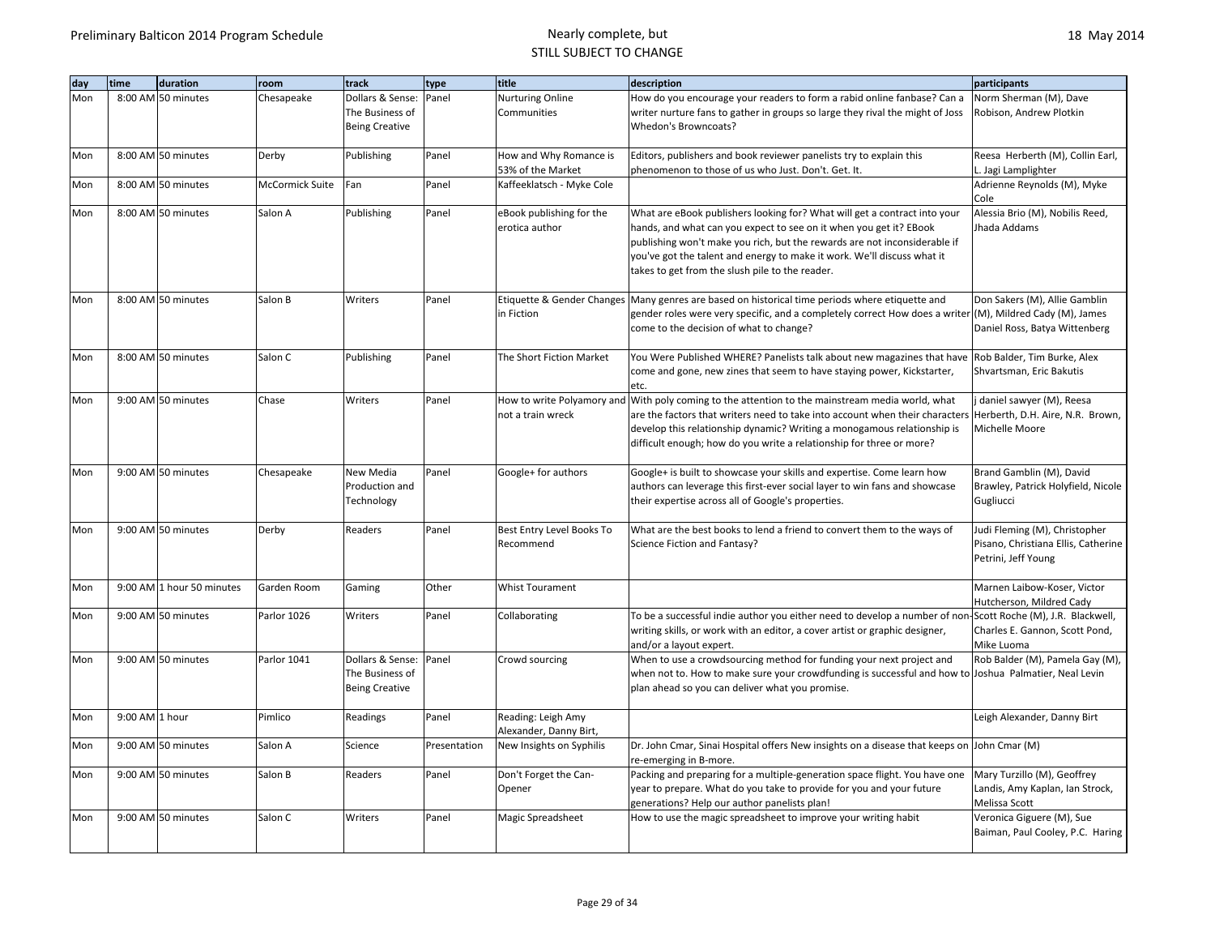| day | time           | duration                  | room            | track                 | type         | title                                        | description                                                                                                          | participants                                     |
|-----|----------------|---------------------------|-----------------|-----------------------|--------------|----------------------------------------------|----------------------------------------------------------------------------------------------------------------------|--------------------------------------------------|
| Mon |                | 8:00 AM 50 minutes        | Chesapeake      | Dollars & Sense:      | Panel        | Nurturing Online                             | How do you encourage your readers to form a rabid online fanbase? Can a                                              | Norm Sherman (M), Dave                           |
|     |                |                           |                 | The Business of       |              | Communities                                  | writer nurture fans to gather in groups so large they rival the might of Joss                                        | Robison, Andrew Plotkin                          |
|     |                |                           |                 | <b>Being Creative</b> |              |                                              | Whedon's Browncoats?                                                                                                 |                                                  |
| Mon |                | 8:00 AM 50 minutes        | Derby           | Publishing            | Panel        | How and Why Romance is                       | Editors, publishers and book reviewer panelists try to explain this                                                  | Reesa Herberth (M), Collin Earl,                 |
|     |                |                           |                 |                       |              | 53% of the Market                            | phenomenon to those of us who Just. Don't. Get. It.                                                                  | L. Jagi Lamplighter                              |
| Mon |                | 8:00 AM 50 minutes        | McCormick Suite | Fan                   | Panel        | Kaffeeklatsch - Myke Cole                    |                                                                                                                      | Adrienne Reynolds (M), Myke<br>Cole              |
| Mon |                | 8:00 AM 50 minutes        | Salon A         | Publishing            | Panel        | eBook publishing for the                     | What are eBook publishers looking for? What will get a contract into your                                            | Alessia Brio (M), Nobilis Reed,                  |
|     |                |                           |                 |                       |              | erotica author                               | hands, and what can you expect to see on it when you get it? EBook                                                   | Jhada Addams                                     |
|     |                |                           |                 |                       |              |                                              | publishing won't make you rich, but the rewards are not inconsiderable if                                            |                                                  |
|     |                |                           |                 |                       |              |                                              | you've got the talent and energy to make it work. We'll discuss what it                                              |                                                  |
|     |                |                           |                 |                       |              |                                              | takes to get from the slush pile to the reader.                                                                      |                                                  |
| Mon |                | 8:00 AM 50 minutes        | Salon B         | Writers               | Panel        |                                              | Etiquette & Gender Changes   Many genres are based on historical time periods where etiquette and                    | Don Sakers (M), Allie Gamblin                    |
|     |                |                           |                 |                       |              | in Fiction                                   | gender roles were very specific, and a completely correct How does a writer                                          | (M), Mildred Cady (M), James                     |
|     |                |                           |                 |                       |              |                                              | come to the decision of what to change?                                                                              | Daniel Ross, Batya Wittenberg                    |
| Mon |                | 8:00 AM 50 minutes        | Salon C         | Publishing            | Panel        | The Short Fiction Market                     | You Were Published WHERE? Panelists talk about new magazines that have                                               | Rob Balder, Tim Burke, Alex                      |
|     |                |                           |                 |                       |              |                                              | come and gone, new zines that seem to have staying power, Kickstarter,                                               | Shvartsman, Eric Bakutis                         |
|     |                |                           |                 |                       |              |                                              | etc.                                                                                                                 |                                                  |
| Mon |                | 9:00 AM 50 minutes        | Chase           | Writers               | Panel        |                                              | How to write Polyamory and With poly coming to the attention to the mainstream media world, what                     | j daniel sawyer (M), Reesa                       |
|     |                |                           |                 |                       |              | not a train wreck                            | are the factors that writers need to take into account when their characters                                         | Herberth, D.H. Aire, N.R. Brown,                 |
|     |                |                           |                 |                       |              |                                              | develop this relationship dynamic? Writing a monogamous relationship is                                              | Michelle Moore                                   |
|     |                |                           |                 |                       |              |                                              | difficult enough; how do you write a relationship for three or more?                                                 |                                                  |
| Mon |                | 9:00 AM 50 minutes        | Chesapeake      | New Media             | Panel        | Google+ for authors                          | Google+ is built to showcase your skills and expertise. Come learn how                                               | Brand Gamblin (M), David                         |
|     |                |                           |                 | Production and        |              |                                              | authors can leverage this first-ever social layer to win fans and showcase                                           | Brawley, Patrick Holyfield, Nicole               |
|     |                |                           |                 | Technology            |              |                                              | their expertise across all of Google's properties.                                                                   | Gugliucci                                        |
| Mon |                | 9:00 AM 50 minutes        | Derby           | Readers               | Panel        | Best Entry Level Books To                    | What are the best books to lend a friend to convert them to the ways of                                              | Judi Fleming (M), Christopher                    |
|     |                |                           |                 |                       |              | Recommend                                    | Science Fiction and Fantasy?                                                                                         | Pisano, Christiana Ellis, Catherine              |
|     |                |                           |                 |                       |              |                                              |                                                                                                                      | Petrini, Jeff Young                              |
| Mon |                | 9:00 AM 1 hour 50 minutes | Garden Room     | Gaming                | Other        | <b>Whist Tourament</b>                       |                                                                                                                      | Marnen Laibow-Koser, Victor                      |
|     |                |                           |                 |                       |              |                                              |                                                                                                                      | Hutcherson, Mildred Cady                         |
| Mon |                | 9:00 AM 50 minutes        | Parlor 1026     | Writers               | Panel        | Collaborating                                | To be a successful indie author you either need to develop a number of non-Scott Roche (M), J.R. Blackwell,          |                                                  |
|     |                |                           |                 |                       |              |                                              | writing skills, or work with an editor, a cover artist or graphic designer,                                          | Charles E. Gannon, Scott Pond,<br>Mike Luoma     |
| Mon |                | 9:00 AM 50 minutes        | Parlor 1041     | Dollars & Sense:      | Panel        | Crowd sourcing                               | and/or a layout expert.<br>When to use a crowdsourcing method for funding your next project and                      | Rob Balder (M), Pamela Gay (M),                  |
|     |                |                           |                 | The Business of       |              |                                              | when not to. How to make sure your crowdfunding is successful and how to Joshua Palmatier, Neal Levin                |                                                  |
|     |                |                           |                 | <b>Being Creative</b> |              |                                              | plan ahead so you can deliver what you promise.                                                                      |                                                  |
|     | 9:00 AM 1 hour |                           |                 |                       |              |                                              |                                                                                                                      |                                                  |
| Mon |                |                           | Pimlico         | Readings              | Panel        | Reading: Leigh Amy<br>Alexander, Danny Birt, |                                                                                                                      | Leigh Alexander, Danny Birt                      |
| Mon |                | 9:00 AM 50 minutes        | Salon A         | Science               | Presentation | New Insights on Syphilis                     | Dr. John Cmar, Sinai Hospital offers New insights on a disease that keeps on John Cmar (M)                           |                                                  |
|     |                |                           |                 |                       |              |                                              | re-emerging in B-more.                                                                                               |                                                  |
| Mon |                | 9:00 AM 50 minutes        | Salon B         | Readers               | Panel        | Don't Forget the Can-<br>Opener              | Packing and preparing for a multiple-generation space flight. You have one                                           | Mary Turzillo (M), Geoffrey                      |
|     |                |                           |                 |                       |              |                                              | year to prepare. What do you take to provide for you and your future<br>generations? Help our author panelists plan! | Landis, Amy Kaplan, Ian Strock,<br>Melissa Scott |
| Mon |                | 9:00 AM 50 minutes        | Salon C         | Writers               | Panel        | Magic Spreadsheet                            | How to use the magic spreadsheet to improve your writing habit                                                       | Veronica Giguere (M), Sue                        |
|     |                |                           |                 |                       |              |                                              |                                                                                                                      | Baiman, Paul Cooley, P.C. Haring                 |
|     |                |                           |                 |                       |              |                                              |                                                                                                                      |                                                  |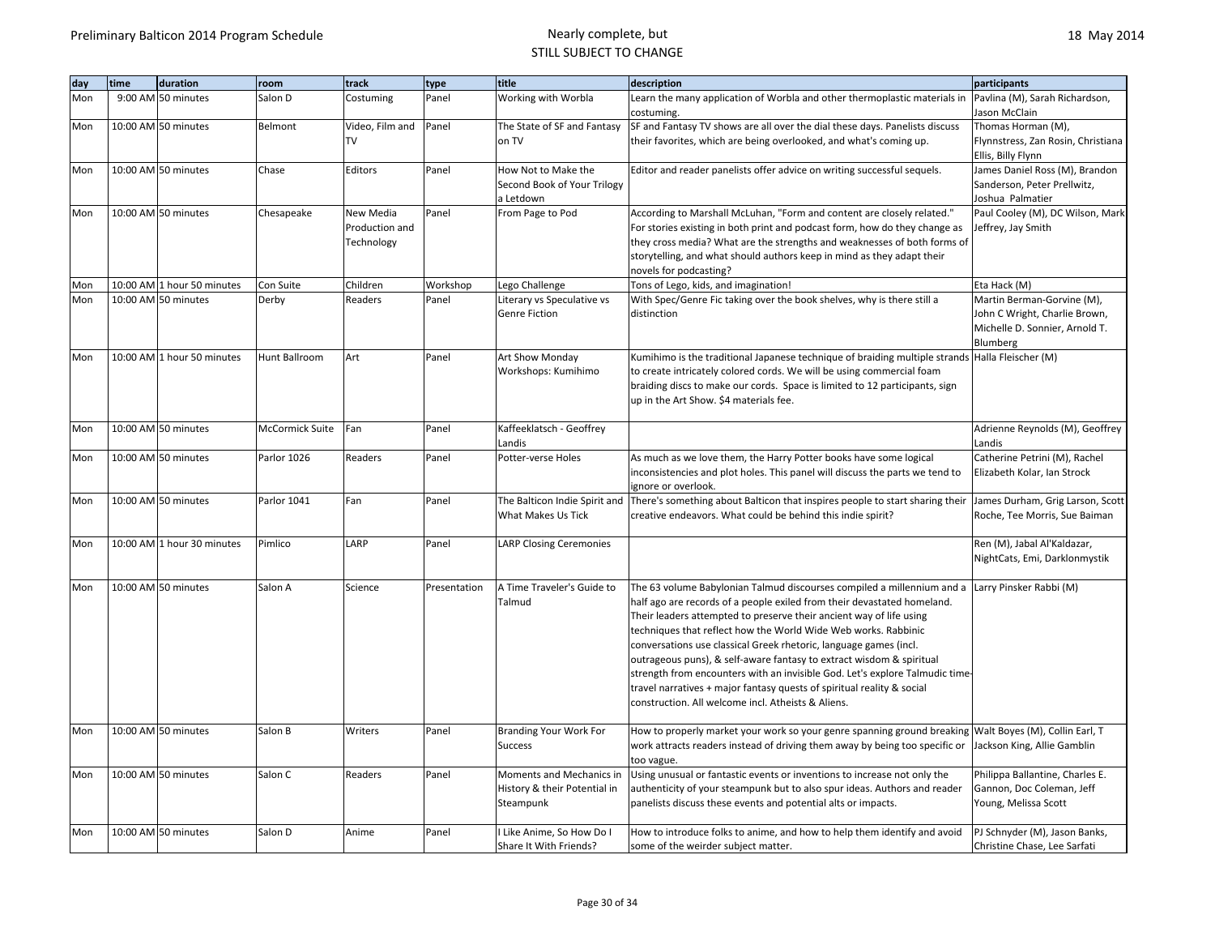| day | time | duration                   | room            | track           | type         | title                                               | description                                                                                                     | participants                                                  |
|-----|------|----------------------------|-----------------|-----------------|--------------|-----------------------------------------------------|-----------------------------------------------------------------------------------------------------------------|---------------------------------------------------------------|
| Mon |      | 9:00 AM 50 minutes         | Salon D         | Costuming       | Panel        | Working with Worbla                                 | Learn the many application of Worbla and other thermoplastic materials in                                       | Pavlina (M), Sarah Richardson,                                |
|     |      |                            |                 |                 |              |                                                     | costuming.                                                                                                      | Jason McClain                                                 |
| Mon |      | 10:00 AM 50 minutes        | Belmont         | Video, Film and | Panel        | The State of SF and Fantasy                         | SF and Fantasy TV shows are all over the dial these days. Panelists discuss                                     | Thomas Horman (M),                                            |
|     |      |                            |                 | <b>TV</b>       |              | on TV                                               | their favorites, which are being overlooked, and what's coming up.                                              | Flynnstress, Zan Rosin, Christiana                            |
| Mon |      | 10:00 AM 50 minutes        | Chase           | Editors         | Panel        | How Not to Make the                                 | Editor and reader panelists offer advice on writing successful sequels.                                         | Ellis, Billy Flynn<br>James Daniel Ross (M), Brandon          |
|     |      |                            |                 |                 |              | Second Book of Your Trilogy                         |                                                                                                                 | Sanderson, Peter Prellwitz,                                   |
|     |      |                            |                 |                 |              | a Letdown                                           |                                                                                                                 | Joshua Palmatier                                              |
| Mon |      | 10:00 AM 50 minutes        | Chesapeake      | New Media       | Panel        | From Page to Pod                                    | According to Marshall McLuhan, "Form and content are closely related."                                          | Paul Cooley (M), DC Wilson, Mark                              |
|     |      |                            |                 | Production and  |              |                                                     | For stories existing in both print and podcast form, how do they change as                                      | Jeffrey, Jay Smith                                            |
|     |      |                            |                 | Technology      |              |                                                     | they cross media? What are the strengths and weaknesses of both forms of                                        |                                                               |
|     |      |                            |                 |                 |              |                                                     | storytelling, and what should authors keep in mind as they adapt their                                          |                                                               |
|     |      |                            |                 |                 |              |                                                     | novels for podcasting?                                                                                          |                                                               |
| Mon |      | 10:00 AM 1 hour 50 minutes | Con Suite       | Children        | Workshop     | Lego Challenge                                      | Tons of Lego, kids, and imagination!                                                                            | Eta Hack (M)                                                  |
| Mon |      | 10:00 AM 50 minutes        | Derby           | Readers         | Panel        | Literary vs Speculative vs                          | With Spec/Genre Fic taking over the book shelves, why is there still a                                          | Martin Berman-Gorvine (M),                                    |
|     |      |                            |                 |                 |              | Genre Fiction                                       | distinction                                                                                                     | John C Wright, Charlie Brown,                                 |
|     |      |                            |                 |                 |              |                                                     |                                                                                                                 | Michelle D. Sonnier, Arnold T.                                |
|     |      |                            |                 |                 |              |                                                     |                                                                                                                 | Blumberg                                                      |
| Mon |      | 10:00 AM 1 hour 50 minutes | Hunt Ballroom   | Art             | Panel        | Art Show Monday                                     | Kumihimo is the traditional Japanese technique of braiding multiple strands Halla Fleischer (M)                 |                                                               |
|     |      |                            |                 |                 |              | Workshops: Kumihimo                                 | to create intricately colored cords. We will be using commercial foam                                           |                                                               |
|     |      |                            |                 |                 |              |                                                     | braiding discs to make our cords. Space is limited to 12 participants, sign                                     |                                                               |
|     |      |                            |                 |                 |              |                                                     | up in the Art Show. \$4 materials fee.                                                                          |                                                               |
|     |      |                            |                 |                 |              |                                                     |                                                                                                                 |                                                               |
| Mon |      | 10:00 AM 50 minutes        | McCormick Suite | Fan             | Panel        | Kaffeeklatsch - Geoffrey                            |                                                                                                                 | Adrienne Reynolds (M), Geoffrey                               |
|     |      |                            |                 |                 |              | Landis                                              |                                                                                                                 | Landis                                                        |
| Mon |      | 10:00 AM 50 minutes        | Parlor 1026     | Readers         | Panel        | Potter-verse Holes                                  | As much as we love them, the Harry Potter books have some logical                                               | Catherine Petrini (M), Rachel                                 |
|     |      |                            |                 |                 |              |                                                     | inconsistencies and plot holes. This panel will discuss the parts we tend to                                    | Elizabeth Kolar, Ian Strock                                   |
|     |      |                            |                 |                 |              |                                                     | ignore or overlook.                                                                                             |                                                               |
| Mon |      | 10:00 AM 50 minutes        | Parlor 1041     | Fan             | Panel        |                                                     | The Balticon Indie Spirit and There's something about Balticon that inspires people to start sharing their      | James Durham, Grig Larson, Scott                              |
|     |      |                            |                 |                 |              | What Makes Us Tick                                  | creative endeavors. What could be behind this indie spirit?                                                     | Roche, Tee Morris, Sue Baiman                                 |
| Mon |      | 10:00 AM 1 hour 30 minutes | Pimlico         | LARP            | Panel        | <b>LARP Closing Ceremonies</b>                      |                                                                                                                 | Ren (M), Jabal Al'Kaldazar,                                   |
|     |      |                            |                 |                 |              |                                                     |                                                                                                                 | NightCats, Emi, Darklonmystik                                 |
|     |      |                            |                 |                 |              |                                                     |                                                                                                                 |                                                               |
| Mon |      | 10:00 AM 50 minutes        | Salon A         | Science         | Presentation | A Time Traveler's Guide to                          | The 63 volume Babylonian Talmud discourses compiled a millennium and a                                          | Larry Pinsker Rabbi (M)                                       |
|     |      |                            |                 |                 |              | Talmud                                              | half ago are records of a people exiled from their devastated homeland.                                         |                                                               |
|     |      |                            |                 |                 |              |                                                     | Their leaders attempted to preserve their ancient way of life using                                             |                                                               |
|     |      |                            |                 |                 |              |                                                     | techniques that reflect how the World Wide Web works. Rabbinic                                                  |                                                               |
|     |      |                            |                 |                 |              |                                                     | conversations use classical Greek rhetoric, language games (incl.                                               |                                                               |
|     |      |                            |                 |                 |              |                                                     | outrageous puns), & self-aware fantasy to extract wisdom & spiritual                                            |                                                               |
|     |      |                            |                 |                 |              |                                                     | strength from encounters with an invisible God. Let's explore Talmudic time-                                    |                                                               |
|     |      |                            |                 |                 |              |                                                     | travel narratives + major fantasy quests of spiritual reality & social                                          |                                                               |
|     |      |                            |                 |                 |              |                                                     | construction. All welcome incl. Atheists & Aliens.                                                              |                                                               |
|     |      |                            |                 |                 |              |                                                     |                                                                                                                 |                                                               |
| Mon |      | 10:00 AM 50 minutes        | Salon B         | Writers         | Panel        | <b>Branding Your Work For</b>                       | How to properly market your work so your genre spanning ground breaking Walt Boyes (M), Collin Earl, T          |                                                               |
|     |      |                            |                 |                 |              | <b>Success</b>                                      | work attracts readers instead of driving them away by being too specific or                                     | Jackson King, Allie Gamblin                                   |
|     |      |                            |                 |                 |              |                                                     | too vague.                                                                                                      |                                                               |
| Mon |      | 10:00 AM 50 minutes        | Salon C         | Readers         | Panel        | Moments and Mechanics in                            | Using unusual or fantastic events or inventions to increase not only the                                        | Philippa Ballantine, Charles E.                               |
|     |      |                            |                 |                 |              | History & their Potential in                        | authenticity of your steampunk but to also spur ideas. Authors and reader                                       | Gannon, Doc Coleman, Jeff                                     |
|     |      |                            |                 |                 |              | Steampunk                                           | panelists discuss these events and potential alts or impacts.                                                   | Young, Melissa Scott                                          |
|     |      | 10:00 AM 50 minutes        | Salon D         | Anime           | Panel        |                                                     |                                                                                                                 |                                                               |
| Mon |      |                            |                 |                 |              | I Like Anime, So How Do I<br>Share It With Friends? | How to introduce folks to anime, and how to help them identify and avoid<br>some of the weirder subject matter. | PJ Schnyder (M), Jason Banks,<br>Christine Chase, Lee Sarfati |
|     |      |                            |                 |                 |              |                                                     |                                                                                                                 |                                                               |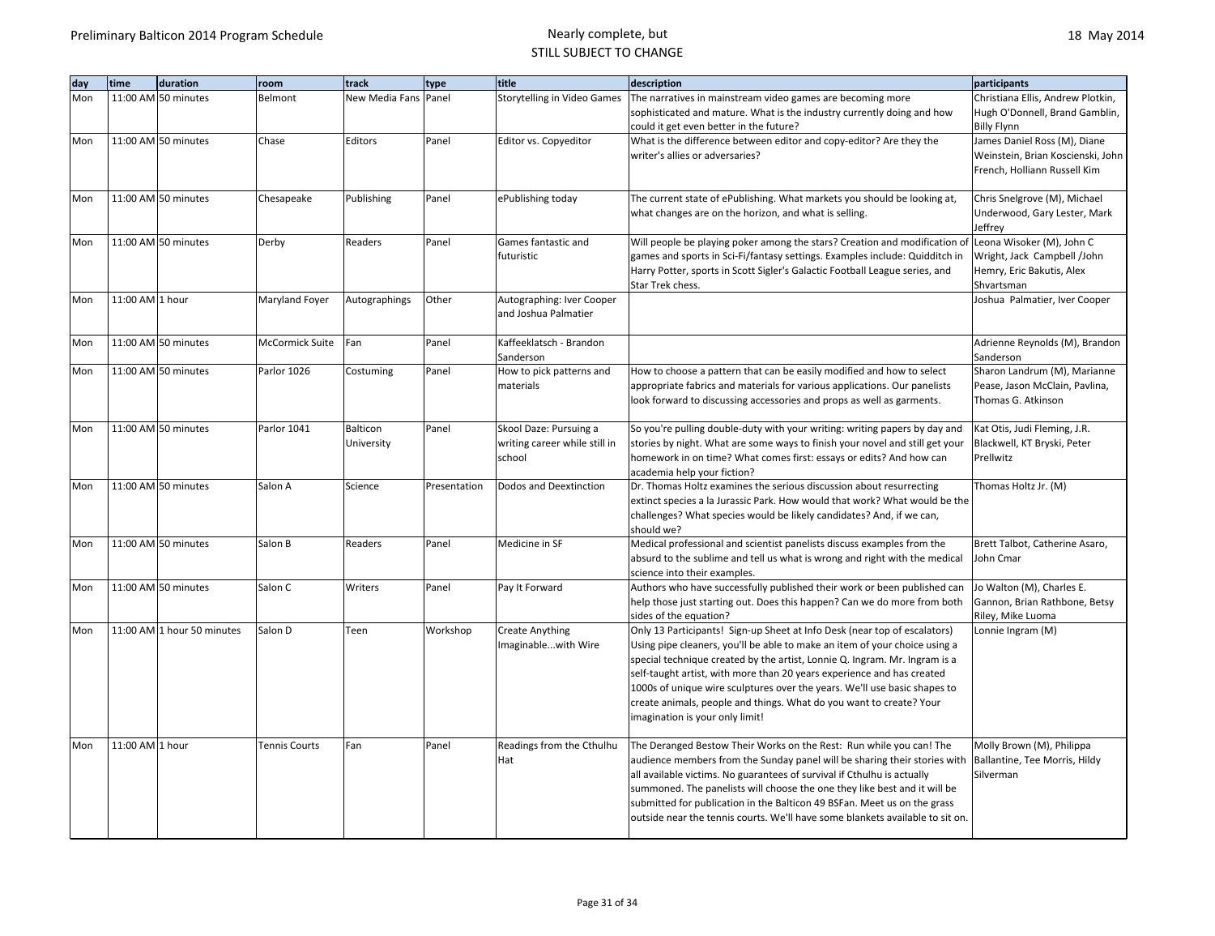| day | time            | duration                   | room                 | track                | type         | title                                         | description                                                                                         | participants                      |
|-----|-----------------|----------------------------|----------------------|----------------------|--------------|-----------------------------------------------|-----------------------------------------------------------------------------------------------------|-----------------------------------|
| Mon |                 | 11:00 AM 50 minutes        | Belmont              | New Media Fans Panel |              | <b>Storytelling in Video Games</b>            | The narratives in mainstream video games are becoming more                                          | Christiana Ellis, Andrew Plotkin, |
|     |                 |                            |                      |                      |              |                                               | sophisticated and mature. What is the industry currently doing and how                              | Hugh O'Donnell, Brand Gamblin,    |
|     |                 |                            |                      |                      |              |                                               | could it get even better in the future?                                                             | <b>Billy Flynn</b>                |
| Mon |                 | 11:00 AM 50 minutes        | Chase                | Editors              | Panel        | Editor vs. Copyeditor                         | What is the difference between editor and copy-editor? Are they the                                 | James Daniel Ross (M), Diane      |
|     |                 |                            |                      |                      |              |                                               | writer's allies or adversaries?                                                                     | Weinstein, Brian Koscienski, John |
|     |                 |                            |                      |                      |              |                                               |                                                                                                     | French, Holliann Russell Kim      |
|     |                 |                            |                      |                      |              |                                               |                                                                                                     |                                   |
| Mon |                 | 11:00 AM 50 minutes        | Chesapeake           | Publishing           | Panel        | ePublishing today                             | The current state of ePublishing. What markets you should be looking at,                            | Chris Snelgrove (M), Michael      |
|     |                 |                            |                      |                      |              |                                               | what changes are on the horizon, and what is selling.                                               | Underwood, Gary Lester, Mark      |
|     |                 |                            |                      |                      |              |                                               |                                                                                                     | Jeffrey                           |
| Mon |                 | 11:00 AM 50 minutes        | Derby                | Readers              | Panel        | Games fantastic and                           | Will people be playing poker among the stars? Creation and modification of                          | Leona Wisoker (M), John C         |
|     |                 |                            |                      |                      |              | futuristic                                    | games and sports in Sci-Fi/fantasy settings. Examples include: Quidditch in                         | Wright, Jack Campbell /John       |
|     |                 |                            |                      |                      |              |                                               | Harry Potter, sports in Scott Sigler's Galactic Football League series, and                         | Hemry, Eric Bakutis, Alex         |
|     |                 |                            |                      |                      |              |                                               | Star Trek chess.                                                                                    | Shvartsman                        |
| Mon | 11:00 AM 1 hour |                            | Maryland Foyer       | Autographings        | Other        | Autographing: Iver Cooper                     |                                                                                                     | Joshua Palmatier, Iver Cooper     |
|     |                 |                            |                      |                      |              | and Joshua Palmatier                          |                                                                                                     |                                   |
| Mon |                 | 11:00 AM 50 minutes        | McCormick Suite      | Fan                  | Panel        | Kaffeeklatsch - Brandon                       |                                                                                                     | Adrienne Reynolds (M), Brandon    |
|     |                 |                            |                      |                      |              | Sanderson                                     |                                                                                                     | Sanderson                         |
| Mon |                 | 11:00 AM 50 minutes        | Parlor 1026          | Costuming            | Panel        | How to pick patterns and                      | How to choose a pattern that can be easily modified and how to select                               | Sharon Landrum (M), Marianne      |
|     |                 |                            |                      |                      |              | materials                                     | appropriate fabrics and materials for various applications. Our panelists                           | Pease, Jason McClain, Pavlina,    |
|     |                 |                            |                      |                      |              |                                               | look forward to discussing accessories and props as well as garments.                               | Thomas G. Atkinson                |
|     |                 |                            |                      |                      |              |                                               |                                                                                                     |                                   |
| Mon |                 | 11:00 AM 50 minutes        | Parlor 1041          | Balticon             | Panel        | Skool Daze: Pursuing a                        | So you're pulling double-duty with your writing: writing papers by day and                          | Kat Otis, Judi Fleming, J.R.      |
|     |                 |                            |                      | University           |              | writing career while still in                 | stories by night. What are some ways to finish your novel and still get your                        | Blackwell, KT Bryski, Peter       |
|     |                 |                            |                      |                      |              | school                                        | homework in on time? What comes first: essays or edits? And how can                                 | Prellwitz                         |
|     |                 |                            |                      |                      |              |                                               | academia help your fiction?                                                                         |                                   |
| Mon |                 | 11:00 AM 50 minutes        | Salon A              | Science              | Presentation | Dodos and Deextinction                        | Dr. Thomas Holtz examines the serious discussion about resurrecting                                 | Thomas Holtz Jr. (M)              |
|     |                 |                            |                      |                      |              |                                               | extinct species a la Jurassic Park. How would that work? What would be the                          |                                   |
|     |                 |                            |                      |                      |              |                                               | challenges? What species would be likely candidates? And, if we can,                                |                                   |
|     |                 |                            |                      |                      |              |                                               | should we?                                                                                          |                                   |
| Mon |                 | 11:00 AM 50 minutes        | Salon B              | Readers              | Panel        | Medicine in SF                                | Medical professional and scientist panelists discuss examples from the                              | Brett Talbot, Catherine Asaro,    |
|     |                 |                            |                      |                      |              |                                               | absurd to the sublime and tell us what is wrong and right with the medical                          | John Cmar                         |
|     |                 |                            |                      |                      |              |                                               | science into their examples.                                                                        |                                   |
| Mon |                 | 11:00 AM 50 minutes        | Salon C              | Writers              | Panel        | Pay It Forward                                | Authors who have successfully published their work or been published can                            | Jo Walton (M), Charles E.         |
|     |                 |                            |                      |                      |              |                                               | help those just starting out. Does this happen? Can we do more from both                            | Gannon, Brian Rathbone, Betsy     |
| Mon |                 | 11:00 AM 1 hour 50 minutes | Salon D              | Teen                 |              |                                               | sides of the equation?<br>Only 13 Participants! Sign-up Sheet at Info Desk (near top of escalators) | Riley, Mike Luoma                 |
|     |                 |                            |                      |                      | Workshop     | <b>Create Anything</b><br>Imaginablewith Wire | Using pipe cleaners, you'll be able to make an item of your choice using a                          | Lonnie Ingram (M)                 |
|     |                 |                            |                      |                      |              |                                               | special technique created by the artist, Lonnie Q. Ingram. Mr. Ingram is a                          |                                   |
|     |                 |                            |                      |                      |              |                                               | self-taught artist, with more than 20 years experience and has created                              |                                   |
|     |                 |                            |                      |                      |              |                                               | 1000s of unique wire sculptures over the years. We'll use basic shapes to                           |                                   |
|     |                 |                            |                      |                      |              |                                               | create animals, people and things. What do you want to create? Your                                 |                                   |
|     |                 |                            |                      |                      |              |                                               | imagination is your only limit!                                                                     |                                   |
|     |                 |                            |                      |                      |              |                                               |                                                                                                     |                                   |
| Mon | 11:00 AM 1 hour |                            | <b>Tennis Courts</b> | Fan                  | Panel        | Readings from the Cthulhu                     | The Deranged Bestow Their Works on the Rest: Run while you can! The                                 | Molly Brown (M), Philippa         |
|     |                 |                            |                      |                      |              | Hat                                           | audience members from the Sunday panel will be sharing their stories with                           | Ballantine, Tee Morris, Hildy     |
|     |                 |                            |                      |                      |              |                                               | all available victims. No guarantees of survival if Cthulhu is actually                             | Silverman                         |
|     |                 |                            |                      |                      |              |                                               | summoned. The panelists will choose the one they like best and it will be                           |                                   |
|     |                 |                            |                      |                      |              |                                               | submitted for publication in the Balticon 49 BSFan. Meet us on the grass                            |                                   |
|     |                 |                            |                      |                      |              |                                               | outside near the tennis courts. We'll have some blankets available to sit on.                       |                                   |
|     |                 |                            |                      |                      |              |                                               |                                                                                                     |                                   |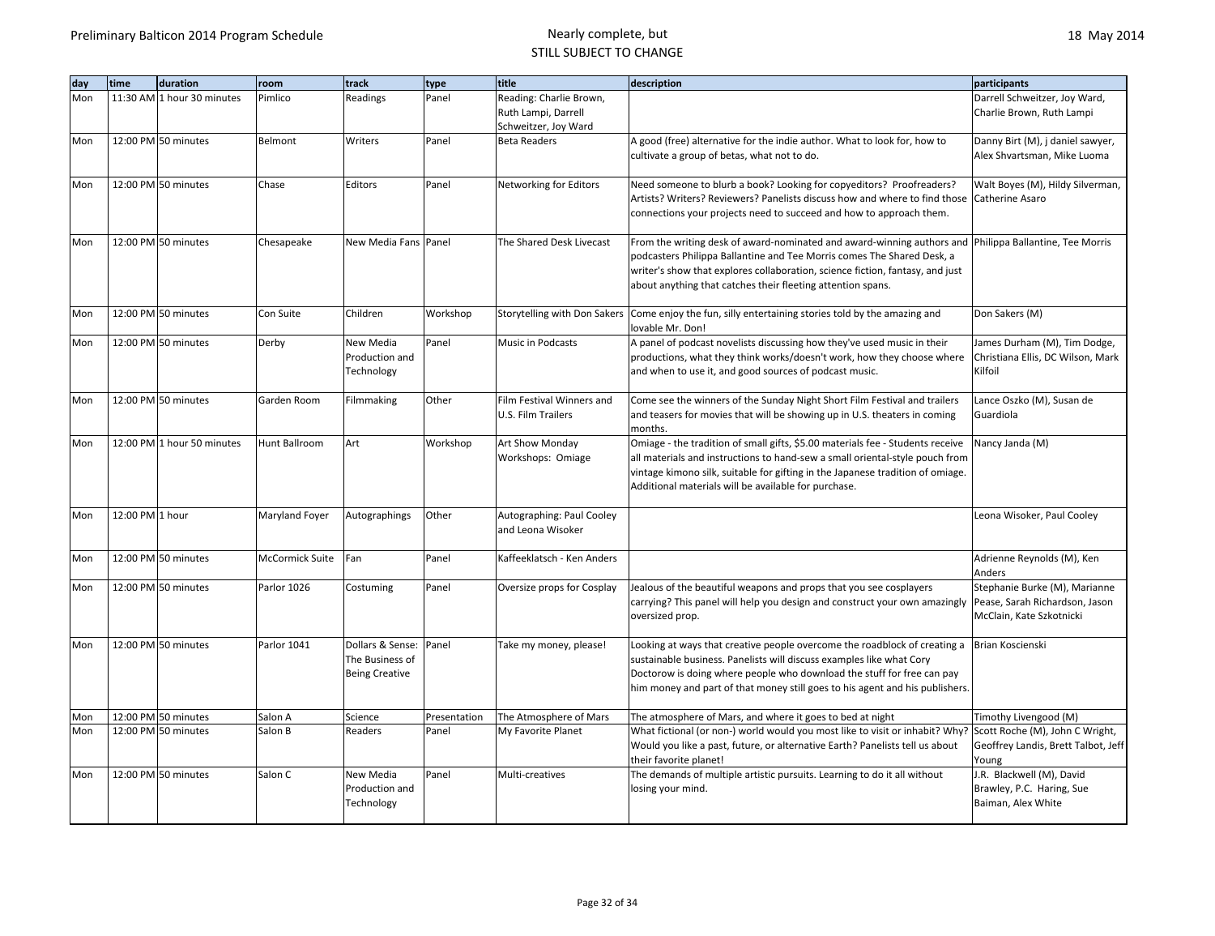| dav | time            | duration                   | room            | track                                                        | type         | title                                          | description                                                                                                                                                                                                                                                                                                 | participants                                                                                |
|-----|-----------------|----------------------------|-----------------|--------------------------------------------------------------|--------------|------------------------------------------------|-------------------------------------------------------------------------------------------------------------------------------------------------------------------------------------------------------------------------------------------------------------------------------------------------------------|---------------------------------------------------------------------------------------------|
| Mon |                 | 11:30 AM 1 hour 30 minutes | Pimlico         | Readings                                                     | Panel        | Reading: Charlie Brown,                        |                                                                                                                                                                                                                                                                                                             | Darrell Schweitzer, Joy Ward,                                                               |
|     |                 |                            |                 |                                                              |              | Ruth Lampi, Darrell                            |                                                                                                                                                                                                                                                                                                             | Charlie Brown, Ruth Lampi                                                                   |
|     |                 | 12:00 PM 50 minutes        |                 |                                                              | Panel        | Schweitzer, Joy Ward<br><b>Beta Readers</b>    |                                                                                                                                                                                                                                                                                                             |                                                                                             |
| Mon |                 |                            | Belmont         | Writers                                                      |              |                                                | A good (free) alternative for the indie author. What to look for, how to<br>cultivate a group of betas, what not to do.                                                                                                                                                                                     | Danny Birt (M), j daniel sawyer,<br>Alex Shvartsman, Mike Luoma                             |
| Mon |                 | 12:00 PM 50 minutes        | Chase           | Editors                                                      | Panel        | Networking for Editors                         | Need someone to blurb a book? Looking for copyeditors? Proofreaders?                                                                                                                                                                                                                                        | Walt Boyes (M), Hildy Silverman,                                                            |
|     |                 |                            |                 |                                                              |              |                                                | Artists? Writers? Reviewers? Panelists discuss how and where to find those<br>connections your projects need to succeed and how to approach them.                                                                                                                                                           | Catherine Asaro                                                                             |
| Mon |                 | 12:00 PM 50 minutes        | Chesapeake      | New Media Fans Panel                                         |              | The Shared Desk Livecast                       | From the writing desk of award-nominated and award-winning authors and<br>podcasters Philippa Ballantine and Tee Morris comes The Shared Desk, a<br>writer's show that explores collaboration, science fiction, fantasy, and just<br>about anything that catches their fleeting attention spans.            | Philippa Ballantine, Tee Morris                                                             |
| Mon |                 | 12:00 PM 50 minutes        | Con Suite       | Children                                                     | Workshop     | Storytelling with Don Sakers                   | Come enjoy the fun, silly entertaining stories told by the amazing and<br>lovable Mr. Don!                                                                                                                                                                                                                  | Don Sakers (M)                                                                              |
| Mon |                 | 12:00 PM 50 minutes        | Derby           | New Media                                                    | Panel        | Music in Podcasts                              | A panel of podcast novelists discussing how they've used music in their                                                                                                                                                                                                                                     | James Durham (M), Tim Dodge,                                                                |
|     |                 |                            |                 | Production and<br>Technology                                 |              |                                                | productions, what they think works/doesn't work, how they choose where<br>and when to use it, and good sources of podcast music.                                                                                                                                                                            | Christiana Ellis, DC Wilson, Mark<br>Kilfoil                                                |
| Mon |                 | 12:00 PM 50 minutes        | Garden Room     | Filmmaking                                                   | Other        | Film Festival Winners and                      | Come see the winners of the Sunday Night Short Film Festival and trailers                                                                                                                                                                                                                                   | Lance Oszko (M), Susan de                                                                   |
|     |                 |                            |                 |                                                              |              | <b>U.S. Film Trailers</b>                      | and teasers for movies that will be showing up in U.S. theaters in coming<br>months.                                                                                                                                                                                                                        | Guardiola                                                                                   |
| Mon |                 | 12:00 PM 1 hour 50 minutes | Hunt Ballroom   | Art                                                          | Workshop     | Art Show Monday                                | Omiage - the tradition of small gifts, \$5.00 materials fee - Students receive                                                                                                                                                                                                                              | Nancy Janda (M)                                                                             |
|     |                 |                            |                 |                                                              |              | Workshops: Omiage                              | all materials and instructions to hand-sew a small oriental-style pouch from<br>vintage kimono silk, suitable for gifting in the Japanese tradition of omiage.<br>Additional materials will be available for purchase.                                                                                      |                                                                                             |
| Mon | 12:00 PM 1 hour |                            | Maryland Foyer  | Autographings                                                | Other        | Autographing: Paul Cooley<br>and Leona Wisoker |                                                                                                                                                                                                                                                                                                             | Leona Wisoker, Paul Cooley                                                                  |
| Mon |                 | 12:00 PM 50 minutes        | McCormick Suite | Fan                                                          | Panel        | Kaffeeklatsch - Ken Anders                     |                                                                                                                                                                                                                                                                                                             | Adrienne Reynolds (M), Ken<br>Anders                                                        |
| Mon |                 | 12:00 PM 50 minutes        | Parlor 1026     | Costuming                                                    | Panel        | Oversize props for Cosplay                     | Jealous of the beautiful weapons and props that you see cosplayers<br>carrying? This panel will help you design and construct your own amazingly<br>oversized prop.                                                                                                                                         | Stephanie Burke (M), Marianne<br>Pease, Sarah Richardson, Jason<br>McClain, Kate Szkotnicki |
| Mon |                 | 12:00 PM 50 minutes        | Parlor 1041     | Dollars & Sense:<br>The Business of<br><b>Being Creative</b> | Panel        | Take my money, please!                         | Looking at ways that creative people overcome the roadblock of creating a<br>sustainable business. Panelists will discuss examples like what Cory<br>Doctorow is doing where people who download the stuff for free can pay<br>him money and part of that money still goes to his agent and his publishers. | Brian Koscienski                                                                            |
| Mon |                 | 12:00 PM 50 minutes        | Salon A         | Science                                                      | Presentation | The Atmosphere of Mars                         | The atmosphere of Mars, and where it goes to bed at night                                                                                                                                                                                                                                                   | Timothy Livengood (M)                                                                       |
| Mon |                 | 12:00 PM 50 minutes        | Salon B         | Readers                                                      | Panel        | My Favorite Planet                             | What fictional (or non-) world would you most like to visit or inhabit? Why?<br>Would you like a past, future, or alternative Earth? Panelists tell us about<br>their favorite planet!                                                                                                                      | Scott Roche (M), John C Wright,<br>Geoffrey Landis, Brett Talbot, Jeff<br>Young             |
| Mon |                 | 12:00 PM 50 minutes        | Salon C         | New Media                                                    | Panel        | Multi-creatives                                | The demands of multiple artistic pursuits. Learning to do it all without                                                                                                                                                                                                                                    | J.R. Blackwell (M), David                                                                   |
|     |                 |                            |                 | Production and<br>Technology                                 |              |                                                | losing your mind.                                                                                                                                                                                                                                                                                           | Brawley, P.C. Haring, Sue<br>Baiman, Alex White                                             |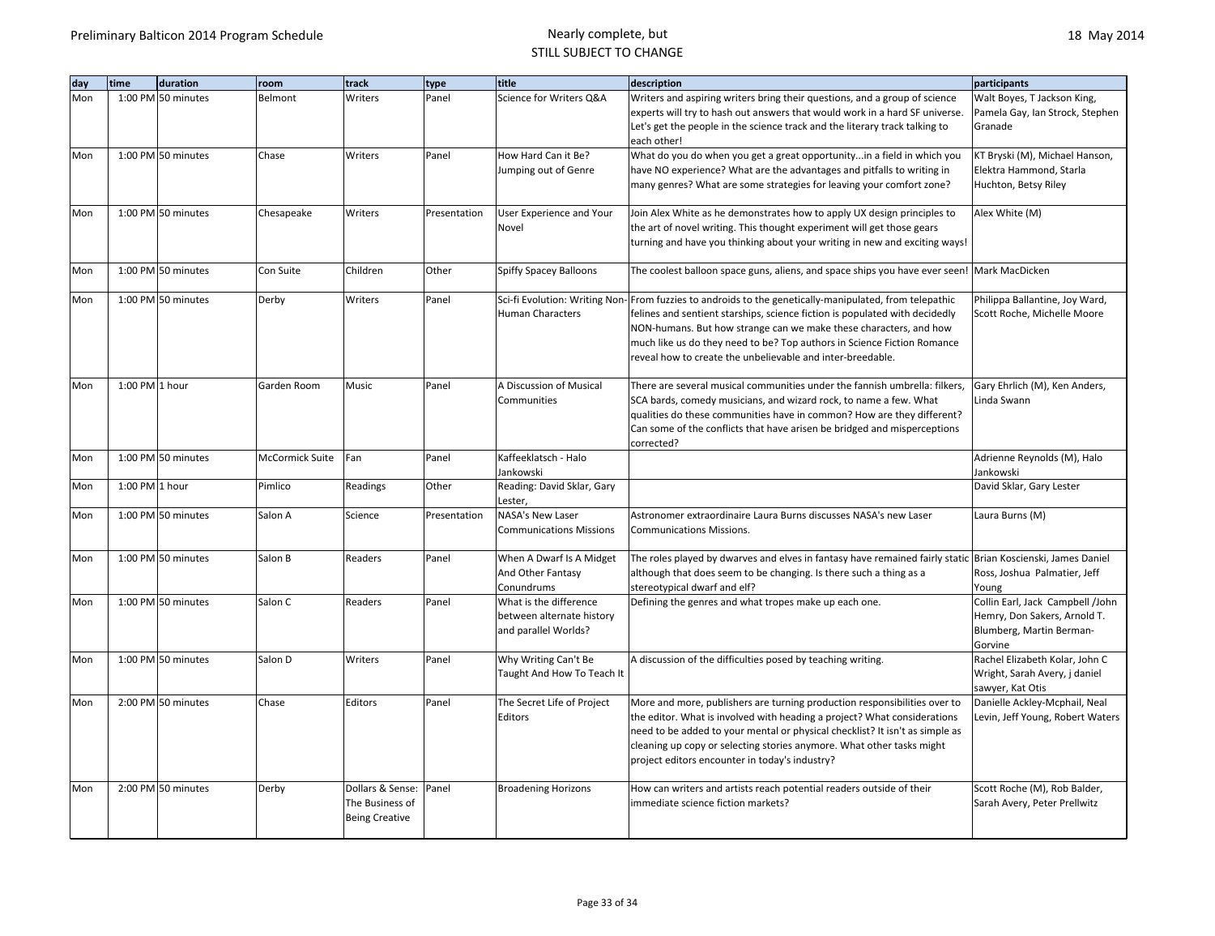| dav | time               | duration           | room            | track                                    | type         | title                                               | description                                                                                                                                  | participants                                                     |
|-----|--------------------|--------------------|-----------------|------------------------------------------|--------------|-----------------------------------------------------|----------------------------------------------------------------------------------------------------------------------------------------------|------------------------------------------------------------------|
| Mon |                    | 1:00 PM 50 minutes | Belmont         | Writers                                  | Panel        | Science for Writers Q&A                             | Writers and aspiring writers bring their questions, and a group of science                                                                   | Walt Boyes, T Jackson King,                                      |
|     |                    |                    |                 |                                          |              |                                                     | experts will try to hash out answers that would work in a hard SF universe.                                                                  | Pamela Gay, Ian Strock, Stephen                                  |
|     |                    |                    |                 |                                          |              |                                                     | Let's get the people in the science track and the literary track talking to<br>each other!                                                   | Granade                                                          |
| Mon |                    | 1:00 PM 50 minutes | Chase           | Writers                                  | Panel        | How Hard Can it Be?                                 | What do you do when you get a great opportunityin a field in which you                                                                       | KT Bryski (M), Michael Hanson,                                   |
|     |                    |                    |                 |                                          |              | Jumping out of Genre                                | have NO experience? What are the advantages and pitfalls to writing in                                                                       | Elektra Hammond, Starla                                          |
|     |                    |                    |                 |                                          |              |                                                     | many genres? What are some strategies for leaving your comfort zone?                                                                         | Huchton, Betsy Riley                                             |
|     |                    |                    |                 |                                          |              |                                                     |                                                                                                                                              |                                                                  |
| Mon |                    | 1:00 PM 50 minutes | Chesapeake      | Writers                                  | Presentation | User Experience and Your                            | Join Alex White as he demonstrates how to apply UX design principles to                                                                      | Alex White (M)                                                   |
|     |                    |                    |                 |                                          |              | Novel                                               | the art of novel writing. This thought experiment will get those gears                                                                       |                                                                  |
|     |                    |                    |                 |                                          |              |                                                     | turning and have you thinking about your writing in new and exciting ways!                                                                   |                                                                  |
| Mon |                    | 1:00 PM 50 minutes | Con Suite       | Children                                 | Other        | Spiffy Spacey Balloons                              | The coolest balloon space guns, aliens, and space ships you have ever seen! Mark MacDicken                                                   |                                                                  |
|     |                    |                    |                 |                                          |              |                                                     |                                                                                                                                              |                                                                  |
| Mon |                    | 1:00 PM 50 minutes | Derby           | Writers                                  | Panel        |                                                     | Sci-fi Evolution: Writing Non-From fuzzies to androids to the genetically-manipulated, from telepathic                                       | Philippa Ballantine, Joy Ward,                                   |
|     |                    |                    |                 |                                          |              | <b>Human Characters</b>                             | felines and sentient starships, science fiction is populated with decidedly                                                                  | Scott Roche, Michelle Moore                                      |
|     |                    |                    |                 |                                          |              |                                                     | NON-humans. But how strange can we make these characters, and how<br>much like us do they need to be? Top authors in Science Fiction Romance |                                                                  |
|     |                    |                    |                 |                                          |              |                                                     | reveal how to create the unbelievable and inter-breedable.                                                                                   |                                                                  |
|     |                    |                    |                 |                                          |              |                                                     |                                                                                                                                              |                                                                  |
| Mon | $1:00$ PM $1$ hour |                    | Garden Room     | Music                                    | Panel        | A Discussion of Musical                             | There are several musical communities under the fannish umbrella: filkers,                                                                   | Gary Ehrlich (M), Ken Anders,                                    |
|     |                    |                    |                 |                                          |              | Communities                                         | SCA bards, comedy musicians, and wizard rock, to name a few. What                                                                            | Linda Swann                                                      |
|     |                    |                    |                 |                                          |              |                                                     | qualities do these communities have in common? How are they different?                                                                       |                                                                  |
|     |                    |                    |                 |                                          |              |                                                     | Can some of the conflicts that have arisen be bridged and misperceptions<br>corrected?                                                       |                                                                  |
| Mon |                    | 1:00 PM 50 minutes | McCormick Suite | Fan                                      | Panel        | Kaffeeklatsch - Halo                                |                                                                                                                                              | Adrienne Reynolds (M), Halo                                      |
|     |                    |                    |                 |                                          |              | Jankowski                                           |                                                                                                                                              | Jankowski                                                        |
| Mon | 1:00 PM 1 hour     |                    | Pimlico         | Readings                                 | Other        | Reading: David Sklar, Gary                          |                                                                                                                                              | David Sklar, Gary Lester                                         |
|     |                    |                    |                 |                                          |              | Lester,                                             |                                                                                                                                              |                                                                  |
| Mon |                    | 1:00 PM 50 minutes | Salon A         | Science                                  | Presentation | NASA's New Laser<br><b>Communications Missions</b>  | Astronomer extraordinaire Laura Burns discusses NASA's new Laser<br><b>Communications Missions.</b>                                          | Laura Burns (M)                                                  |
|     |                    |                    |                 |                                          |              |                                                     |                                                                                                                                              |                                                                  |
| Mon |                    | 1:00 PM 50 minutes | Salon B         | Readers                                  | Panel        | When A Dwarf Is A Midget                            | The roles played by dwarves and elves in fantasy have remained fairly static Brian Koscienski, James Daniel                                  |                                                                  |
|     |                    |                    |                 |                                          |              | And Other Fantasy                                   | although that does seem to be changing. Is there such a thing as a                                                                           | Ross, Joshua Palmatier, Jeff                                     |
|     |                    |                    |                 |                                          |              | Conundrums                                          | stereotypical dwarf and elf?                                                                                                                 | Young                                                            |
| Mon |                    | 1:00 PM 50 minutes | Salon C         | Readers                                  | Panel        | What is the difference<br>between alternate history | Defining the genres and what tropes make up each one.                                                                                        | Collin Earl, Jack Campbell /John<br>Hemry, Don Sakers, Arnold T. |
|     |                    |                    |                 |                                          |              | and parallel Worlds?                                |                                                                                                                                              | Blumberg, Martin Berman-                                         |
|     |                    |                    |                 |                                          |              |                                                     |                                                                                                                                              | Gorvine                                                          |
| Mon |                    | 1:00 PM 50 minutes | Salon D         | Writers                                  | Panel        | Why Writing Can't Be                                | A discussion of the difficulties posed by teaching writing.                                                                                  | Rachel Elizabeth Kolar, John C                                   |
|     |                    |                    |                 |                                          |              | Taught And How To Teach It                          |                                                                                                                                              | Wright, Sarah Avery, j daniel                                    |
|     |                    | 2:00 PM 50 minutes | Chase           | Editors                                  | Panel        | The Secret Life of Project                          | More and more, publishers are turning production responsibilities over to                                                                    | sawyer, Kat Otis<br>Danielle Ackley-Mcphail, Neal                |
| Mon |                    |                    |                 |                                          |              | Editors                                             | the editor. What is involved with heading a project? What considerations                                                                     | Levin, Jeff Young, Robert Waters                                 |
|     |                    |                    |                 |                                          |              |                                                     | need to be added to your mental or physical checklist? It isn't as simple as                                                                 |                                                                  |
|     |                    |                    |                 |                                          |              |                                                     | cleaning up copy or selecting stories anymore. What other tasks might                                                                        |                                                                  |
|     |                    |                    |                 |                                          |              |                                                     | project editors encounter in today's industry?                                                                                               |                                                                  |
|     |                    |                    |                 |                                          |              |                                                     |                                                                                                                                              |                                                                  |
| Mon |                    | 2:00 PM 50 minutes | Derby           | Dollars & Sense: Panel                   |              | <b>Broadening Horizons</b>                          | How can writers and artists reach potential readers outside of their<br>immediate science fiction markets?                                   | Scott Roche (M), Rob Balder,                                     |
|     |                    |                    |                 | The Business of<br><b>Being Creative</b> |              |                                                     |                                                                                                                                              | Sarah Avery, Peter Prellwitz                                     |
|     |                    |                    |                 |                                          |              |                                                     |                                                                                                                                              |                                                                  |